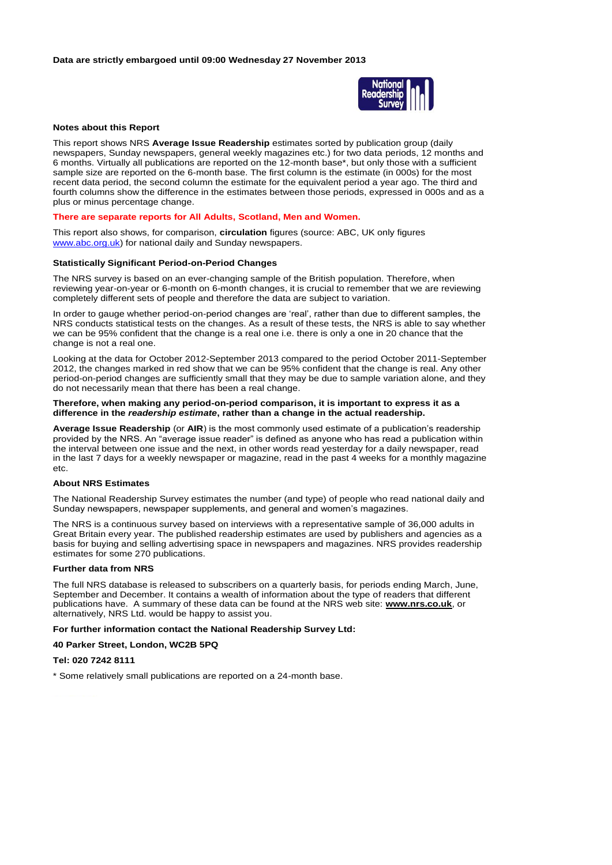

#### **Notes about this Report**

This report shows NRS **Average Issue Readership** estimates sorted by publication group (daily newspapers, Sunday newspapers, general weekly magazines etc.) for two data periods, 12 months and 6 months. Virtually all publications are reported on the 12-month base\*, but only those with a sufficient sample size are reported on the 6-month base. The first column is the estimate (in 000s) for the most recent data period, the second column the estimate for the equivalent period a year ago. The third and fourth columns show the difference in the estimates between those periods, expressed in 000s and as a plus or minus percentage change.

#### **There are separate reports for All Adults, Scotland, Men and Women.**

This report also shows, for comparison, **circulation** figures (source: ABC, UK only figures www.abc.org.uk) for national daily and Sunday newspapers.

# **Statistically Significant Period-on-Period Changes**

The NRS survey is based on an ever-changing sample of the British population. Therefore, when reviewing year-on-year or 6-month on 6-month changes, it is crucial to remember that we are reviewing completely different sets of people and therefore the data are subject to variation.

In order to gauge whether period-on-period changes are 'real', rather than due to different samples, the NRS conducts statistical tests on the changes. As a result of these tests, the NRS is able to say whether we can be 95% confident that the change is a real one i.e. there is only a one in 20 chance that the change is not a real one.

Looking at the data for October 2012-September 2013 compared to the period October 2011-September 2012, the changes marked in red show that we can be 95% confident that the change is real. Any other period-on-period changes are sufficiently small that they may be due to sample variation alone, and they do not necessarily mean that there has been a real change.

#### **Therefore, when making any period-on-period comparison, it is important to express it as a difference in the** *readership estimate***, rather than a change in the actual readership.**

**Average Issue Readership** (or **AIR**) is the most commonly used estimate of a publication's readership provided by the NRS. An "average issue reader" is defined as anyone who has read a publication within the interval between one issue and the next, in other words read yesterday for a daily newspaper, read in the last 7 days for a weekly newspaper or magazine, read in the past 4 weeks for a monthly magazine etc.

#### **About NRS Estimates**

The National Readership Survey estimates the number (and type) of people who read national daily and Sunday newspapers, newspaper supplements, and general and women's magazines.

The NRS is a continuous survey based on interviews with a representative sample of 36,000 adults in Great Britain every year. The published readership estimates are used by publishers and agencies as a basis for buying and selling advertising space in newspapers and magazines. NRS provides readership estimates for some 270 publications.

# **Further data from NRS**

The full NRS database is released to subscribers on a quarterly basis, for periods ending March, June, September and December. It contains a wealth of information about the type of readers that different publications have. A summary of these data can be found at the NRS web site: **www.nrs.co.uk**, or alternatively, NRS Ltd. would be happy to assist you.

#### **For further information contact the National Readership Survey Ltd:**

## **40 Parker Street, London, WC2B 5PQ**

# **Tel: 020 7242 8111**

\* Some relatively small publications are reported on a 24-month base.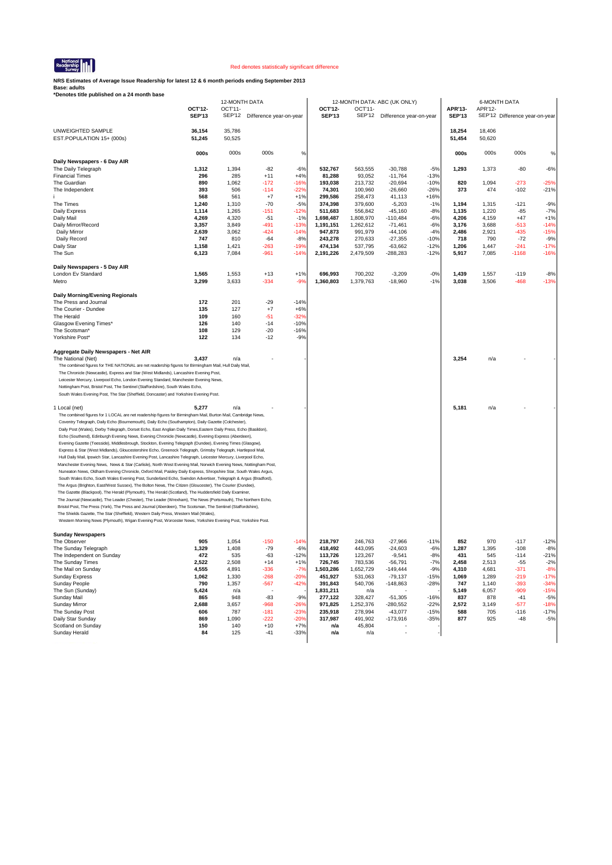

**NRS Estimates of Average Issue Readership for latest 12 & 6 month periods ending September 2013**

|                                                                                                                                                                                                                                                                                                                                                                                                                                                                                                                                                                                                                                                                                                                                                                                                                                                                                                                                                                                                                                                                                                                                                                                                                                                                                                                                                                                                                                                                                                                                                                                                                                                                                                                                                                                                                                                                                                                                                                                                                    |                          | 12-MONTH DATA            |                         |                 |                          |                    | 12-MONTH DATA: ABC (UK ONLY) |                  |                          | <b>6-MONTH DATA</b> |                                |                  |
|--------------------------------------------------------------------------------------------------------------------------------------------------------------------------------------------------------------------------------------------------------------------------------------------------------------------------------------------------------------------------------------------------------------------------------------------------------------------------------------------------------------------------------------------------------------------------------------------------------------------------------------------------------------------------------------------------------------------------------------------------------------------------------------------------------------------------------------------------------------------------------------------------------------------------------------------------------------------------------------------------------------------------------------------------------------------------------------------------------------------------------------------------------------------------------------------------------------------------------------------------------------------------------------------------------------------------------------------------------------------------------------------------------------------------------------------------------------------------------------------------------------------------------------------------------------------------------------------------------------------------------------------------------------------------------------------------------------------------------------------------------------------------------------------------------------------------------------------------------------------------------------------------------------------------------------------------------------------------------------------------------------------|--------------------------|--------------------------|-------------------------|-----------------|--------------------------|--------------------|------------------------------|------------------|--------------------------|---------------------|--------------------------------|------------------|
|                                                                                                                                                                                                                                                                                                                                                                                                                                                                                                                                                                                                                                                                                                                                                                                                                                                                                                                                                                                                                                                                                                                                                                                                                                                                                                                                                                                                                                                                                                                                                                                                                                                                                                                                                                                                                                                                                                                                                                                                                    | OCT'12-<br><b>SEP'13</b> | OCT'11-<br><b>SEP'12</b> | Difference year-on-year |                 | OCT'12-<br><b>SEP'13</b> | OCT'11-<br>SEP'12  | Difference year-on-year      |                  | APR'13-<br><b>SEP'13</b> | APR'12-             | SEP'12 Difference year-on-year |                  |
| UNWEIGHTED SAMPLE<br>EST.POPULATION 15+ (000s)                                                                                                                                                                                                                                                                                                                                                                                                                                                                                                                                                                                                                                                                                                                                                                                                                                                                                                                                                                                                                                                                                                                                                                                                                                                                                                                                                                                                                                                                                                                                                                                                                                                                                                                                                                                                                                                                                                                                                                     | 36,154<br>51,245         | 35,786<br>50,525         |                         |                 |                          |                    |                              |                  | 18,254<br>51,454         | 18,406<br>50,620    |                                |                  |
|                                                                                                                                                                                                                                                                                                                                                                                                                                                                                                                                                                                                                                                                                                                                                                                                                                                                                                                                                                                                                                                                                                                                                                                                                                                                                                                                                                                                                                                                                                                                                                                                                                                                                                                                                                                                                                                                                                                                                                                                                    | 000s                     | 000s                     | 000s                    | %               |                          |                    |                              |                  | 000s                     | 000s                | 000s                           | %                |
| Daily Newspapers - 6 Day AIR                                                                                                                                                                                                                                                                                                                                                                                                                                                                                                                                                                                                                                                                                                                                                                                                                                                                                                                                                                                                                                                                                                                                                                                                                                                                                                                                                                                                                                                                                                                                                                                                                                                                                                                                                                                                                                                                                                                                                                                       |                          |                          |                         |                 |                          |                    |                              |                  |                          |                     |                                |                  |
| The Daily Telegraph                                                                                                                                                                                                                                                                                                                                                                                                                                                                                                                                                                                                                                                                                                                                                                                                                                                                                                                                                                                                                                                                                                                                                                                                                                                                                                                                                                                                                                                                                                                                                                                                                                                                                                                                                                                                                                                                                                                                                                                                | 1,312                    | 1,394                    | $-82$                   | $-6%$           | 532.767                  | 563,555            | $-30,788$                    | $-5%$            | 1,293                    | 1,373               | $-80$                          | $-6%$            |
| <b>Financial Times</b>                                                                                                                                                                                                                                                                                                                                                                                                                                                                                                                                                                                                                                                                                                                                                                                                                                                                                                                                                                                                                                                                                                                                                                                                                                                                                                                                                                                                                                                                                                                                                                                                                                                                                                                                                                                                                                                                                                                                                                                             | 296                      | 285                      | $+11$                   | $+4%$           | 81,288                   | 93,052             | $-11,764$                    | $-13%$           |                          |                     |                                |                  |
| The Guardian                                                                                                                                                                                                                                                                                                                                                                                                                                                                                                                                                                                                                                                                                                                                                                                                                                                                                                                                                                                                                                                                                                                                                                                                                                                                                                                                                                                                                                                                                                                                                                                                                                                                                                                                                                                                                                                                                                                                                                                                       | 890                      | 1,062                    | $-172$                  | $-16%$          | 193,038                  | 213,732            | $-20,694$                    | $-10%$           | 820                      | 1,094               | $-273$                         | $-25%$           |
| The Independent                                                                                                                                                                                                                                                                                                                                                                                                                                                                                                                                                                                                                                                                                                                                                                                                                                                                                                                                                                                                                                                                                                                                                                                                                                                                                                                                                                                                                                                                                                                                                                                                                                                                                                                                                                                                                                                                                                                                                                                                    | 393<br>568               | 506<br>561               | $-114$<br>$+7$          | $-22%$<br>$+1%$ | 74,301<br>299,586        | 100,960<br>258,473 | $-26,660$<br>41,113          | $-26%$<br>$+16%$ | 373                      | 474                 | $-102$                         | $-21%$           |
| The Times                                                                                                                                                                                                                                                                                                                                                                                                                                                                                                                                                                                                                                                                                                                                                                                                                                                                                                                                                                                                                                                                                                                                                                                                                                                                                                                                                                                                                                                                                                                                                                                                                                                                                                                                                                                                                                                                                                                                                                                                          | 1,240                    | 1,310                    | $-70$                   | $-5%$           | 374,398                  | 379,600            | $-5,203$                     | $-1%$            | 1,194                    | 1,315               | $-121$                         | $-9%$            |
| Daily Express                                                                                                                                                                                                                                                                                                                                                                                                                                                                                                                                                                                                                                                                                                                                                                                                                                                                                                                                                                                                                                                                                                                                                                                                                                                                                                                                                                                                                                                                                                                                                                                                                                                                                                                                                                                                                                                                                                                                                                                                      | 1,114                    | 1,265                    | $-151$                  | $-12%$          | 511,683                  | 556,842            | $-45,160$                    | $-8%$            | 1,135                    | 1,220               | $-85$                          | $-7%$            |
| Daily Mail                                                                                                                                                                                                                                                                                                                                                                                                                                                                                                                                                                                                                                                                                                                                                                                                                                                                                                                                                                                                                                                                                                                                                                                                                                                                                                                                                                                                                                                                                                                                                                                                                                                                                                                                                                                                                                                                                                                                                                                                         | 4,269                    | 4,320                    | $-51$                   | $-1%$           | 1,698,487                | 1,808,970          | $-110.484$                   | $-6%$            | 4,206                    | 4,159               | $+47$                          | $+1%$            |
| Daily Mirror/Record                                                                                                                                                                                                                                                                                                                                                                                                                                                                                                                                                                                                                                                                                                                                                                                                                                                                                                                                                                                                                                                                                                                                                                                                                                                                                                                                                                                                                                                                                                                                                                                                                                                                                                                                                                                                                                                                                                                                                                                                | 3,357                    | 3,849                    | -491                    | $-13%$          | 1,191,151                | 1,262,612          | $-71,461$                    | $-6%$            | 3,176                    | 3,688               | -513                           | $-14%$           |
| Daily Mirror                                                                                                                                                                                                                                                                                                                                                                                                                                                                                                                                                                                                                                                                                                                                                                                                                                                                                                                                                                                                                                                                                                                                                                                                                                                                                                                                                                                                                                                                                                                                                                                                                                                                                                                                                                                                                                                                                                                                                                                                       | 2,639                    | 3,062                    | $-424$                  | $-14%$          | 947,873                  | 991,979            | $-44,106$                    | $-4%$            | 2,486                    | 2,921               | $-435$                         | $-15%$           |
| Daily Record                                                                                                                                                                                                                                                                                                                                                                                                                                                                                                                                                                                                                                                                                                                                                                                                                                                                                                                                                                                                                                                                                                                                                                                                                                                                                                                                                                                                                                                                                                                                                                                                                                                                                                                                                                                                                                                                                                                                                                                                       | 747                      | 810                      | -64                     | $-8%$           | 243,278                  | 270,633            | $-27,355$                    | $-10%$           | 718                      | 790                 | $-72$                          | $-9%$            |
| Daily Star                                                                                                                                                                                                                                                                                                                                                                                                                                                                                                                                                                                                                                                                                                                                                                                                                                                                                                                                                                                                                                                                                                                                                                                                                                                                                                                                                                                                                                                                                                                                                                                                                                                                                                                                                                                                                                                                                                                                                                                                         | 1,158                    | 1,421                    | $-263$                  | $-19%$          | 474,134                  | 537,795            | $-63,662$                    | $-12%$           | 1,206                    | 1,447               | $-241$                         | $-17%$           |
| The Sun                                                                                                                                                                                                                                                                                                                                                                                                                                                                                                                                                                                                                                                                                                                                                                                                                                                                                                                                                                                                                                                                                                                                                                                                                                                                                                                                                                                                                                                                                                                                                                                                                                                                                                                                                                                                                                                                                                                                                                                                            | 6,123                    | 7,084                    | -961                    | $-14%$          | 2,191,226                | 2,479,509          | -288,283                     | $-12%$           | 5,917                    | 7,085               | -1168                          | -16%             |
| Daily Newspapers - 5 Day AIR                                                                                                                                                                                                                                                                                                                                                                                                                                                                                                                                                                                                                                                                                                                                                                                                                                                                                                                                                                                                                                                                                                                                                                                                                                                                                                                                                                                                                                                                                                                                                                                                                                                                                                                                                                                                                                                                                                                                                                                       |                          |                          |                         |                 |                          |                    |                              |                  |                          |                     |                                |                  |
| London Ev Standard                                                                                                                                                                                                                                                                                                                                                                                                                                                                                                                                                                                                                                                                                                                                                                                                                                                                                                                                                                                                                                                                                                                                                                                                                                                                                                                                                                                                                                                                                                                                                                                                                                                                                                                                                                                                                                                                                                                                                                                                 | 1,565                    | 1,553                    | $+13$                   | $+1%$           | 696,993                  | 700,202            | $-3,209$                     | $-0%$            | 1,439                    | 1,557               | $-119$                         | $-8%$            |
| Metro                                                                                                                                                                                                                                                                                                                                                                                                                                                                                                                                                                                                                                                                                                                                                                                                                                                                                                                                                                                                                                                                                                                                                                                                                                                                                                                                                                                                                                                                                                                                                                                                                                                                                                                                                                                                                                                                                                                                                                                                              | 3,299                    | 3,633                    | $-334$                  | $-9%$           | 1,360,803                | 1,379,763          | $-18,960$                    | $-1%$            | 3,038                    | 3,506               | $-468$                         | $-13%$           |
| Daily Morning/Evening Regionals                                                                                                                                                                                                                                                                                                                                                                                                                                                                                                                                                                                                                                                                                                                                                                                                                                                                                                                                                                                                                                                                                                                                                                                                                                                                                                                                                                                                                                                                                                                                                                                                                                                                                                                                                                                                                                                                                                                                                                                    |                          |                          |                         |                 |                          |                    |                              |                  |                          |                     |                                |                  |
| The Press and Journal                                                                                                                                                                                                                                                                                                                                                                                                                                                                                                                                                                                                                                                                                                                                                                                                                                                                                                                                                                                                                                                                                                                                                                                                                                                                                                                                                                                                                                                                                                                                                                                                                                                                                                                                                                                                                                                                                                                                                                                              | 172                      | 201                      | $-29$                   | $-14%$          |                          |                    |                              |                  |                          |                     |                                |                  |
| The Courier - Dundee                                                                                                                                                                                                                                                                                                                                                                                                                                                                                                                                                                                                                                                                                                                                                                                                                                                                                                                                                                                                                                                                                                                                                                                                                                                                                                                                                                                                                                                                                                                                                                                                                                                                                                                                                                                                                                                                                                                                                                                               | 135                      | 127                      | $+7$                    | $+6%$           |                          |                    |                              |                  |                          |                     |                                |                  |
| The Herald                                                                                                                                                                                                                                                                                                                                                                                                                                                                                                                                                                                                                                                                                                                                                                                                                                                                                                                                                                                                                                                                                                                                                                                                                                                                                                                                                                                                                                                                                                                                                                                                                                                                                                                                                                                                                                                                                                                                                                                                         | 109                      | 160                      | $-51$                   | $-32%$          |                          |                    |                              |                  |                          |                     |                                |                  |
| Glasgow Evening Times*                                                                                                                                                                                                                                                                                                                                                                                                                                                                                                                                                                                                                                                                                                                                                                                                                                                                                                                                                                                                                                                                                                                                                                                                                                                                                                                                                                                                                                                                                                                                                                                                                                                                                                                                                                                                                                                                                                                                                                                             | 126                      | 140                      | $-14$                   | $-10%$          |                          |                    |                              |                  |                          |                     |                                |                  |
| The Scotsman*<br>Yorkshire Post*                                                                                                                                                                                                                                                                                                                                                                                                                                                                                                                                                                                                                                                                                                                                                                                                                                                                                                                                                                                                                                                                                                                                                                                                                                                                                                                                                                                                                                                                                                                                                                                                                                                                                                                                                                                                                                                                                                                                                                                   | 108<br>122               | 129<br>134               | $-20$<br>$-12$          | $-16%$<br>$-9%$ |                          |                    |                              |                  |                          |                     |                                |                  |
| The National (Net)<br>The combined figures for THE NATIONAL are net readership figures for Birmingham Mail, Hull Daily Mail,<br>The Chronicle (Newcastle), Express and Star (West Midlands), Lancashire Evening Post,<br>Leicester Mercury, Liverpool Echo, London Evening Standard, Manchester Evening News,<br>Nottingham Post, Bristol Post, The Sentinel (Staffordshire), South Wales Echo,<br>South Wales Evening Post, The Star (Sheffield, Doncaster) and Yorkshire Evening Post.<br>1 Local (net)<br>The combined figures for 1 LOCAL are net readership figures for Birmingham Mail, Burton Mail, Cambridge News,<br>Coventry Telegraph, Daily Echo (Bournemouth), Daily Echo (Southampton), Daily Gazette (Colchester),<br>Daily Post (Wales), Derby Telegraph, Dorset Echo, East Anglian Daily Times, Eastern Daily Press, Echo (Basildon),<br>Echo (Southend), Edinburgh Evening News, Evening Chronicle (Newcastle), Evening Express (Aberdeen),<br>Evening Gazette (Teesside), Middlesbrough, Stockton, Evening Telegraph (Dundee), Evening Times (Glasgow),<br>Express & Star (West Midlands), Gloucestershire Echo, Greenock Telegraph, Grimsby Telegraph, Hartlepool Mail,<br>Hull Daily Mail, Ipswich Star, Lancashire Evening Post, Lancashire Telegraph, Leicester Mercury, Liverpool Echo,<br>Manchester Evening News, News & Star (Carlisle), North West Evening Mail, Norwich Evening News, Nottingham Post,<br>Nuneaton News, Oldham Evening Chronicle, Oxford Mail, Paisley Daily Express, Shropshire Star, South Wales Argus,<br>South Wales Echo, South Wales Evening Post, Sunderland Echo, Swindon Advertiser, Telegraph & Argus (Bradford),<br>The Argus (Brighton, East/West Sussex), The Bolton News, The Citizen (Gloucester), The Courier (Dundee),<br>The Gazette (Blackpool), The Herald (Plymouth), The Herald (Scotland), The Huddersfield Daily Examiner,<br>The Journal (Newcastle), The Leader (Chester), The Leader (Wrexham), The News (Portsmouth), The Northern Echo, | 3,437<br>5,277           | n/a<br>n/a               |                         |                 |                          |                    |                              |                  | 3,254<br>5,181           | n/a<br>n/a          |                                |                  |
| Bristol Post, The Press (York), The Press and Journal (Aberdeen), The Scotsman, The Sentinel (Staffordshire),<br>The Shields Gazette, The Star (Sheffield), Western Daily Press, Western Mail (Wales),<br>Western Morning News (Plymouth), Wigan Evening Post, Worcester News, Yorkshire Evening Post, Yorkshire Post.                                                                                                                                                                                                                                                                                                                                                                                                                                                                                                                                                                                                                                                                                                                                                                                                                                                                                                                                                                                                                                                                                                                                                                                                                                                                                                                                                                                                                                                                                                                                                                                                                                                                                             |                          |                          |                         |                 |                          |                    |                              |                  |                          |                     |                                |                  |
| <b>Sunday Newspapers</b><br>The Observer                                                                                                                                                                                                                                                                                                                                                                                                                                                                                                                                                                                                                                                                                                                                                                                                                                                                                                                                                                                                                                                                                                                                                                                                                                                                                                                                                                                                                                                                                                                                                                                                                                                                                                                                                                                                                                                                                                                                                                           | 905                      | 1,054                    | $-150$                  | $-14%$          | 218,797                  | 246,763            | $-27,966$                    | $-11%$           | 852                      | 970                 | $-117$                         | $-12%$           |
| The Sunday Telegraph                                                                                                                                                                                                                                                                                                                                                                                                                                                                                                                                                                                                                                                                                                                                                                                                                                                                                                                                                                                                                                                                                                                                                                                                                                                                                                                                                                                                                                                                                                                                                                                                                                                                                                                                                                                                                                                                                                                                                                                               | 1,329                    | 1,408                    | $-79$                   | $-6%$           | 418,492                  | 443,095            | $-24,603$                    | $-6%$            | 1,287                    | 1,395               | $-108$                         | $-8%$            |
| The Independent on Sunday                                                                                                                                                                                                                                                                                                                                                                                                                                                                                                                                                                                                                                                                                                                                                                                                                                                                                                                                                                                                                                                                                                                                                                                                                                                                                                                                                                                                                                                                                                                                                                                                                                                                                                                                                                                                                                                                                                                                                                                          | 472                      | 535                      | $-63$                   | $-12%$          | 113,726                  | 123,267            | $-9,541$                     | $-8%$            | 431                      | 545                 | $-114$                         | $-21%$           |
| The Sunday Times                                                                                                                                                                                                                                                                                                                                                                                                                                                                                                                                                                                                                                                                                                                                                                                                                                                                                                                                                                                                                                                                                                                                                                                                                                                                                                                                                                                                                                                                                                                                                                                                                                                                                                                                                                                                                                                                                                                                                                                                   | 2,522                    | 2,508                    | $+14$                   | $+1%$           | 726,745                  | 783,536            | -56,791                      | $-7%$            | 2,458                    | 2,513               | $-55$                          | $-2%$            |
| The Mail on Sunday                                                                                                                                                                                                                                                                                                                                                                                                                                                                                                                                                                                                                                                                                                                                                                                                                                                                                                                                                                                                                                                                                                                                                                                                                                                                                                                                                                                                                                                                                                                                                                                                                                                                                                                                                                                                                                                                                                                                                                                                 | 4,555                    | 4,891                    | $-336$                  | $-7%$           | 1,503,286                | 1,652,729          | $-149,444$                   | $-9%$            | 4,310                    | 4,681               | $-371$                         | $-8%$            |
| Sunday Express                                                                                                                                                                                                                                                                                                                                                                                                                                                                                                                                                                                                                                                                                                                                                                                                                                                                                                                                                                                                                                                                                                                                                                                                                                                                                                                                                                                                                                                                                                                                                                                                                                                                                                                                                                                                                                                                                                                                                                                                     | 1,062                    | 1,330                    | $-268$                  | $-20%$          | 451,927                  | 531,063            | $-79,137$                    | $-15%$           | 1,069                    | 1,289               | $-219$                         | $-17%$           |
| Sunday People<br>The Sun (Sunday)                                                                                                                                                                                                                                                                                                                                                                                                                                                                                                                                                                                                                                                                                                                                                                                                                                                                                                                                                                                                                                                                                                                                                                                                                                                                                                                                                                                                                                                                                                                                                                                                                                                                                                                                                                                                                                                                                                                                                                                  | 790<br>5,424             | 1,357<br>n/a             | $-567$                  | $-42%$          | 391,843<br>1,831,211     | 540,706<br>n/a     | $-148,863$                   | $-28%$           | 747<br>5,149             | 1,140<br>6,057      | $-393$<br>$-909$               | $-34%$<br>$-15%$ |
| Sunday Mail                                                                                                                                                                                                                                                                                                                                                                                                                                                                                                                                                                                                                                                                                                                                                                                                                                                                                                                                                                                                                                                                                                                                                                                                                                                                                                                                                                                                                                                                                                                                                                                                                                                                                                                                                                                                                                                                                                                                                                                                        | 865                      | 948                      | $-83$                   | $-9%$           | 277,122                  | 328,427            | $-51,305$                    | $-16%$           | 837                      | 878                 | $-41$                          | $-5%$            |
| Sunday Mirror                                                                                                                                                                                                                                                                                                                                                                                                                                                                                                                                                                                                                                                                                                                                                                                                                                                                                                                                                                                                                                                                                                                                                                                                                                                                                                                                                                                                                                                                                                                                                                                                                                                                                                                                                                                                                                                                                                                                                                                                      | 2,688                    | 3,657                    | $-968$                  | $-26%$          | 971,825                  | 1,252,376          | -280,552                     | $-22%$           | 2,572                    | 3,149               | -577                           | -18%             |
| The Sunday Post                                                                                                                                                                                                                                                                                                                                                                                                                                                                                                                                                                                                                                                                                                                                                                                                                                                                                                                                                                                                                                                                                                                                                                                                                                                                                                                                                                                                                                                                                                                                                                                                                                                                                                                                                                                                                                                                                                                                                                                                    | 606                      | 787                      | $-181$                  | $-23%$          | 235,918                  | 278,994            | $-43,077$                    | $-15%$           | 588                      | 705                 | $-116$                         | $-17%$           |
| Daily Star Sunday                                                                                                                                                                                                                                                                                                                                                                                                                                                                                                                                                                                                                                                                                                                                                                                                                                                                                                                                                                                                                                                                                                                                                                                                                                                                                                                                                                                                                                                                                                                                                                                                                                                                                                                                                                                                                                                                                                                                                                                                  | 869                      | 1,090                    | $-222$                  | $-20%$          | 317,987                  | 491,902            | $-173,916$                   | $-35%$           | 877                      | 925                 | $-48$                          | $-5%$            |
| Scotland on Sunday                                                                                                                                                                                                                                                                                                                                                                                                                                                                                                                                                                                                                                                                                                                                                                                                                                                                                                                                                                                                                                                                                                                                                                                                                                                                                                                                                                                                                                                                                                                                                                                                                                                                                                                                                                                                                                                                                                                                                                                                 | 150                      | 140                      | $+10$                   | $+7%$           | n/a                      | 45,804             |                              |                  |                          |                     |                                |                  |
| Sunday Herald                                                                                                                                                                                                                                                                                                                                                                                                                                                                                                                                                                                                                                                                                                                                                                                                                                                                                                                                                                                                                                                                                                                                                                                                                                                                                                                                                                                                                                                                                                                                                                                                                                                                                                                                                                                                                                                                                                                                                                                                      | 84                       | 125                      | $-41$                   | $-33%$          | n/a                      | n/a                |                              |                  |                          |                     |                                |                  |
|                                                                                                                                                                                                                                                                                                                                                                                                                                                                                                                                                                                                                                                                                                                                                                                                                                                                                                                                                                                                                                                                                                                                                                                                                                                                                                                                                                                                                                                                                                                                                                                                                                                                                                                                                                                                                                                                                                                                                                                                                    |                          |                          |                         |                 |                          |                    |                              |                  |                          |                     |                                |                  |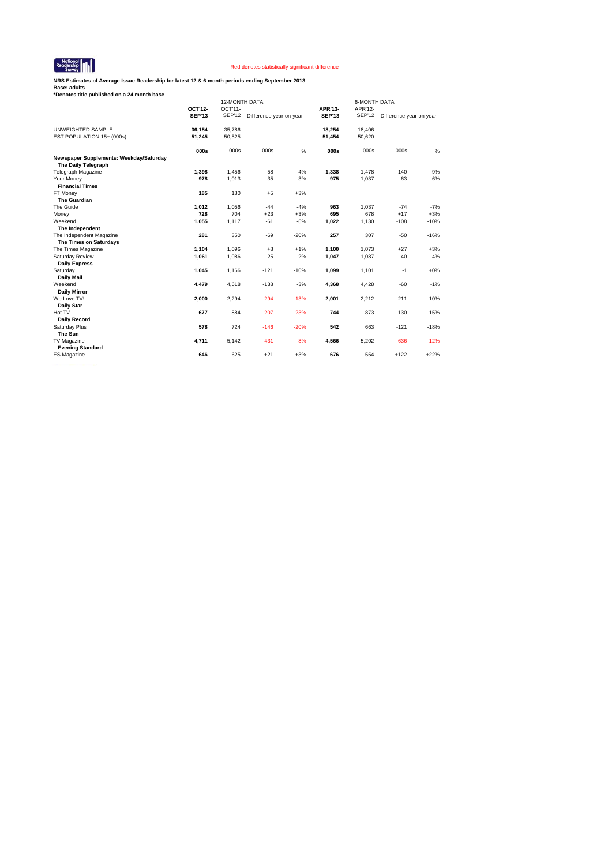

**NRS Estimates of Average Issue Readership for latest 12 & 6 month periods ending September 2013**

| *Denotes title published on a 24 month base                    |                          |               |                         |        |               |                     |                         |        |
|----------------------------------------------------------------|--------------------------|---------------|-------------------------|--------|---------------|---------------------|-------------------------|--------|
|                                                                |                          | 12-MONTH DATA |                         |        |               | <b>6-MONTH DATA</b> |                         |        |
|                                                                | OCT'12-<br><b>SEP'13</b> | $OCT'11-$     |                         |        | APR'13-       | APR'12-             |                         |        |
|                                                                |                          | SEP'12        | Difference year-on-year |        | <b>SEP'13</b> | <b>SEP'12</b>       | Difference year-on-year |        |
| UNWEIGHTED SAMPLE                                              | 36,154                   | 35,786        |                         |        | 18.254        | 18,406              |                         |        |
| EST.POPULATION 15+ (000s)                                      | 51,245                   | 50,525        |                         |        | 51,454        | 50,620              |                         |        |
|                                                                | 000s                     | 000s          | 000s                    | $\%$   | 000s          | 000s                | 000s                    | $\%$   |
| Newspaper Supplements: Weekday/Saturday<br>The Daily Telegraph |                          |               |                         |        |               |                     |                         |        |
| <b>Telegraph Magazine</b>                                      | 1,398                    | 1,456         | $-58$                   | $-4%$  | 1.338         | 1.478               | $-140$                  | $-9%$  |
| Your Money                                                     | 978                      | 1,013         | $-35$                   | $-3%$  | 975           | 1,037               | $-63$                   | $-6%$  |
| <b>Financial Times</b>                                         |                          |               |                         |        |               |                     |                         |        |
| FT Money                                                       | 185                      | 180           | $+5$                    | $+3%$  |               |                     |                         |        |
| <b>The Guardian</b>                                            |                          |               |                         |        |               |                     |                         |        |
| The Guide                                                      | 1,012                    | 1,056         | $-44$                   | $-4%$  | 963           | 1,037               | $-74$                   | $-7%$  |
| Money                                                          | 728                      | 704           | $+23$                   | $+3%$  | 695           | 678                 | $+17$                   | $+3%$  |
| Weekend                                                        | 1,055                    | 1,117         | $-61$                   | $-6%$  | 1,022         | 1,130               | $-108$                  | $-10%$ |
| The Independent                                                |                          |               |                         |        |               |                     |                         |        |
| The Independent Magazine                                       | 281                      | 350           | $-69$                   | $-20%$ | 257           | 307                 | $-50$                   | $-16%$ |
| The Times on Saturdays                                         |                          |               |                         |        |               |                     |                         |        |
| The Times Magazine                                             | 1,104                    | 1,096         | $+8$                    | $+1%$  | 1,100         | 1,073               | $+27$                   | $+3%$  |
| Saturday Review                                                | 1,061                    | 1,086         | $-25$                   | $-2%$  | 1,047         | 1,087               | $-40$                   | $-4%$  |
| <b>Daily Express</b>                                           |                          |               |                         |        |               |                     |                         |        |
| Saturday                                                       | 1,045                    | 1,166         | $-121$                  | $-10%$ | 1,099         | 1,101               | $-1$                    | $+0%$  |
| <b>Daily Mail</b><br>Weekend                                   |                          |               |                         |        |               |                     |                         |        |
|                                                                | 4,479                    | 4,618         | $-138$                  | $-3%$  | 4,368         | 4,428               | $-60$                   | $-1%$  |
| <b>Daily Mirror</b><br>We Love TV!                             | 2,000                    | 2,294         | $-294$                  | $-13%$ | 2,001         | 2,212               | $-211$                  | $-10%$ |
| <b>Daily Star</b>                                              |                          |               |                         |        |               |                     |                         |        |
| Hot TV                                                         | 677                      | 884           | $-207$                  | $-23%$ | 744           | 873                 | $-130$                  | $-15%$ |
| Daily Record                                                   |                          |               |                         |        |               |                     |                         |        |
| Saturday Plus                                                  | 578                      | 724           | $-146$                  | $-20%$ | 542           | 663                 | $-121$                  | $-18%$ |
| The Sun                                                        |                          |               |                         |        |               |                     |                         |        |
| TV Magazine                                                    | 4,711                    | 5,142         | $-431$                  | $-8%$  | 4,566         | 5,202               | $-636$                  | $-12%$ |
| <b>Evening Standard</b>                                        |                          |               |                         |        |               |                     |                         |        |
| <b>ES Magazine</b>                                             | 646                      | 625           | $+21$                   | $+3%$  | 676           | 554                 | $+122$                  | $+22%$ |
|                                                                |                          |               |                         |        |               |                     |                         |        |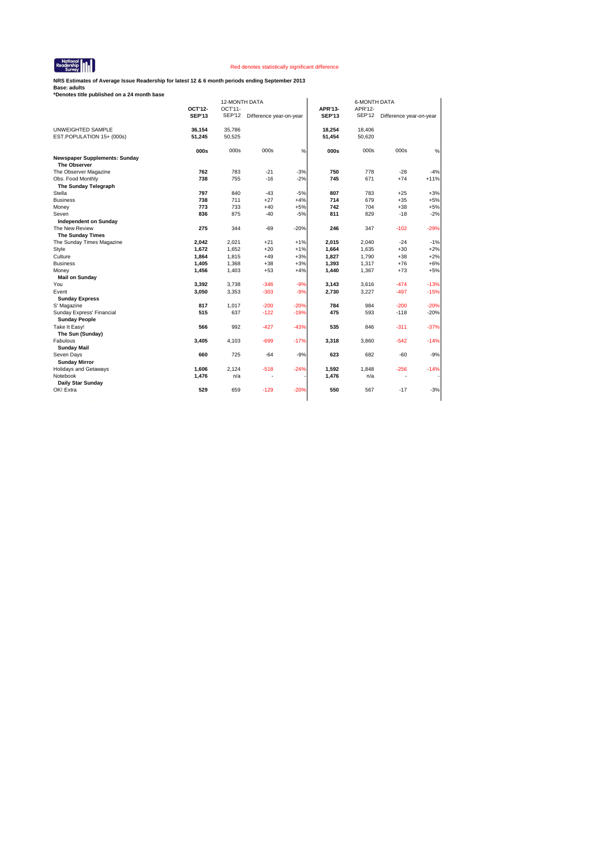

**NRS Estimates of Average Issue Readership for latest 12 & 6 month periods ending September 2013**

|                                                             |               | 12-MONTH DATA |                         |        | <b>6-MONTH DATA</b> |               |                         |        |  |
|-------------------------------------------------------------|---------------|---------------|-------------------------|--------|---------------------|---------------|-------------------------|--------|--|
|                                                             | OCT'12-       | OCT'11-       |                         |        | APR'13-             | APR'12-       |                         |        |  |
|                                                             | <b>SEP'13</b> | <b>SEP'12</b> | Difference year-on-year |        | <b>SEP'13</b>       | <b>SEP'12</b> | Difference year-on-year |        |  |
| UNWEIGHTED SAMPLE                                           | 36,154        | 35,786        |                         |        | 18,254              | 18,406        |                         |        |  |
| EST.POPULATION 15+ (000s)                                   | 51,245        | 50,525        |                         |        | 51,454              | 50,620        |                         |        |  |
|                                                             | 000s          | 000s          | 000s                    | %      | 000s                | 000s          | 000s                    | %      |  |
| <b>Newspaper Supplements: Sunday</b><br><b>The Observer</b> |               |               |                         |        |                     |               |                         |        |  |
| The Observer Magazine                                       | 762           | 783           | $-21$                   | $-3%$  | 750                 | 778           | $-28$                   | $-4%$  |  |
| Obs. Food Monthly                                           | 738           | 755           | $-16$                   | $-2%$  | 745                 | 671           | $+74$                   | $+11%$ |  |
| The Sunday Telegraph                                        |               |               |                         |        |                     |               |                         |        |  |
| Stella                                                      | 797           | 840           | $-43$                   | $-5%$  | 807                 | 783           | $+25$                   | $+3%$  |  |
| <b>Business</b>                                             | 738           | 711           | $+27$                   | $+4%$  | 714                 | 679           | $+35$                   | $+5%$  |  |
| Money                                                       | 773           | 733           | $+40$                   | $+5%$  | 742                 | 704           | $+38$                   | $+5%$  |  |
| Seven                                                       | 836           | 875           | $-40$                   | $-5%$  | 811                 | 829           | $-18$                   | $-2%$  |  |
| <b>Independent on Sunday</b>                                |               |               |                         |        |                     |               |                         |        |  |
| The New Review                                              | 275           | 344           | $-69$                   | $-20%$ | 246                 | 347           | $-102$                  | $-29%$ |  |
| <b>The Sunday Times</b>                                     |               |               |                         |        |                     |               |                         |        |  |
| The Sunday Times Magazine                                   | 2,042         | 2,021         | $+21$                   | $+1%$  | 2,015               | 2.040         | $-24$                   | $-1%$  |  |
| Style                                                       | 1,672         | 1,652         | $+20$                   | $+1%$  | 1,664               | 1,635         | $+30$                   | $+2%$  |  |
| Culture                                                     | 1,864         | 1,815         | $+49$                   | $+3%$  | 1,827               | 1,790         | $+38$                   | $+2%$  |  |
| <b>Business</b>                                             | 1,405         | 1,368         | $+38$                   | $+3%$  | 1,393               | 1,317         | $+76$                   | $+6%$  |  |
| Money                                                       | 1,456         | 1,403         | $+53$                   | $+4%$  | 1,440               | 1,367         | $+73$                   | $+5%$  |  |
| <b>Mail on Sunday</b>                                       |               |               |                         |        |                     |               |                         |        |  |
| You                                                         | 3,392         | 3,738         | $-346$                  | $-9%$  | 3,143               | 3,616         | $-474$                  | $-13%$ |  |
| Event                                                       | 3,050         | 3,353         | $-303$                  | $-9%$  | 2,730               | 3,227         | $-497$                  | $-15%$ |  |
| <b>Sunday Express</b>                                       |               |               |                         |        |                     |               |                         |        |  |
| S' Magazine                                                 | 817           | 1,017         | $-200$                  | $-20%$ | 784                 | 984           | $-200$                  | $-20%$ |  |
| Sunday Express' Financial<br><b>Sunday People</b>           | 515           | 637           | $-122$                  | $-19%$ | 475                 | 593           | $-118$                  | $-20%$ |  |
| Take It Easy!<br>The Sun (Sunday)                           | 566           | 992           | $-427$                  | $-43%$ | 535                 | 846           | $-311$                  | $-37%$ |  |
| Fabulous                                                    | 3,405         | 4,103         | $-699$                  | $-17%$ | 3,318               | 3,860         | $-542$                  | $-14%$ |  |
| <b>Sunday Mail</b>                                          |               |               |                         |        |                     |               |                         |        |  |
| Seven Days                                                  | 660           | 725           | $-64$                   | $-9%$  | 623                 | 682           | $-60$                   | $-9%$  |  |
| <b>Sunday Mirror</b>                                        |               |               |                         |        |                     |               |                         |        |  |
| <b>Holidays and Getaways</b>                                | 1,606         | 2,124         | $-518$                  | $-24%$ | 1,592               | 1,848         | $-256$                  | $-14%$ |  |
| Notebook                                                    | 1,476         | n/a           | ٠                       |        | 1,476               | n/a           | ٠                       |        |  |
| Daily Star Sunday                                           |               |               |                         |        |                     |               |                         |        |  |
| OK! Extra                                                   | 529           | 659           | $-129$                  | $-20%$ | 550                 | 567           | $-17$                   | $-3%$  |  |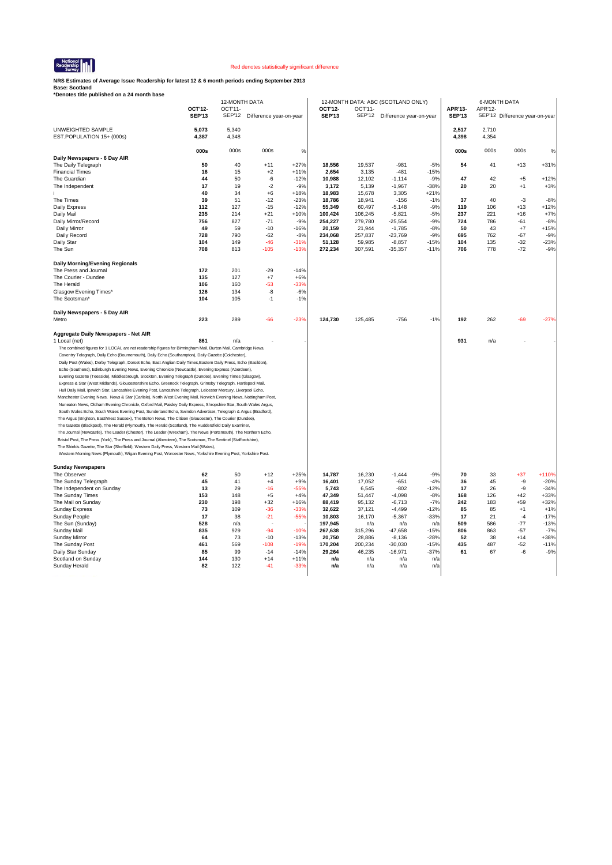

**NRS Estimates of Average Issue Readership for latest 12 & 6 month periods ending September 2013**

|                                                                                                                                                                                                                            |               | 12-MONTH DATA |                         |                  |                 |                 | 12-MONTH DATA: ABC (SCOTLAND ONLY) |                 |               | <b>6-MONTH DATA</b> |                                |                  |
|----------------------------------------------------------------------------------------------------------------------------------------------------------------------------------------------------------------------------|---------------|---------------|-------------------------|------------------|-----------------|-----------------|------------------------------------|-----------------|---------------|---------------------|--------------------------------|------------------|
|                                                                                                                                                                                                                            | OCT'12-       | OCT'11-       |                         |                  | OCT'12-         | OCT'11-         |                                    |                 | APR'13-       | APR'12-             |                                |                  |
|                                                                                                                                                                                                                            | <b>SEP'13</b> | <b>SEP'12</b> | Difference year-on-year |                  | <b>SEP'13</b>   | <b>SEP'12</b>   | Difference year-on-year            |                 | <b>SEP'13</b> |                     | SEP'12 Difference year-on-year |                  |
| UNWEIGHTED SAMPLE                                                                                                                                                                                                          | 5,073         | 5,340         |                         |                  |                 |                 |                                    |                 | 2,517         | 2,710               |                                |                  |
| EST.POPULATION 15+ (000s)                                                                                                                                                                                                  | 4,387         | 4,348         |                         |                  |                 |                 |                                    |                 | 4,398         | 4,354               |                                |                  |
|                                                                                                                                                                                                                            |               |               |                         |                  |                 |                 |                                    |                 |               |                     |                                |                  |
|                                                                                                                                                                                                                            | 000s          | 000s          | 000s                    | %                |                 |                 |                                    |                 | 000s          | 000s                | 000s                           | %                |
| Daily Newspapers - 6 Day AIR                                                                                                                                                                                               |               |               |                         |                  |                 |                 |                                    |                 |               |                     |                                |                  |
| The Daily Telegraph                                                                                                                                                                                                        | 50            | 40            | $+11$                   | $+27%$           | 18,556          | 19,537          | $-981$                             | $-5%$           | 54            | 41                  | $+13$                          | $+31%$           |
| <b>Financial Times</b>                                                                                                                                                                                                     | 16<br>44      | 15            | $+2$                    | $+11%$           | 2,654           | 3,135           | $-481$                             | $-15%$          | 47            |                     |                                |                  |
| The Guardian<br>The Independent                                                                                                                                                                                            | 17            | 50<br>19      | $-6$<br>$-2$            | $-12%$<br>$-9%$  | 10,988<br>3,172 | 12,102<br>5,139 | $-1,114$<br>$-1,967$               | $-9%$<br>$-38%$ | 20            | 42<br>20            | $+5$<br>$+1$                   | $+12%$<br>$+3%$  |
|                                                                                                                                                                                                                            | 40            | 34            | $+6$                    | $+18%$           | 18,983          | 15,678          | 3,305                              | $+21%$          |               |                     |                                |                  |
| The Times                                                                                                                                                                                                                  | 39            | 51            | $-12$                   | $-23%$           | 18,786          | 18,941          | $-156$                             | $-1%$           | 37            | 40                  | $-3$                           | $-8%$            |
| Daily Express                                                                                                                                                                                                              | 112           | 127           | $-15$                   | $-12%$           | 55,349          | 60,497          | $-5,148$                           | $-9%$           | 119           | 106                 | $+13$                          | $+12%$           |
| Daily Mail                                                                                                                                                                                                                 | 235           | 214           | $+21$                   | $+10%$           | 100,424         | 106,245         | $-5,821$                           | $-5%$           | 237           | 221                 | $+16$                          | $+7%$            |
| Daily Mirror/Record                                                                                                                                                                                                        | 756           | 827           | $-71$                   | $-9%$            | 254,227         | 279,780         | $-25,554$                          | $-9%$           | 724           | 786                 | $-61$                          | $-8%$            |
| Daily Mirror                                                                                                                                                                                                               | 49            | 59            | $-10$                   | $-16%$           | 20,159          | 21,944          | $-1,785$                           | $-8%$           | 50            | 43                  | $+7$                           | $+15%$           |
| Daily Record                                                                                                                                                                                                               | 728           | 790           | $-62$                   | $-8%$            | 234,068         | 257,837         | $-23,769$                          | $-9%$           | 695           | 762                 | $-67$                          | $-9%$            |
| Daily Star                                                                                                                                                                                                                 | 104           | 149           | $-46$                   | $-31%$           | 51,128          | 59,985          | $-8,857$                           | $-15%$          | 104<br>706    | 135                 | $-32$<br>$-72$                 | $-23%$<br>$-9%$  |
| The Sun                                                                                                                                                                                                                    | 708           | 813           | $-105$                  | $-13%$           | 272,234         | 307,591         | $-35,357$                          | $-11%$          |               | 778                 |                                |                  |
| Daily Morning/Evening Regionals                                                                                                                                                                                            |               |               |                         |                  |                 |                 |                                    |                 |               |                     |                                |                  |
| The Press and Journal                                                                                                                                                                                                      | 172           | 201           | $-29$                   | $-14%$           |                 |                 |                                    |                 |               |                     |                                |                  |
| The Courier - Dundee                                                                                                                                                                                                       | 135           | 127           | $+7$                    | $+6%$            |                 |                 |                                    |                 |               |                     |                                |                  |
| The Herald                                                                                                                                                                                                                 | 106           | 160           | $-53$                   | $-33%$           |                 |                 |                                    |                 |               |                     |                                |                  |
| Glasgow Evening Times*                                                                                                                                                                                                     | 126           | 134           | $-8$                    | $-6%$            |                 |                 |                                    |                 |               |                     |                                |                  |
| The Scotsman*                                                                                                                                                                                                              | 104           | 105           | $-1$                    | $-1%$            |                 |                 |                                    |                 |               |                     |                                |                  |
| Daily Newspapers - 5 Day AIR                                                                                                                                                                                               |               |               |                         |                  |                 |                 |                                    |                 |               |                     |                                |                  |
| Metro                                                                                                                                                                                                                      | 223           | 289           | $-66$                   | $-23%$           | 124,730         | 125,485         | $-756$                             | $-1%$           | 192           | 262                 | $-69$                          | $-27%$           |
|                                                                                                                                                                                                                            |               |               |                         |                  |                 |                 |                                    |                 |               |                     |                                |                  |
| Aggregate Daily Newspapers - Net AIR                                                                                                                                                                                       |               |               |                         |                  |                 |                 |                                    |                 |               |                     |                                |                  |
| 1 Local (net)                                                                                                                                                                                                              | 861           | n/a           |                         |                  |                 |                 |                                    |                 | 931           | n/a                 |                                |                  |
| The combined figures for 1 LOCAL are net readership figures for Birmingham Mail, Burton Mail, Cambridge News,                                                                                                              |               |               |                         |                  |                 |                 |                                    |                 |               |                     |                                |                  |
| Coventry Telegraph, Daily Echo (Bournemouth), Daily Echo (Southampton), Daily Gazette (Colchester),                                                                                                                        |               |               |                         |                  |                 |                 |                                    |                 |               |                     |                                |                  |
| Daily Post (Wales), Derby Telegraph, Dorset Echo, East Anglian Daily Times, Eastern Daily Press, Echo (Basildon),                                                                                                          |               |               |                         |                  |                 |                 |                                    |                 |               |                     |                                |                  |
| Echo (Southend), Edinburgh Evening News, Evening Chronicle (Newcastle), Evening Express (Aberdeen),                                                                                                                        |               |               |                         |                  |                 |                 |                                    |                 |               |                     |                                |                  |
| Evening Gazette (Teesside), Middlesbrough, Stockton, Evening Telegraph (Dundee), Evening Times (Glasgow),<br>Express & Star (West Midlands), Gloucestershire Echo, Greenock Telegraph, Grimsby Telegraph, Hartlepool Mail, |               |               |                         |                  |                 |                 |                                    |                 |               |                     |                                |                  |
| Hull Daily Mail, Ipswich Star, Lancashire Evening Post, Lancashire Telegraph, Leicester Mercury, Liverpool Echo,                                                                                                           |               |               |                         |                  |                 |                 |                                    |                 |               |                     |                                |                  |
| Manchester Evening News, News & Star (Carlisle), North West Evening Mail, Norwich Evening News, Nottingham Post,                                                                                                           |               |               |                         |                  |                 |                 |                                    |                 |               |                     |                                |                  |
| Nuneaton News, Oldham Evening Chronicle, Oxford Mail, Paisley Daily Express, Shropshire Star, South Wales Argus,                                                                                                           |               |               |                         |                  |                 |                 |                                    |                 |               |                     |                                |                  |
| South Wales Echo, South Wales Evening Post, Sunderland Echo, Swindon Advertiser, Telegraph & Argus (Bradford),                                                                                                             |               |               |                         |                  |                 |                 |                                    |                 |               |                     |                                |                  |
| The Argus (Brighton, East/West Sussex), The Bolton News, The Citizen (Gloucester), The Courier (Dundee),                                                                                                                   |               |               |                         |                  |                 |                 |                                    |                 |               |                     |                                |                  |
| The Gazette (Blackpool), The Herald (Plymouth), The Herald (Scotland), The Huddersfield Daily Examiner,                                                                                                                    |               |               |                         |                  |                 |                 |                                    |                 |               |                     |                                |                  |
| The Journal (Newcastle), The Leader (Chester), The Leader (Wrexham), The News (Portsmouth), The Northern Echo,                                                                                                             |               |               |                         |                  |                 |                 |                                    |                 |               |                     |                                |                  |
| Bristol Post, The Press (York), The Press and Journal (Aberdeen), The Scotsman, The Sentinel (Staffordshire),<br>The Shields Gazette, The Star (Sheffield), Western Daily Press, Western Mail (Wales),                     |               |               |                         |                  |                 |                 |                                    |                 |               |                     |                                |                  |
| Western Morning News (Plymouth), Wigan Evening Post, Worcester News, Yorkshire Evening Post, Yorkshire Post.                                                                                                               |               |               |                         |                  |                 |                 |                                    |                 |               |                     |                                |                  |
|                                                                                                                                                                                                                            |               |               |                         |                  |                 |                 |                                    |                 |               |                     |                                |                  |
| <b>Sunday Newspapers</b>                                                                                                                                                                                                   |               |               |                         |                  |                 |                 |                                    |                 |               |                     |                                |                  |
| The Observer                                                                                                                                                                                                               | 62            | 50            | $+12$                   | $+25%$           | 14,787          | 16,230          | $-1,444$                           | $-9%$           | 70            | 33                  | $+37$                          | $+110%$          |
| The Sunday Telegraph                                                                                                                                                                                                       | 45            | 41            | $+4$                    | $+9%$            | 16.401          | 17.052          | $-651$                             | $-4%$           | 36            | 45                  | -9                             | $-20%$           |
| The Independent on Sunday<br>The Sunday Times                                                                                                                                                                              | 13<br>153     | 29<br>148     | $-16$<br>$+5$           | $-55%$<br>$+4%$  | 5,743<br>47,349 | 6,545<br>51,447 | $-802$<br>$-4,098$                 | $-12%$<br>$-8%$ | 17<br>168     | 26<br>126           | -9<br>$+42$                    | $-34%$<br>$+33%$ |
| The Mail on Sunday                                                                                                                                                                                                         | 230           | 198           | $+32$                   | $+16%$           | 88.419          | 95.132          | $-6.713$                           | $-7%$           | 242           | 183                 | $+59$                          | $+32%$           |
| <b>Sunday Express</b>                                                                                                                                                                                                      | 73            | 109           | $-36$                   | $-33%$           | 32,622          | 37,121          | $-4,499$                           | $-12%$          | 85            | 85                  | $+1$                           | $+1%$            |
| Sunday People                                                                                                                                                                                                              | 17            | 38            | $-21$                   | $-55%$           | 10,803          | 16,170          | $-5,367$                           | $-33%$          | 17            | 21                  | $-4$                           | $-17%$           |
| The Sun (Sunday)                                                                                                                                                                                                           | 528           | n/a           |                         |                  | 197,945         | n/a             | n/a                                | n/a             | 509           | 586                 | $-77$                          | $-13%$           |
| Sunday Mail                                                                                                                                                                                                                | 835           | 929           | $-94$                   | $-10%$           | 267,638         | 315,296         | $-47,658$                          | $-15%$          | 806           | 863                 | $-57$                          | $-7%$            |
| Sunday Mirror                                                                                                                                                                                                              | 64            | 73            | $-10$                   | $-13%$           | 20,750          | 28,886          | $-8,136$                           | $-28%$          | 52            | 38                  | $+14$                          | $+38%$           |
| The Sunday Post                                                                                                                                                                                                            | 461           | 569           | $-108$                  | $-19%$           | 170,204         | 200,234         | $-30,030$                          | $-15%$          | 435           | 487                 | $-52$                          | $-11%$           |
| Daily Star Sunday                                                                                                                                                                                                          | 85<br>144     | 99<br>130     | $-14$<br>$+14$          | $-14%$<br>$+11%$ | 29,264<br>n/a   | 46,235<br>n/a   | $-16,971$<br>n/a                   | $-37%$<br>n/a   | 61            | 67                  | -6                             | $-9%$            |
| Scotland on Sunday<br>Sunday Herald                                                                                                                                                                                        | 82            | 122           | $-41$                   | $-33%$           | n/a             | n/a             | n/a                                | n/a             |               |                     |                                |                  |
|                                                                                                                                                                                                                            |               |               |                         |                  |                 |                 |                                    |                 |               |                     |                                |                  |
|                                                                                                                                                                                                                            |               |               |                         |                  |                 |                 |                                    |                 |               |                     |                                |                  |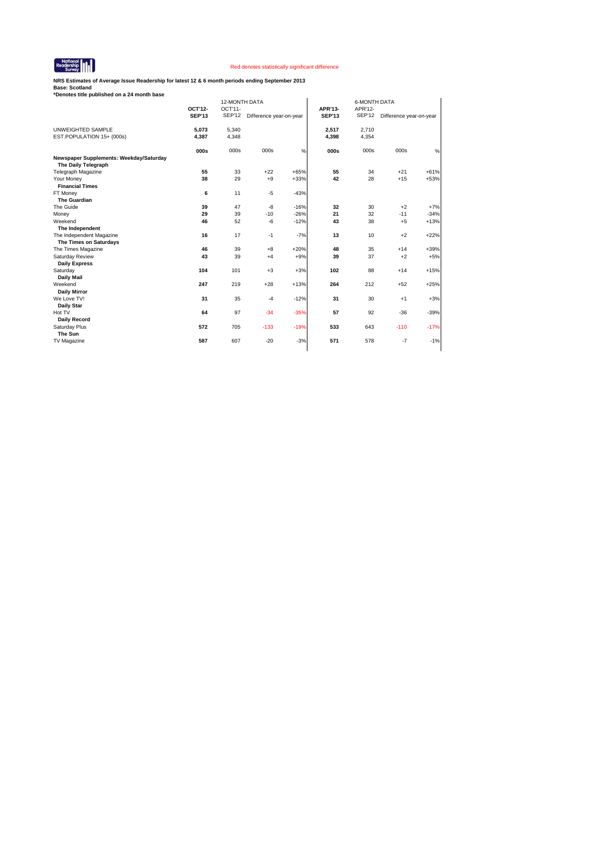

**NRS Estimates of Average Issue Readership for latest 12 & 6 month periods ending September 2013**

| EST.POPULATION 15+ (000s)                                    | OCT'12-<br><b>SEP'13</b><br>5,073<br>4,387<br>000s | OCT'11-<br><b>SEP'12</b><br>5,340<br>4,348 | Difference year-on-year |        | APR'13-<br><b>SEP'13</b><br>2,517 | APR'12-<br><b>SEP'12</b> | Difference year-on-year |        |
|--------------------------------------------------------------|----------------------------------------------------|--------------------------------------------|-------------------------|--------|-----------------------------------|--------------------------|-------------------------|--------|
| UNWEIGHTED SAMPLE<br>Newspaper Supplements: Weekday/Saturday |                                                    |                                            |                         |        |                                   |                          |                         |        |
|                                                              |                                                    |                                            |                         |        |                                   |                          |                         |        |
|                                                              |                                                    |                                            |                         |        |                                   | 2,710                    |                         |        |
|                                                              |                                                    |                                            |                         |        | 4,398                             | 4,354                    |                         |        |
|                                                              |                                                    | 000s                                       | 000s                    | %      | 000s                              | 000s                     | 000s                    | $\%$   |
| The Daily Telegraph                                          |                                                    |                                            |                         |        |                                   |                          |                         |        |
| <b>Telegraph Magazine</b>                                    | 55                                                 | 33                                         | $+22$                   | $+65%$ | 55                                | 34                       | $+21$                   | $+61%$ |
| Your Money                                                   | 38                                                 | 29                                         | $+9$                    | $+33%$ | 42                                | 28                       | $+15$                   | $+53%$ |
| <b>Financial Times</b>                                       |                                                    |                                            |                         |        |                                   |                          |                         |        |
| FT Money                                                     | 6                                                  | 11                                         | $-5$                    | $-43%$ |                                   |                          |                         |        |
| The Guardian                                                 |                                                    |                                            |                         |        |                                   |                          |                         |        |
| The Guide                                                    | 39                                                 | 47                                         | -8                      | $-16%$ | 32                                | 30                       | $+2$                    | $+7%$  |
| Money                                                        | 29                                                 | 39                                         | $-10$                   | $-26%$ | 21                                | 32                       | $-11$                   | $-34%$ |
| Weekend                                                      | 46                                                 | 52                                         | -6                      | $-12%$ | 43                                | 38                       | $+5$                    | $+13%$ |
| The Independent                                              |                                                    |                                            |                         |        |                                   |                          |                         |        |
| The Independent Magazine                                     | 16                                                 | 17                                         | $-1$                    | $-7%$  | 13                                | 10                       | $+2$                    | $+22%$ |
| The Times on Saturdays                                       |                                                    |                                            |                         |        |                                   |                          |                         |        |
| The Times Magazine                                           | 46                                                 | 39                                         | $+8$                    | $+20%$ | 48                                | 35                       | $+14$                   | +39%   |
| Saturday Review                                              | 43                                                 | 39                                         | $+4$                    | $+9%$  | 39                                | 37                       | $+2$                    | $+5%$  |
| <b>Daily Express</b>                                         |                                                    |                                            |                         |        |                                   |                          |                         |        |
| Saturday                                                     | 104                                                | 101                                        | $+3$                    | $+3%$  | 102                               | 88                       | $+14$                   | $+15%$ |
| Daily Mail                                                   |                                                    |                                            |                         |        |                                   |                          |                         |        |
| Weekend                                                      | 247                                                | 219                                        | $+28$                   | $+13%$ | 264                               | 212                      | $+52$                   | $+25%$ |
| <b>Daily Mirror</b>                                          |                                                    |                                            |                         |        |                                   |                          |                         |        |
| We Love TV!<br><b>Daily Star</b>                             | 31                                                 | 35                                         | $-4$                    | $-12%$ | 31                                | 30                       | $+1$                    | $+3%$  |
| Hot TV                                                       | 64                                                 | 97                                         | $-34$                   | $-35%$ | 57                                | 92                       | $-36$                   | $-39%$ |
| <b>Daily Record</b>                                          |                                                    |                                            |                         |        |                                   |                          |                         |        |
|                                                              | 572                                                | 705                                        | $-133$                  | $-19%$ | 533                               | 643                      | $-110$                  | $-17%$ |
| Saturday Plus<br>The Sun                                     |                                                    |                                            |                         |        |                                   |                          |                         |        |
|                                                              | 587                                                | 607                                        | $-20$                   |        | 571                               | 578                      | $-7$                    |        |
| TV Magazine                                                  |                                                    |                                            |                         | $-3%$  |                                   |                          |                         | $-1%$  |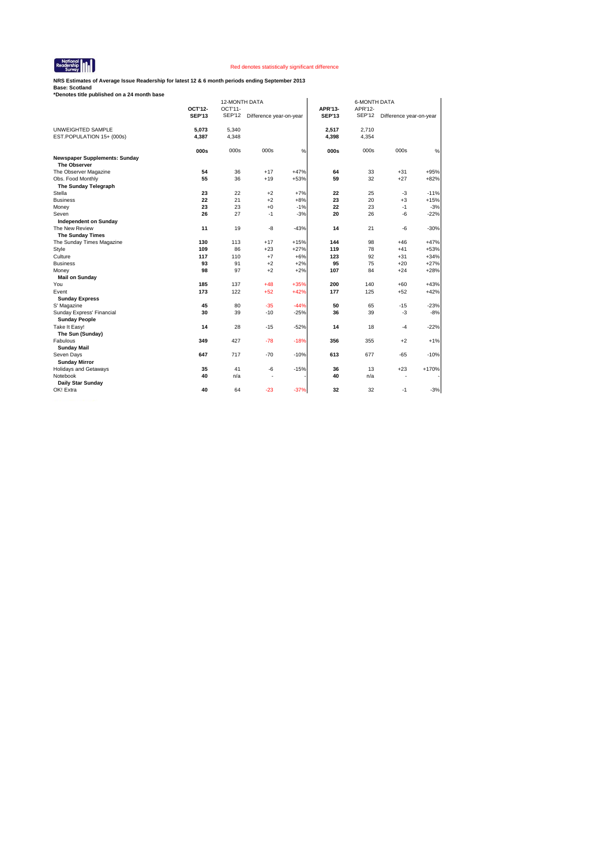

**NRS Estimates of Average Issue Readership for latest 12 & 6 month periods ending September 2013**

|                                                             |               | <b>12-MONTH DATA</b> |                         |        |               | <b>6-MONTH DATA</b> |                         |         |
|-------------------------------------------------------------|---------------|----------------------|-------------------------|--------|---------------|---------------------|-------------------------|---------|
|                                                             | OCT'12-       | OCT'11-              |                         |        | APR'13-       | APR'12-             |                         |         |
|                                                             | <b>SEP'13</b> | <b>SEP'12</b>        | Difference year-on-year |        | <b>SEP'13</b> | <b>SEP'12</b>       | Difference year-on-year |         |
| UNWEIGHTED SAMPLE                                           | 5,073         | 5,340                |                         |        | 2,517         | 2,710               |                         |         |
| EST.POPULATION 15+ (000s)                                   | 4,387         | 4,348                |                         |        | 4,398         | 4,354               |                         |         |
|                                                             | 000s          | 000s                 | 000s                    | %      | 000s          | 000s                | 000s                    | $\%$    |
| <b>Newspaper Supplements: Sunday</b><br><b>The Observer</b> |               |                      |                         |        |               |                     |                         |         |
| The Observer Magazine                                       | 54            | 36                   | $+17$                   | $+47%$ | 64            | 33                  | $+31$                   | $+95%$  |
| Obs. Food Monthly                                           | 55            | 36                   | $+19$                   | $+53%$ | 59            | 32                  | $+27$                   | $+82%$  |
| The Sunday Telegraph                                        |               |                      |                         |        |               |                     |                         |         |
| Stella                                                      | 23            | 22                   | $+2$                    | $+7%$  | 22            | 25                  | $-3$                    | $-11%$  |
| <b>Business</b>                                             | 22            | 21                   | $+2$                    | $+8%$  | 23            | 20                  | $+3$                    | $+15%$  |
| Money                                                       | 23            | 23                   | $+0$                    | $-1%$  | 22            | 23                  | $-1$                    | $-3%$   |
| Seven                                                       | 26            | 27                   | $-1$                    | $-3%$  | 20            | 26                  | $-6$                    | $-22%$  |
| <b>Independent on Sunday</b>                                |               |                      |                         |        |               |                     |                         |         |
| The New Review                                              | 11            | 19                   | $-8$                    | $-43%$ | 14            | 21                  | $-6$                    | $-30%$  |
| <b>The Sunday Times</b>                                     |               |                      |                         |        |               |                     |                         |         |
| The Sunday Times Magazine                                   | 130           | 113                  | $+17$                   | $+15%$ | 144           | 98                  | $+46$                   | $+47%$  |
| Style                                                       | 109           | 86                   | $+23$                   | $+27%$ | 119           | 78                  | $+41$                   | $+53%$  |
| Culture                                                     | 117           | 110                  | $+7$                    | $+6%$  | 123           | 92                  | $+31$                   | $+34%$  |
| <b>Business</b>                                             | 93            | 91                   | $+2$                    | $+2%$  | 95            | 75                  | $+20$                   | $+27%$  |
| Money                                                       | 98            | 97                   | $+2$                    | $+2%$  | 107           | 84                  | $+24$                   | $+28%$  |
| <b>Mail on Sunday</b>                                       |               |                      |                         |        |               |                     |                         |         |
| You                                                         | 185           | 137                  | $+48$                   | $+35%$ | 200           | 140                 | $+60$                   | $+43%$  |
| Event                                                       | 173           | 122                  | $+52$                   | $+42%$ | 177           | 125                 | $+52$                   | $+42%$  |
| <b>Sunday Express</b>                                       |               |                      |                         |        |               |                     |                         |         |
| S' Magazine                                                 | 45            | 80                   | $-35$                   | $-44%$ | 50            | 65                  | $-15$                   | $-23%$  |
| Sunday Express' Financial                                   | 30            | 39                   | $-10$                   | $-25%$ | 36            | 39                  | $-3$                    | $-8%$   |
| <b>Sunday People</b>                                        |               |                      |                         |        |               |                     |                         |         |
| Take It Easy!                                               | 14            | 28                   | $-15$                   | $-52%$ | 14            | 18                  | $-4$                    | $-22%$  |
| The Sun (Sunday)                                            |               |                      |                         |        |               |                     |                         |         |
| Fabulous                                                    | 349           | 427                  | $-78$                   | $-18%$ | 356           | 355                 | $+2$                    | $+1%$   |
| <b>Sunday Mail</b>                                          |               |                      |                         |        |               |                     |                         |         |
| Seven Days                                                  | 647           | 717                  | $-70$                   | $-10%$ | 613           | 677                 | $-65$                   | $-10%$  |
| <b>Sunday Mirror</b>                                        |               |                      |                         |        |               |                     |                         |         |
| Holidays and Getaways                                       | 35            | 41                   | $-6$                    | $-15%$ | 36            | 13                  | $+23$                   | $+170%$ |
| Notebook                                                    | 40            | n/a                  | ٠                       |        | 40            | n/a                 | ٠                       |         |
| Daily Star Sunday                                           |               |                      |                         |        |               |                     |                         |         |
| OK! Extra                                                   | 40            | 64                   | $-23$                   | $-37%$ | 32            | 32                  | $-1$                    | $-3%$   |
|                                                             |               |                      |                         |        |               |                     |                         |         |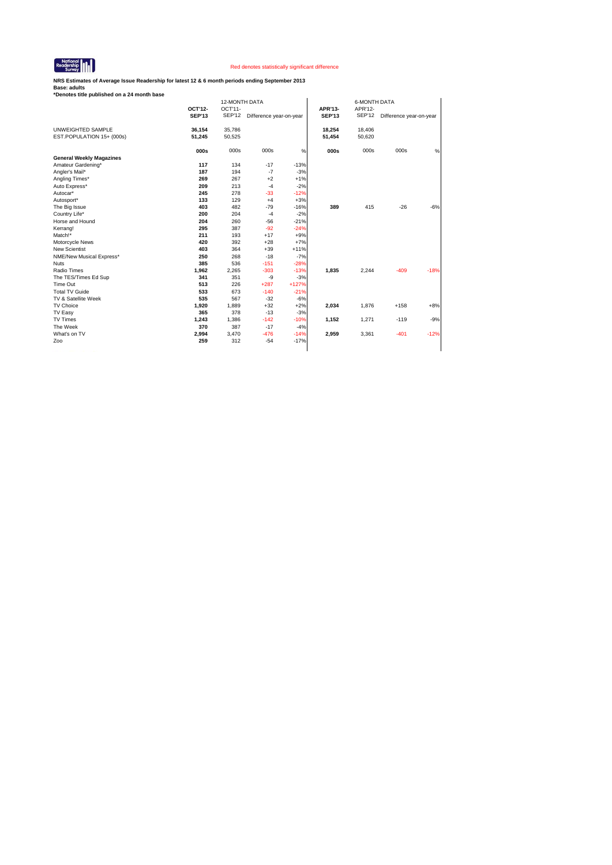

**NRS Estimates of Average Issue Readership for latest 12 & 6 month periods ending September 2013**

| OCT'11-<br>OCT'12-<br>APR'13-<br>APR'12-<br><b>SEP'13</b><br><b>SEP'13</b><br><b>SEP'12</b><br><b>SEP'12</b><br>Difference year-on-year<br>Difference year-on-year<br>35,786<br>UNWEIGHTED SAMPLE<br>36,154<br>18,254<br>18,406<br>EST.POPULATION 15+ (000s)<br>51.245<br>50,525<br>50,620<br>51,454<br>000s<br>000s<br>000s<br>000s<br>$\%$<br>000s<br>000s<br><b>General Weekly Magazines</b><br>117<br>134<br>$-17$<br>$-13%$<br>Amateur Gardening*<br>$-3%$<br>187<br>194<br>$-7$<br>Angler's Mail*<br>267<br>$+2$<br>$+1%$<br>269<br>Angling Times*<br>209<br>213<br>$-4$<br>$-2%$<br>Auto Express*<br>245<br>278<br>$-33$<br>$-12%$<br>Autocar*<br>129<br>$+3%$<br>133<br>$+4$<br>Autosport*<br>403<br>482<br>$-79$<br>$-16%$<br>389<br>415<br>$-26$<br>The Big Issue<br>$-2%$<br>200<br>204<br>$-4$<br>Country Life*<br>204<br>260<br>$-56$<br>$-21%$<br>Horse and Hound<br>387<br>$-92$<br>$-24%$<br>295<br>Kerrang!<br>211<br>193<br>$+17$<br>$+9%$<br>Match!*<br>$+7%$<br>420<br>392<br>$+28$<br>Motorcycle News<br><b>New Scientist</b><br>403<br>364<br>$+39$<br>$+11%$<br>$-7%$<br>268<br>$-18$<br>NME/New Musical Express*<br>250<br>385<br>$-151$<br>$-28%$<br>536<br><b>Nuts</b><br>1,962<br>$-303$<br>1,835<br>2,244<br>$-409$<br>Radio Times<br>2,265<br>$-13%$<br>$-3%$<br>The TES/Times Ed Sup<br>341<br>351<br>-9<br>Time Out<br>513<br>226<br>$+287$<br>$+127%$<br><b>Total TV Guide</b><br>533<br>673<br>$-140$<br>$-21%$<br>535<br>567<br>$-32$<br>$-6%$<br>TV & Satellite Week<br>$+2%$<br>TV Choice<br>1.920<br>1.889<br>$+32$<br>2,034<br>1.876<br>$+158$<br>365<br>378<br>$-13$<br>$-3%$<br>TV Easy<br><b>TV Times</b><br>$-142$<br>1,243<br>1,386<br>$-10%$<br>1,152<br>1,271<br>$-119$<br>$-17$<br>The Week<br>370<br>387<br>$-4%$ |              |       | 12-MONTH DATA |        |        |       | <b>6-MONTH DATA</b> |        |        |
|------------------------------------------------------------------------------------------------------------------------------------------------------------------------------------------------------------------------------------------------------------------------------------------------------------------------------------------------------------------------------------------------------------------------------------------------------------------------------------------------------------------------------------------------------------------------------------------------------------------------------------------------------------------------------------------------------------------------------------------------------------------------------------------------------------------------------------------------------------------------------------------------------------------------------------------------------------------------------------------------------------------------------------------------------------------------------------------------------------------------------------------------------------------------------------------------------------------------------------------------------------------------------------------------------------------------------------------------------------------------------------------------------------------------------------------------------------------------------------------------------------------------------------------------------------------------------------------------------------------------------------------------------------------------------------------------------------------------------------------------------------------|--------------|-------|---------------|--------|--------|-------|---------------------|--------|--------|
|                                                                                                                                                                                                                                                                                                                                                                                                                                                                                                                                                                                                                                                                                                                                                                                                                                                                                                                                                                                                                                                                                                                                                                                                                                                                                                                                                                                                                                                                                                                                                                                                                                                                                                                                                                  |              |       |               |        |        |       |                     |        |        |
|                                                                                                                                                                                                                                                                                                                                                                                                                                                                                                                                                                                                                                                                                                                                                                                                                                                                                                                                                                                                                                                                                                                                                                                                                                                                                                                                                                                                                                                                                                                                                                                                                                                                                                                                                                  |              |       |               |        |        |       |                     |        |        |
|                                                                                                                                                                                                                                                                                                                                                                                                                                                                                                                                                                                                                                                                                                                                                                                                                                                                                                                                                                                                                                                                                                                                                                                                                                                                                                                                                                                                                                                                                                                                                                                                                                                                                                                                                                  |              |       |               |        |        |       |                     |        |        |
|                                                                                                                                                                                                                                                                                                                                                                                                                                                                                                                                                                                                                                                                                                                                                                                                                                                                                                                                                                                                                                                                                                                                                                                                                                                                                                                                                                                                                                                                                                                                                                                                                                                                                                                                                                  |              |       |               |        |        |       |                     |        |        |
|                                                                                                                                                                                                                                                                                                                                                                                                                                                                                                                                                                                                                                                                                                                                                                                                                                                                                                                                                                                                                                                                                                                                                                                                                                                                                                                                                                                                                                                                                                                                                                                                                                                                                                                                                                  |              |       |               |        |        |       |                     |        | %      |
|                                                                                                                                                                                                                                                                                                                                                                                                                                                                                                                                                                                                                                                                                                                                                                                                                                                                                                                                                                                                                                                                                                                                                                                                                                                                                                                                                                                                                                                                                                                                                                                                                                                                                                                                                                  |              |       |               |        |        |       |                     |        |        |
|                                                                                                                                                                                                                                                                                                                                                                                                                                                                                                                                                                                                                                                                                                                                                                                                                                                                                                                                                                                                                                                                                                                                                                                                                                                                                                                                                                                                                                                                                                                                                                                                                                                                                                                                                                  |              |       |               |        |        |       |                     |        |        |
|                                                                                                                                                                                                                                                                                                                                                                                                                                                                                                                                                                                                                                                                                                                                                                                                                                                                                                                                                                                                                                                                                                                                                                                                                                                                                                                                                                                                                                                                                                                                                                                                                                                                                                                                                                  |              |       |               |        |        |       |                     |        |        |
|                                                                                                                                                                                                                                                                                                                                                                                                                                                                                                                                                                                                                                                                                                                                                                                                                                                                                                                                                                                                                                                                                                                                                                                                                                                                                                                                                                                                                                                                                                                                                                                                                                                                                                                                                                  |              |       |               |        |        |       |                     |        |        |
|                                                                                                                                                                                                                                                                                                                                                                                                                                                                                                                                                                                                                                                                                                                                                                                                                                                                                                                                                                                                                                                                                                                                                                                                                                                                                                                                                                                                                                                                                                                                                                                                                                                                                                                                                                  |              |       |               |        |        |       |                     |        |        |
|                                                                                                                                                                                                                                                                                                                                                                                                                                                                                                                                                                                                                                                                                                                                                                                                                                                                                                                                                                                                                                                                                                                                                                                                                                                                                                                                                                                                                                                                                                                                                                                                                                                                                                                                                                  |              |       |               |        |        |       |                     |        |        |
|                                                                                                                                                                                                                                                                                                                                                                                                                                                                                                                                                                                                                                                                                                                                                                                                                                                                                                                                                                                                                                                                                                                                                                                                                                                                                                                                                                                                                                                                                                                                                                                                                                                                                                                                                                  |              |       |               |        |        |       |                     |        |        |
|                                                                                                                                                                                                                                                                                                                                                                                                                                                                                                                                                                                                                                                                                                                                                                                                                                                                                                                                                                                                                                                                                                                                                                                                                                                                                                                                                                                                                                                                                                                                                                                                                                                                                                                                                                  |              |       |               |        |        |       |                     |        | $-6%$  |
|                                                                                                                                                                                                                                                                                                                                                                                                                                                                                                                                                                                                                                                                                                                                                                                                                                                                                                                                                                                                                                                                                                                                                                                                                                                                                                                                                                                                                                                                                                                                                                                                                                                                                                                                                                  |              |       |               |        |        |       |                     |        |        |
|                                                                                                                                                                                                                                                                                                                                                                                                                                                                                                                                                                                                                                                                                                                                                                                                                                                                                                                                                                                                                                                                                                                                                                                                                                                                                                                                                                                                                                                                                                                                                                                                                                                                                                                                                                  |              |       |               |        |        |       |                     |        |        |
|                                                                                                                                                                                                                                                                                                                                                                                                                                                                                                                                                                                                                                                                                                                                                                                                                                                                                                                                                                                                                                                                                                                                                                                                                                                                                                                                                                                                                                                                                                                                                                                                                                                                                                                                                                  |              |       |               |        |        |       |                     |        |        |
|                                                                                                                                                                                                                                                                                                                                                                                                                                                                                                                                                                                                                                                                                                                                                                                                                                                                                                                                                                                                                                                                                                                                                                                                                                                                                                                                                                                                                                                                                                                                                                                                                                                                                                                                                                  |              |       |               |        |        |       |                     |        |        |
|                                                                                                                                                                                                                                                                                                                                                                                                                                                                                                                                                                                                                                                                                                                                                                                                                                                                                                                                                                                                                                                                                                                                                                                                                                                                                                                                                                                                                                                                                                                                                                                                                                                                                                                                                                  |              |       |               |        |        |       |                     |        |        |
|                                                                                                                                                                                                                                                                                                                                                                                                                                                                                                                                                                                                                                                                                                                                                                                                                                                                                                                                                                                                                                                                                                                                                                                                                                                                                                                                                                                                                                                                                                                                                                                                                                                                                                                                                                  |              |       |               |        |        |       |                     |        |        |
|                                                                                                                                                                                                                                                                                                                                                                                                                                                                                                                                                                                                                                                                                                                                                                                                                                                                                                                                                                                                                                                                                                                                                                                                                                                                                                                                                                                                                                                                                                                                                                                                                                                                                                                                                                  |              |       |               |        |        |       |                     |        |        |
|                                                                                                                                                                                                                                                                                                                                                                                                                                                                                                                                                                                                                                                                                                                                                                                                                                                                                                                                                                                                                                                                                                                                                                                                                                                                                                                                                                                                                                                                                                                                                                                                                                                                                                                                                                  |              |       |               |        |        |       |                     |        |        |
|                                                                                                                                                                                                                                                                                                                                                                                                                                                                                                                                                                                                                                                                                                                                                                                                                                                                                                                                                                                                                                                                                                                                                                                                                                                                                                                                                                                                                                                                                                                                                                                                                                                                                                                                                                  |              |       |               |        |        |       |                     |        | $-18%$ |
|                                                                                                                                                                                                                                                                                                                                                                                                                                                                                                                                                                                                                                                                                                                                                                                                                                                                                                                                                                                                                                                                                                                                                                                                                                                                                                                                                                                                                                                                                                                                                                                                                                                                                                                                                                  |              |       |               |        |        |       |                     |        |        |
|                                                                                                                                                                                                                                                                                                                                                                                                                                                                                                                                                                                                                                                                                                                                                                                                                                                                                                                                                                                                                                                                                                                                                                                                                                                                                                                                                                                                                                                                                                                                                                                                                                                                                                                                                                  |              |       |               |        |        |       |                     |        |        |
|                                                                                                                                                                                                                                                                                                                                                                                                                                                                                                                                                                                                                                                                                                                                                                                                                                                                                                                                                                                                                                                                                                                                                                                                                                                                                                                                                                                                                                                                                                                                                                                                                                                                                                                                                                  |              |       |               |        |        |       |                     |        |        |
|                                                                                                                                                                                                                                                                                                                                                                                                                                                                                                                                                                                                                                                                                                                                                                                                                                                                                                                                                                                                                                                                                                                                                                                                                                                                                                                                                                                                                                                                                                                                                                                                                                                                                                                                                                  |              |       |               |        |        |       |                     |        |        |
|                                                                                                                                                                                                                                                                                                                                                                                                                                                                                                                                                                                                                                                                                                                                                                                                                                                                                                                                                                                                                                                                                                                                                                                                                                                                                                                                                                                                                                                                                                                                                                                                                                                                                                                                                                  |              |       |               |        |        |       |                     |        | $+8%$  |
|                                                                                                                                                                                                                                                                                                                                                                                                                                                                                                                                                                                                                                                                                                                                                                                                                                                                                                                                                                                                                                                                                                                                                                                                                                                                                                                                                                                                                                                                                                                                                                                                                                                                                                                                                                  |              |       |               |        |        |       |                     |        |        |
|                                                                                                                                                                                                                                                                                                                                                                                                                                                                                                                                                                                                                                                                                                                                                                                                                                                                                                                                                                                                                                                                                                                                                                                                                                                                                                                                                                                                                                                                                                                                                                                                                                                                                                                                                                  |              |       |               |        |        |       |                     |        | $-9%$  |
|                                                                                                                                                                                                                                                                                                                                                                                                                                                                                                                                                                                                                                                                                                                                                                                                                                                                                                                                                                                                                                                                                                                                                                                                                                                                                                                                                                                                                                                                                                                                                                                                                                                                                                                                                                  |              |       |               |        |        |       |                     |        |        |
|                                                                                                                                                                                                                                                                                                                                                                                                                                                                                                                                                                                                                                                                                                                                                                                                                                                                                                                                                                                                                                                                                                                                                                                                                                                                                                                                                                                                                                                                                                                                                                                                                                                                                                                                                                  | What's on TV | 2,994 | 3,470         | $-476$ | $-14%$ | 2,959 | 3,361               | $-401$ | $-12%$ |
| $-17%$<br>259<br>312<br>$-54$<br>Zoo                                                                                                                                                                                                                                                                                                                                                                                                                                                                                                                                                                                                                                                                                                                                                                                                                                                                                                                                                                                                                                                                                                                                                                                                                                                                                                                                                                                                                                                                                                                                                                                                                                                                                                                             |              |       |               |        |        |       |                     |        |        |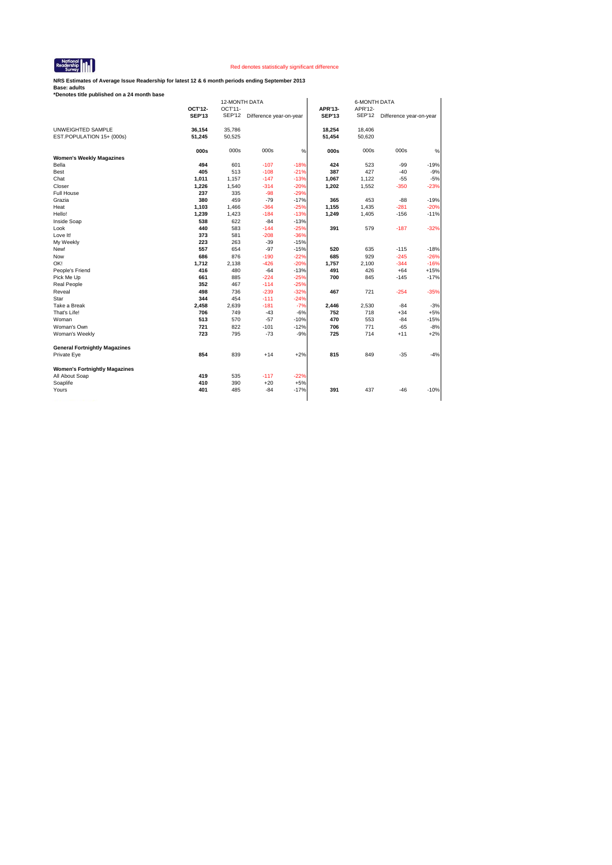

**NRS Estimates of Average Issue Readership for latest 12 & 6 month periods ending September 2013**

|                                      |               |               | 12-MONTH DATA           |        |               | <b>6-MONTH DATA</b> |                         |        |  |  |
|--------------------------------------|---------------|---------------|-------------------------|--------|---------------|---------------------|-------------------------|--------|--|--|
|                                      | OCT'12-       | OCT'11-       |                         |        | APR'13-       | APR'12-             |                         |        |  |  |
|                                      | <b>SEP'13</b> | <b>SEP'12</b> | Difference year-on-year |        | <b>SEP'13</b> | <b>SEP'12</b>       | Difference year-on-year |        |  |  |
| UNWEIGHTED SAMPLE                    | 36,154        | 35,786        |                         |        | 18,254        | 18,406              |                         |        |  |  |
| EST.POPULATION 15+ (000s)            | 51,245        | 50,525        |                         |        | 51,454        | 50,620              |                         |        |  |  |
|                                      | 000s          | 000s          | 000s                    | %      | 000s          | 000s                | 000s                    | %      |  |  |
| <b>Women's Weekly Magazines</b>      |               |               |                         |        |               |                     |                         |        |  |  |
| Bella                                | 494           | 601           | $-107$                  | $-18%$ | 424           | 523                 | $-99$                   | $-19%$ |  |  |
| Best                                 | 405           | 513           | $-108$                  | $-21%$ | 387           | 427                 | $-40$                   | $-9%$  |  |  |
| Chat                                 | 1,011         | 1,157         | $-147$                  | $-13%$ | 1,067         | 1,122               | $-55$                   | $-5%$  |  |  |
| Closer                               | 1,226         | 1,540         | $-314$                  | $-20%$ | 1,202         | 1,552               | $-350$                  | $-23%$ |  |  |
| Full House                           | 237           | 335           | $-98$                   | $-29%$ |               |                     |                         |        |  |  |
| Grazia                               | 380           | 459           | $-79$                   | $-17%$ | 365           | 453                 | $-88$                   | $-19%$ |  |  |
| Heat                                 | 1,103         | 1,466         | $-364$                  | $-25%$ | 1,155         | 1,435               | $-281$                  | $-20%$ |  |  |
| Hello!                               | 1,239         | 1,423         | $-184$                  | $-13%$ | 1,249         | 1,405               | $-156$                  | $-11%$ |  |  |
| Inside Soap                          | 538           | 622           | $-84$                   | $-13%$ |               |                     |                         |        |  |  |
| Look                                 | 440           | 583           | $-144$                  | $-25%$ | 391           | 579                 | $-187$                  | $-32%$ |  |  |
| Love It!                             | 373           | 581           | $-208$                  | $-36%$ |               |                     |                         |        |  |  |
| My Weekly                            | 223           | 263           | $-39$                   | $-15%$ |               |                     |                         |        |  |  |
| New!                                 | 557           | 654           | $-97$                   | $-15%$ | 520           | 635                 | $-115$                  | $-18%$ |  |  |
| Now                                  | 686           | 876           | $-190$                  | $-22%$ | 685           | 929                 | $-245$                  | $-26%$ |  |  |
| OK!                                  | 1,712         | 2,138         | $-426$                  | $-20%$ | 1,757         | 2,100               | $-344$                  | $-16%$ |  |  |
| People's Friend                      | 416           | 480           | $-64$                   | $-13%$ | 491           | 426                 | $+64$                   | $+15%$ |  |  |
| Pick Me Up                           | 661           | 885           | $-224$                  | $-25%$ | 700           | 845                 | $-145$                  | $-17%$ |  |  |
| Real People                          | 352           | 467           | $-114$                  | $-25%$ |               |                     |                         |        |  |  |
| Reveal                               | 498           | 736           | $-239$                  | $-32%$ | 467           | 721                 | $-254$                  | $-35%$ |  |  |
| Star                                 | 344           | 454           | $-111$                  | $-24%$ |               |                     |                         |        |  |  |
| Take a Break                         | 2,458         | 2,639         | $-181$                  | $-7%$  | 2,446         | 2,530               | $-84$                   | $-3%$  |  |  |
| That's Life!                         | 706           | 749           | $-43$                   | $-6%$  | 752           | 718                 | $+34$                   | $+5%$  |  |  |
| Woman                                | 513           | 570           | $-57$                   | $-10%$ | 470           | 553                 | $-84$                   | $-15%$ |  |  |
| Woman's Own                          | 721           | 822           | $-101$                  | $-12%$ | 706           | 771                 | $-65$                   | $-8%$  |  |  |
| Woman's Weekly                       | 723           | 795           | $-73$                   | $-9%$  | 725           | 714                 | $+11$                   | $+2%$  |  |  |
| <b>General Fortnightly Magazines</b> |               |               |                         |        |               |                     |                         |        |  |  |
| Private Eye                          | 854           | 839           | $+14$                   | $+2%$  | 815           | 849                 | $-35$                   | $-4%$  |  |  |
| <b>Women's Fortnightly Magazines</b> |               |               |                         |        |               |                     |                         |        |  |  |
|                                      | 419           | 535           | $-117$                  | $-22%$ |               |                     |                         |        |  |  |
| All About Soap                       |               |               |                         |        |               |                     |                         |        |  |  |
| Soaplife                             | 410           | 390           | $+20$                   | $+5%$  |               |                     |                         |        |  |  |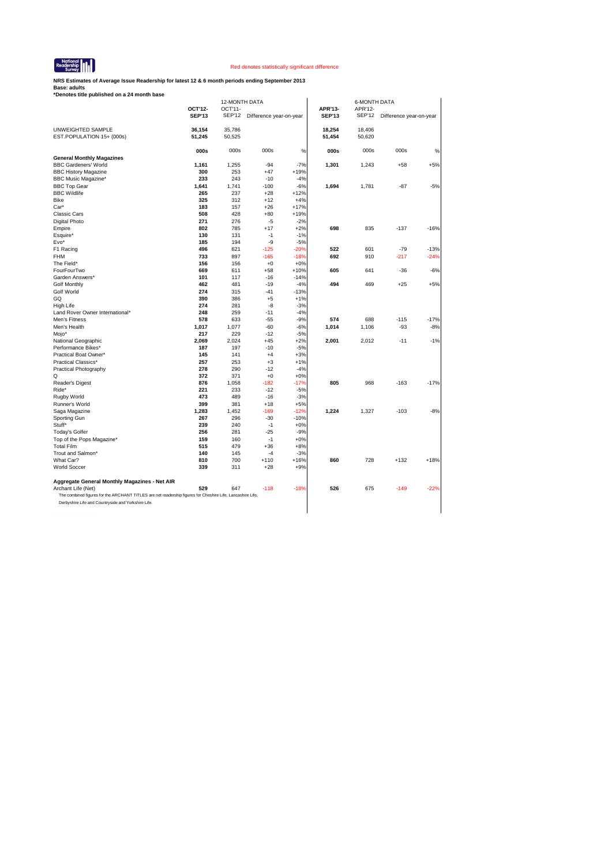

**NRS Estimates of Average Issue Readership for latest 12 & 6 month periods ending September 2013**

|                                                                                                            |               | <b>12-MONTH DATA</b> |                         |        |               | <b>6-MONTH DATA</b> |                         |        |
|------------------------------------------------------------------------------------------------------------|---------------|----------------------|-------------------------|--------|---------------|---------------------|-------------------------|--------|
|                                                                                                            | OCT'12-       | OCT'11-              |                         |        | APR'13-       | APR'12-             |                         |        |
|                                                                                                            | <b>SEP'13</b> | <b>SEP'12</b>        | Difference year-on-year |        | <b>SEP'13</b> | <b>SEP'12</b>       | Difference year-on-year |        |
| UNWEIGHTED SAMPLE                                                                                          | 36,154        | 35,786               |                         |        | 18,254        | 18,406              |                         |        |
|                                                                                                            | 51,245        | 50,525               |                         |        |               |                     |                         |        |
| EST.POPULATION 15+ (000s)                                                                                  |               |                      |                         |        | 51,454        | 50,620              |                         |        |
|                                                                                                            | 000s          | 000s                 | 000s                    | %      | 000s          | 000s                | 000s                    | %      |
| <b>General Monthly Magazines</b>                                                                           |               |                      |                         |        |               |                     |                         |        |
| <b>BBC Gardeners' World</b>                                                                                | 1,161         | 1,255                | $-94$                   | $-7%$  | 1,301         | 1,243               | $+58$                   | $+5%$  |
| <b>BBC History Magazine</b>                                                                                | 300           | 253                  | $+47$                   | $+19%$ |               |                     |                         |        |
| <b>BBC Music Magazine*</b>                                                                                 | 233           | 243                  | $-10$                   | $-4%$  |               |                     |                         |        |
| <b>BBC Top Gear</b>                                                                                        | 1,641         | 1,741                | $-100$                  | $-6%$  | 1,694         | 1,781               | $-87$                   | $-5%$  |
| <b>BBC Wildlife</b>                                                                                        | 265           | 237                  | $+28$                   | $+12%$ |               |                     |                         |        |
| Bike                                                                                                       | 325           | 312                  | $+12$                   | $+4%$  |               |                     |                         |        |
| Car*                                                                                                       | 183           | 157                  | $+26$                   | $+17%$ |               |                     |                         |        |
| <b>Classic Cars</b>                                                                                        | 508           | 428                  | $+80$                   | $+19%$ |               |                     |                         |        |
| Digital Photo                                                                                              | 271           | 276                  | $-5$                    | $-2%$  |               |                     |                         |        |
| Empire                                                                                                     | 802           | 785                  | $+17$                   | $+2%$  | 698           | 835                 | $-137$                  | $-16%$ |
| Esquire*                                                                                                   | 130           | 131                  | $-1$                    | $-1%$  |               |                     |                         |        |
| Evo*                                                                                                       | 185           | 194                  | -9                      | $-5%$  |               |                     |                         |        |
| F1 Racing                                                                                                  | 496           | 621                  | $-125$                  | $-20%$ | 522           | 601                 | $-79$                   | $-13%$ |
| FHM                                                                                                        | 733           | 897                  | $-165$                  | $-18%$ | 692           | 910                 | -217                    | $-24%$ |
| The Field*                                                                                                 | 156           | 156                  | $+0$                    | $+0%$  |               |                     |                         |        |
| FourFourTwo                                                                                                | 669           | 611                  | $+58$                   | $+10%$ | 605           | 641                 | $-36$                   | $-6%$  |
| Garden Answers*                                                                                            | 101           | 117                  | $-16$                   | $-14%$ |               |                     |                         |        |
| <b>Golf Monthly</b>                                                                                        | 462           | 481                  | $-19$                   | $-4%$  | 494           | 469                 | $+25$                   | $+5%$  |
| <b>Golf World</b>                                                                                          | 274           | 315                  | $-41$                   | $-13%$ |               |                     |                         |        |
| GQ                                                                                                         | 390           | 386                  | $+5$                    | $+1%$  |               |                     |                         |        |
| High Life                                                                                                  | 274           | 281                  | $-8$                    | $-3%$  |               |                     |                         |        |
| Land Rover Owner International*                                                                            | 248           | 259                  | $-11$                   | $-4%$  |               |                     |                         |        |
|                                                                                                            | 578           | 633                  | $-55$                   | $-9%$  | 574           | 688                 | $-115$                  | $-17%$ |
| Men's Fitness<br>Men's Health                                                                              |               | 1,077                | $-60$                   | $-6%$  |               |                     | $-93$                   |        |
|                                                                                                            | 1,017<br>217  | 229                  | $-12$                   |        | 1,014         | 1,106               |                         | $-8%$  |
| Mojo*                                                                                                      |               |                      |                         | $-5%$  |               |                     |                         |        |
| National Geographic                                                                                        | 2,069         | 2,024                | $+45$                   | $+2%$  | 2,001         | 2,012               | $-11$                   | $-1%$  |
| Performance Bikes*                                                                                         | 187           | 197                  | $-10$                   | $-5%$  |               |                     |                         |        |
| Practical Boat Owner*                                                                                      | 145           | 141                  | $+4$                    | $+3%$  |               |                     |                         |        |
| Practical Classics*                                                                                        | 257           | 253                  | $+3$                    | $+1%$  |               |                     |                         |        |
| Practical Photography                                                                                      | 278           | 290                  | $-12$                   | $-4%$  |               |                     |                         |        |
| Q                                                                                                          | 372           | 371                  | $+0$                    | $+0%$  |               |                     |                         |        |
| Reader's Digest                                                                                            | 876           | 1,058                | $-182$                  | -17%   | 805           | 968                 | $-163$                  | $-17%$ |
| Ride*                                                                                                      | 221           | 233                  | $-12$                   | $-5%$  |               |                     |                         |        |
| Rugby World                                                                                                | 473           | 489                  | $-16$                   | $-3%$  |               |                     |                         |        |
| Runner's World                                                                                             | 399           | 381                  | $+18$                   | $+5%$  |               |                     |                         |        |
| Saga Magazine                                                                                              | 1,283         | 1,452                | $-169$                  | $-12%$ | 1,224         | 1,327               | $-103$                  | $-8%$  |
| Sporting Gun                                                                                               | 267           | 296                  | $-30$                   | $-10%$ |               |                     |                         |        |
| Stuff*                                                                                                     | 239           | 240                  | $-1$                    | $+0%$  |               |                     |                         |        |
| Today's Golfer                                                                                             | 256           | 281                  | $-25$                   | $-9%$  |               |                     |                         |        |
| Top of the Pops Magazine*                                                                                  | 159           | 160                  | $-1$                    | $+0%$  |               |                     |                         |        |
| <b>Total Film</b>                                                                                          | 515           | 479                  | $+36$                   | $+8%$  |               |                     |                         |        |
| Trout and Salmon*                                                                                          | 140           | 145                  | $-4$                    | $-3%$  |               |                     |                         |        |
| What Car?                                                                                                  | 810           | 700                  | $+110$                  | +16%   | 860           | 728                 | $+132$                  | $+18%$ |
| <b>World Soccer</b>                                                                                        | 339           | 311                  | $+28$                   | $+9%$  |               |                     |                         |        |
| Aggregate General Monthly Magazines - Net AIR                                                              |               |                      |                         |        |               |                     |                         |        |
| Archant Life (Net)                                                                                         | 529           | 647                  | $-118$                  | $-18%$ | 526           | 675                 | $-149$                  | $-22%$ |
| The combined figures for the ARCHANT TITLES are net readership figures for Cheshire Life, Lancashire Life, |               |                      |                         |        |               |                     |                         |        |
| Derbyshire Life and Countryside and Yorkshire Life.                                                        |               |                      |                         |        |               |                     |                         |        |
|                                                                                                            |               |                      |                         |        |               |                     |                         |        |
|                                                                                                            |               |                      |                         |        |               |                     |                         |        |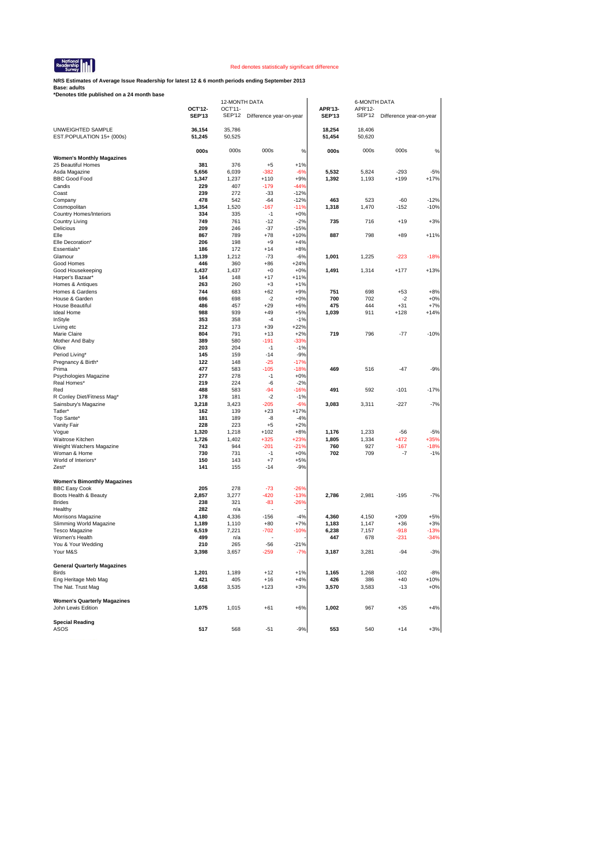

**NRS Estimates of Average Issue Readership for latest 12 & 6 month periods ending September 2013**

|                                                    |                | 12-MONTH DATA  |                         |                 |                | <b>6-MONTH DATA</b> |                         |                |
|----------------------------------------------------|----------------|----------------|-------------------------|-----------------|----------------|---------------------|-------------------------|----------------|
|                                                    | OCT'12-        | OCT'11-        |                         |                 | APR'13-        | APR'12-             |                         |                |
|                                                    | <b>SEP'13</b>  | SEP'12         | Difference year-on-year |                 | <b>SEP'13</b>  | <b>SEP'12</b>       | Difference year-on-year |                |
|                                                    |                |                |                         |                 |                |                     |                         |                |
| UNWEIGHTED SAMPLE                                  | 36,154         | 35,786         |                         |                 | 18,254         | 18,406              |                         |                |
| EST.POPULATION 15+ (000s)                          | 51,245         | 50,525         |                         |                 | 51,454         | 50,620              |                         |                |
|                                                    | 000s           | 000s           | 000s                    | %               | 000s           | 000s                | 000s                    | %              |
| <b>Women's Monthly Magazines</b>                   |                |                |                         |                 |                |                     |                         |                |
| 25 Beautiful Homes                                 | 381            | 376            | $+5$                    | $+1%$           |                |                     |                         |                |
| Asda Magazine                                      | 5,656          | 6,039          | $-382$                  | $-6%$           | 5,532          | 5,824               | $-293$                  | $-5%$          |
| <b>BBC Good Food</b>                               | 1,347          | 1,237          | $+110$                  | $+9%$           | 1,392          | 1,193               | $+199$                  | $+17%$         |
| Candis                                             | 229            | 407            | $-179$                  | $-44%$          |                |                     |                         |                |
| Coast                                              | 239            | 272            | $-33$                   | $-12%$          |                |                     |                         |                |
| Company                                            | 478            | 542            | $-64$                   | $-12%$          | 463            | 523                 | $-60$                   | $-12%$         |
| Cosmopolitan                                       | 1,354          | 1,520          | $-167$                  | $-11%$          | 1,318          | 1,470               | $-152$                  | $-10%$         |
| Country Homes/Interiors                            | 334            | 335            | $-1$                    | $+0%$           |                |                     |                         |                |
| Country Living                                     | 749            | 761            | $-12$                   | $-2%$           | 735            | 716                 | $+19$                   | $+3%$          |
| Delicious                                          | 209            | 246            | $-37$                   | $-15%$          |                |                     |                         |                |
| Elle                                               | 867            | 789            | $+78$                   | $+10%$          | 887            | 798                 | $+89$                   | $+11%$         |
| Elle Decoration*<br>Essentials'                    | 206<br>186     | 198<br>172     | $+9$<br>$+14$           | $+4%$<br>$+8%$  |                |                     |                         |                |
| Glamour                                            | 1,139          | 1,212          | $-73$                   | $-6%$           | 1,001          | 1,225               | $-223$                  | $-18%$         |
| Good Homes                                         | 446            | 360            | $+86$                   | $+24%$          |                |                     |                         |                |
| Good Housekeeping                                  | 1,437          | 1,437          | $+0$                    | $+0%$           | 1,491          | 1,314               | $+177$                  | $+13%$         |
| Harper's Bazaar*                                   | 164            | 148            | $+17$                   | $+11%$          |                |                     |                         |                |
| Homes & Antiques                                   | 263            | 260            | $+3$                    | $+1%$           |                |                     |                         |                |
| Homes & Gardens                                    | 744            | 683            | $+62$                   | $+9%$           | 751            | 698                 | $+53$                   | $+8%$          |
| House & Garden                                     | 696            | 698            | $-2$                    | $+0%$           | 700            | 702                 | $-2$                    | $+0%$          |
| House Beautiful                                    | 486            | 457            | $+29$                   | $+6%$           | 475            | 444                 | $+31$                   | $+7%$          |
| Ideal Home                                         | 988            | 939            | $+49$                   | $+5%$           | 1,039          | 911                 | $+128$                  | $+14%$         |
| InStyle                                            | 353            | 358            | $-4$                    | $-1%$           |                |                     |                         |                |
| Living etc                                         | 212            | 173            | $+39$                   | $+22%$          |                |                     |                         |                |
| Marie Claire                                       | 804            | 791            | $+13$                   | $+2%$           | 719            | 796                 | $-77$                   | $-10%$         |
| Mother And Baby                                    | 389            | 580            | $-191$                  | $-33%$          |                |                     |                         |                |
| Olive                                              | 203            | 204            | $-1$                    | $-1%$           |                |                     |                         |                |
| Period Living*                                     | 145            | 159            | $-14$                   | $-9%$           |                |                     |                         |                |
| Pregnancy & Birth*                                 | 122            | 148            | $-25$                   | $-17%$          |                |                     |                         |                |
| Prima                                              | 477            | 583            | $-105$                  | $-18%$          | 469            | 516                 | $-47$                   | $-9%$          |
| Psychologies Magazine                              | 277            | 278            | $-1$                    | $+0%$           |                |                     |                         |                |
| Real Homes*<br>Red                                 | 219<br>488     | 224<br>583     | $-6$<br>$-94$           | $-2%$<br>$-16%$ | 491            | 592                 | $-101$                  | $-17%$         |
|                                                    | 178            | 181            | $-2$                    | $-1%$           |                |                     |                         |                |
| R Conley Diet/Fitness Mag*<br>Sainsbury's Magazine | 3,218          | 3,423          | $-205$                  | $-6%$           | 3,083          | 3,311               | $-227$                  | $-7%$          |
| Tatler*                                            | 162            | 139            | $+23$                   | $+17%$          |                |                     |                         |                |
| Top Sante*                                         | 181            | 189            | $-8$                    | $-4%$           |                |                     |                         |                |
| Vanity Fair                                        | 228            | 223            | $+5$                    | $+2%$           |                |                     |                         |                |
| Voque                                              | 1,320          | 1,218          | $+102$                  | $+8%$           | 1,176          | 1,233               | $-56$                   | $-5%$          |
| Waitrose Kitchen                                   | 1,726          | 1,402          | $+325$                  | $+23%$          | 1,805          | 1,334               | $+472$                  | $+35%$         |
| Weight Watchers Magazine                           | 743            | 944            | $-201$                  | $-21%$          | 760            | 927                 | $-167$                  | $-18%$         |
| Woman & Home                                       | 730            | 731            | $-1$                    | $+0%$           | 702            | 709                 | $-7$                    | $-1%$          |
| World of Interiors*                                | 150            | 143            | $+7$                    | $+5%$           |                |                     |                         |                |
| Zest <sup>*</sup>                                  | 141            | 155            | $-14$                   | $-9%$           |                |                     |                         |                |
|                                                    |                |                |                         |                 |                |                     |                         |                |
| <b>Women's Bimonthly Magazines</b>                 |                |                |                         |                 |                |                     |                         |                |
| <b>BBC Easy Cook</b>                               | 205            | 278            | $-73$                   | $-26%$          |                |                     |                         |                |
| Boots Health & Beauty                              | 2.857          | 3,277          | $-420$                  | $-13%$          | 2,786          | 2,981               | $-195$                  | $-7%$          |
| <b>Brides</b>                                      | 238            | 321            | $-83$                   | $-26%$          |                |                     |                         |                |
| Healthy                                            | 282            | n/a            |                         | $-4%$           |                |                     | $+209$                  |                |
| Morrisons Magazine<br>Slimming World Magazine      | 4,180<br>1,189 | 4,336<br>1,110 | $-156$                  | $+7%$           | 4,360          | 4,150<br>1,147      |                         | $+5%$<br>$+3%$ |
| Tesco Magazine                                     | 6,519          | 7,221          | $+80$<br>$-702$         | -10%            | 1,183<br>6,238 | 7,157               | $+36$<br>$-918$         | $-13%$         |
| Women's Health                                     | 499            | n/a            |                         |                 | 447            | 678                 | $-231$                  | $-34%$         |
| You & Your Wedding                                 | 210            | 265            | $-56$                   | $-21%$          |                |                     |                         |                |
| Your M&S                                           | 3,398          | 3,657          | $-259$                  | $-7%$           | 3,187          | 3,281               | $-94$                   | $-3%$          |
|                                                    |                |                |                         |                 |                |                     |                         |                |
| <b>General Quarterly Magazines</b>                 |                |                |                         |                 |                |                     |                         |                |
| <b>Birds</b>                                       | 1,201          | 1,189          | $+12$                   | $+1%$           | 1,165          | 1,268               | $-102$                  | $-8%$          |
| Eng Heritage Meb Mag                               | 421            | 405            | $+16$                   | $+4%$           | 426            | 386                 | $+40$                   | $+10%$         |
| The Nat. Trust Mag                                 | 3,658          | 3,535          | $+123$                  | $+3%$           | 3,570          | 3,583               | $-13$                   | $+0%$          |
|                                                    |                |                |                         |                 |                |                     |                         |                |
| <b>Women's Quarterly Magazines</b>                 |                |                |                         |                 |                |                     |                         |                |
| John Lewis Edition                                 | 1,075          | 1,015          | $+61$                   | $+6%$           | 1,002          | 967                 | $+35$                   | $+4%$          |
|                                                    |                |                |                         |                 |                |                     |                         |                |
| <b>Special Reading</b>                             | 517            |                |                         |                 |                |                     |                         |                |
| ASOS                                               |                | 568            | $-51$                   | $-9%$           | 553            | 540                 | $+14$                   | $+3%$          |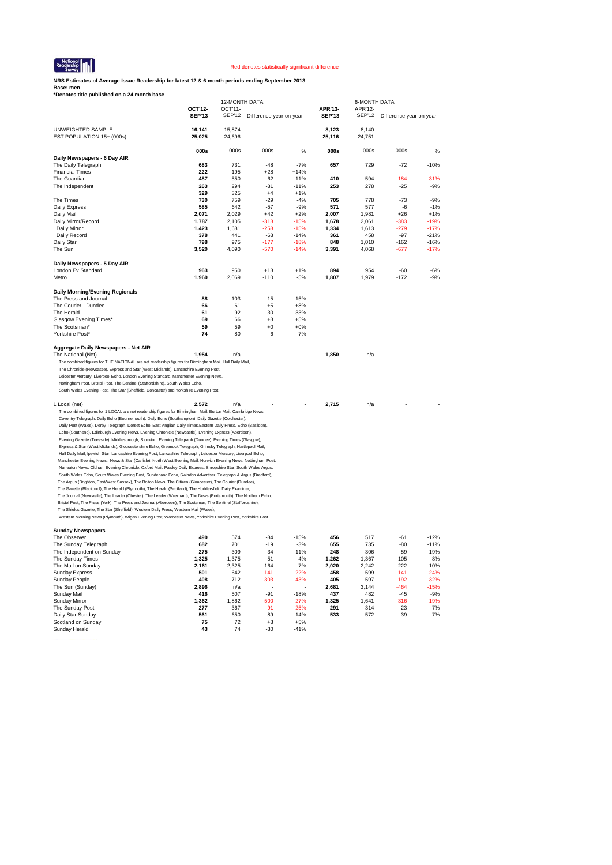

**NRS Estimates of Average Issue Readership for latest 12 & 6 month periods ending September 2013**

|                                                                                                                                                                                                                           |               | 12-MONTH DATA |                         |                 |               | <b>6-MONTH DATA</b> |                         |                  |
|---------------------------------------------------------------------------------------------------------------------------------------------------------------------------------------------------------------------------|---------------|---------------|-------------------------|-----------------|---------------|---------------------|-------------------------|------------------|
|                                                                                                                                                                                                                           | OCT'12-       | OCT'11-       |                         |                 | APR'13-       | APR'12-             |                         |                  |
|                                                                                                                                                                                                                           | <b>SEP'13</b> | <b>SEP'12</b> | Difference year-on-year |                 | <b>SEP'13</b> | <b>SEP'12</b>       | Difference year-on-year |                  |
| UNWEIGHTED SAMPLE                                                                                                                                                                                                         | 16,141        | 15,874        |                         |                 | 8,123         | 8,140               |                         |                  |
| EST.POPULATION 15+ (000s)                                                                                                                                                                                                 | 25,025        | 24,696        |                         |                 | 25,116        | 24,751              |                         |                  |
|                                                                                                                                                                                                                           |               |               |                         |                 |               |                     |                         |                  |
|                                                                                                                                                                                                                           | 000s          | 000s          | 000s                    | %               | 000s          | 000s                | 000s                    | $\%$             |
| Daily Newspapers - 6 Day AIR                                                                                                                                                                                              |               |               |                         |                 |               |                     |                         |                  |
| The Daily Telegraph                                                                                                                                                                                                       | 683           | 731           | $-48$                   | $-7%$           | 657           | 729                 | $-72$                   | $-10%$           |
| <b>Financial Times</b>                                                                                                                                                                                                    | 222           | 195           | $+28$                   | $+14%$          |               |                     |                         |                  |
| The Guardian                                                                                                                                                                                                              | 487           | 550           | $-62$                   | $-11%$          | 410           | 594                 | $-184$                  | $-31%$           |
| The Independent                                                                                                                                                                                                           | 263           | 294           | $-31$                   | $-11%$          | 253           | 278                 | $-25$                   | $-9%$            |
| The Times                                                                                                                                                                                                                 | 329<br>730    | 325<br>759    | $+4$<br>$-29$           | $+1%$<br>$-4%$  | 705           | 778                 | $-73$                   | $-9%$            |
| Daily Express                                                                                                                                                                                                             | 585           | 642           | $-57$                   | $-9%$           | 571           | 577                 | -6                      | $-1%$            |
| Daily Mail                                                                                                                                                                                                                | 2,071         | 2,029         | $+42$                   | $+2%$           | 2,007         | 1,981               | $+26$                   | $+1%$            |
| Daily Mirror/Record                                                                                                                                                                                                       | 1,787         | 2,105         | $-318$                  | -15%            | 1,678         | 2,061               | -383                    | $-19%$           |
| Daily Mirror                                                                                                                                                                                                              | 1,423         | 1,681         | $-258$                  | $-15%$          | 1,334         | 1,613               | $-279$                  | $-17%$           |
| Daily Record                                                                                                                                                                                                              | 378           | 441           | $-63$                   | $-14%$          | 361           | 458                 | $-97$                   | $-21%$           |
| Daily Star                                                                                                                                                                                                                | 798           | 975           | $-177$                  | -18%            | 848           | 1,010               | $-162$                  | $-16%$           |
| The Sun                                                                                                                                                                                                                   | 3,520         | 4,090         | $-570$                  | $-14%$          | 3,391         | 4,068               | -677                    | $-17%$           |
|                                                                                                                                                                                                                           |               |               |                         |                 |               |                     |                         |                  |
| Daily Newspapers - 5 Day AIR<br>London Ev Standard                                                                                                                                                                        | 963           | 950           | $+13$                   | $+1%$           | 894           | 954                 | -60                     | $-6%$            |
| Metro                                                                                                                                                                                                                     | 1,960         | 2,069         | $-110$                  | $-5%$           | 1,807         | 1,979               | $-172$                  | $-9%$            |
|                                                                                                                                                                                                                           |               |               |                         |                 |               |                     |                         |                  |
| Daily Morning/Evening Regionals                                                                                                                                                                                           |               |               |                         |                 |               |                     |                         |                  |
| The Press and Journal                                                                                                                                                                                                     | 88            | 103           | $-15$                   | $-15%$          |               |                     |                         |                  |
| The Courier - Dundee                                                                                                                                                                                                      | 66            | 61            | $+5$                    | $+8%$           |               |                     |                         |                  |
| The Herald                                                                                                                                                                                                                | 61            | 92            | $-30$                   | $-33%$          |               |                     |                         |                  |
| Glasgow Evening Times*                                                                                                                                                                                                    | 69            | 66            | $+3$                    | $+5%$           |               |                     |                         |                  |
| The Scotsman*                                                                                                                                                                                                             | 59            | 59            | $+0$                    | $+0%$           |               |                     |                         |                  |
| Yorkshire Post*                                                                                                                                                                                                           | 74            | 80            | -6                      | $-7%$           |               |                     |                         |                  |
| Aggregate Daily Newspapers - Net AIR                                                                                                                                                                                      |               |               |                         |                 |               |                     |                         |                  |
| The National (Net)                                                                                                                                                                                                        | 1,954         | n/a           |                         |                 | 1,850         | n/a                 |                         |                  |
| The combined figures for THE NATIONAL are net readership figures for Birmingham Mail, Hull Daily Mail,                                                                                                                    |               |               |                         |                 |               |                     |                         |                  |
| The Chronicle (Newcastle), Express and Star (West Midlands), Lancashire Evening Post,                                                                                                                                     |               |               |                         |                 |               |                     |                         |                  |
| Leicester Mercury, Liverpool Echo, London Evening Standard, Manchester Evening News,                                                                                                                                      |               |               |                         |                 |               |                     |                         |                  |
| Nottingham Post, Bristol Post, The Sentinel (Staffordshire), South Wales Echo,                                                                                                                                            |               |               |                         |                 |               |                     |                         |                  |
| South Wales Evening Post, The Star (Sheffield, Doncaster) and Yorkshire Evening Post.                                                                                                                                     |               |               |                         |                 |               |                     |                         |                  |
|                                                                                                                                                                                                                           |               | n/a           |                         |                 | 2,715         | n/a                 |                         |                  |
| 1 Local (net)<br>The combined figures for 1 LOCAL are net readership figures for Birmingham Mail, Burton Mail, Cambridge News,                                                                                            | 2,572         |               |                         |                 |               |                     |                         |                  |
| Coventry Telegraph, Daily Echo (Bournemouth), Daily Echo (Southampton), Daily Gazette (Colchester),                                                                                                                       |               |               |                         |                 |               |                     |                         |                  |
| Daily Post (Wales), Derby Telegraph, Dorset Echo, East Anglian Daily Times, Eastern Daily Press, Echo (Basildon),                                                                                                         |               |               |                         |                 |               |                     |                         |                  |
| Echo (Southend), Edinburgh Evening News, Evening Chronicle (Newcastle), Evening Express (Aberdeen),                                                                                                                       |               |               |                         |                 |               |                     |                         |                  |
| Evening Gazette (Teesside), Middlesbrough, Stockton, Evening Telegraph (Dundee), Evening Times (Glasgow),                                                                                                                 |               |               |                         |                 |               |                     |                         |                  |
| Express & Star (West Midlands), Gloucestershire Echo, Greenock Telegraph, Grimsby Telegraph, Hartlepool Mail,                                                                                                             |               |               |                         |                 |               |                     |                         |                  |
| Hull Daily Mail, Ipswich Star, Lancashire Evening Post, Lancashire Telegraph, Leicester Mercury, Liverpool Echo,                                                                                                          |               |               |                         |                 |               |                     |                         |                  |
| Manchester Evening News, News & Star (Carlisle), North West Evening Mail, Norwich Evening News, Nottingham Post,                                                                                                          |               |               |                         |                 |               |                     |                         |                  |
| Nuneaton News, Oldham Evening Chronicle, Oxford Mail, Paisley Daily Express, Shropshire Star, South Wales Argus,                                                                                                          |               |               |                         |                 |               |                     |                         |                  |
| South Wales Echo, South Wales Evening Post, Sunderland Echo, Swindon Advertiser, Telegraph & Argus (Bradford),                                                                                                            |               |               |                         |                 |               |                     |                         |                  |
| The Argus (Brighton, East/West Sussex), The Bolton News, The Citizen (Gloucester), The Courier (Dundee),                                                                                                                  |               |               |                         |                 |               |                     |                         |                  |
| The Gazette (Blackpool), The Herald (Plymouth), The Herald (Scotland), The Huddersfield Daily Examiner,<br>The Journal (Newcastle), The Leader (Chester), The Leader (Wrexham), The News (Portsmouth), The Northern Echo, |               |               |                         |                 |               |                     |                         |                  |
| Bristol Post, The Press (York), The Press and Journal (Aberdeen), The Scotsman, The Sentinel (Staffordshire),                                                                                                             |               |               |                         |                 |               |                     |                         |                  |
| The Shields Gazette, The Star (Sheffield), Western Daily Press, Western Mail (Wales),                                                                                                                                     |               |               |                         |                 |               |                     |                         |                  |
| Western Morning News (Plymouth), Wigan Evening Post, Worcester News, Yorkshire Evening Post, Yorkshire Post.                                                                                                              |               |               |                         |                 |               |                     |                         |                  |
|                                                                                                                                                                                                                           |               |               |                         |                 |               |                     |                         |                  |
| <b>Sunday Newspapers</b>                                                                                                                                                                                                  |               |               |                         |                 |               |                     |                         |                  |
| The Observer                                                                                                                                                                                                              | 490           | 574           | $-84$                   | $-15%$          | 456           | 517                 | -61                     | $-12%$           |
| The Sunday Telegraph<br>The Independent on Sunday                                                                                                                                                                         | 682<br>275    | 701<br>309    | $-19$<br>$-34$          | $-3%$<br>$-11%$ | 655<br>248    | 735<br>306          | -80<br>$-59$            | $-11%$<br>$-19%$ |
| The Sunday Times                                                                                                                                                                                                          | 1,325         | 1,375         | -51                     | $-4%$           | 1.262         | 1,367               | -105                    | -8%              |
| The Mail on Sunday                                                                                                                                                                                                        | 2,161         | 2,325         | $-164$                  | $-7%$           | 2,020         | 2,242               | $-222$                  | $-10%$           |
| <b>Sunday Express</b>                                                                                                                                                                                                     | 501           | 642           | $-141$                  | $-22%$          | 458           | 599                 | $-141$                  | $-24%$           |
| <b>Sunday People</b>                                                                                                                                                                                                      | 408           | 712           | $-303$                  | $-43%$          | 405           | 597                 | $-192$                  | $-32%$           |
| The Sun (Sunday)                                                                                                                                                                                                          | 2,896         | n/a           |                         |                 | 2,681         | 3,144               | $-464$                  | $-15%$           |
| Sunday Mail                                                                                                                                                                                                               | 416           | 507           | $-91$                   | $-18%$          | 437           | 482                 | -45                     | $-9%$            |
| <b>Sunday Mirror</b>                                                                                                                                                                                                      | 1,362         | 1,862         | $-500$                  | $-27%$          | 1,325         | 1,641               | $-316$                  | $-19%$           |
| The Sunday Post                                                                                                                                                                                                           | 277           | 367           | -91                     | -25%            | 291           | 314                 | -23                     | $-7%$            |
| Daily Star Sunday                                                                                                                                                                                                         | 561           | 650           | $-89$                   | $-14%$          | 533           | 572                 | $-39$                   | $-7%$            |
| Scotland on Sunday<br>Sunday Herald                                                                                                                                                                                       | 75<br>43      | 72<br>74      | $+3$<br>$-30$           | $+5%$<br>-41%   |               |                     |                         |                  |
|                                                                                                                                                                                                                           |               |               |                         |                 |               |                     |                         |                  |
|                                                                                                                                                                                                                           |               |               |                         |                 |               |                     |                         |                  |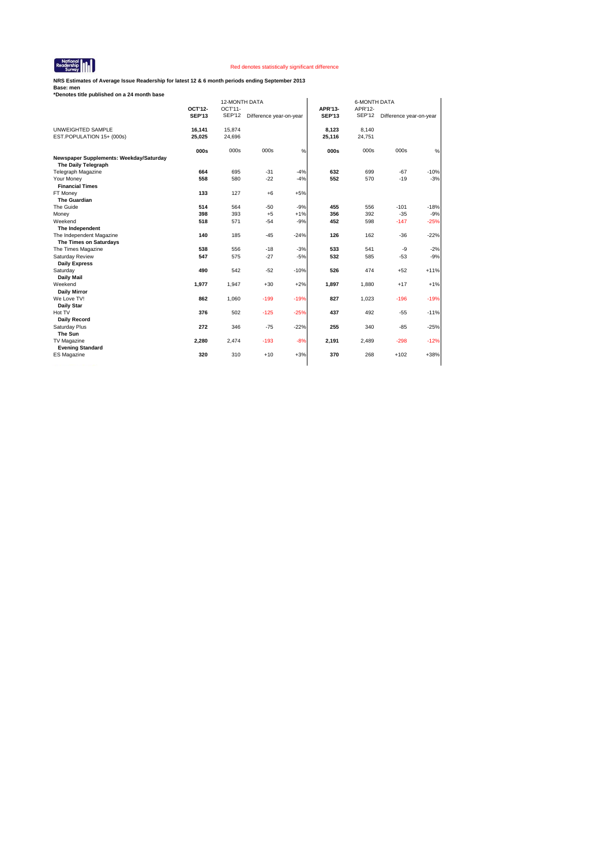

**NRS Estimates of Average Issue Readership for latest 12 & 6 month periods ending September 2013**

| *Denotes title published on a 24 month base                    |                          |                            |                         |        |                          |                          |                         |        |
|----------------------------------------------------------------|--------------------------|----------------------------|-------------------------|--------|--------------------------|--------------------------|-------------------------|--------|
|                                                                |                          | 12-MONTH DATA              |                         |        |                          | <b>6-MONTH DATA</b>      |                         |        |
|                                                                | OCT'12-<br><b>SEP'13</b> | $OCT'11-$<br><b>SEP'12</b> | Difference year-on-year |        | APR'13-<br><b>SEP'13</b> | APR'12-<br><b>SEP'12</b> | Difference year-on-year |        |
|                                                                |                          |                            |                         |        |                          |                          |                         |        |
| UNWEIGHTED SAMPLE                                              | 16,141                   | 15,874                     |                         |        | 8.123                    | 8.140                    |                         |        |
| EST.POPULATION 15+ (000s)                                      | 25,025                   | 24,696                     |                         |        | 25,116                   | 24,751                   |                         |        |
|                                                                | 000s                     | 000s                       | 000s                    | $\%$   | 000s                     | 000s                     | 000s                    | $\%$   |
| Newspaper Supplements: Weekday/Saturday<br>The Daily Telegraph |                          |                            |                         |        |                          |                          |                         |        |
| <b>Telegraph Magazine</b>                                      | 664                      | 695                        | $-31$                   | $-4%$  | 632                      | 699                      | $-67$                   | $-10%$ |
| Your Money                                                     | 558                      | 580                        | $-22$                   | $-4%$  | 552                      | 570                      | $-19$                   | $-3%$  |
| <b>Financial Times</b>                                         |                          |                            |                         |        |                          |                          |                         |        |
| FT Money                                                       | 133                      | 127                        | $+6$                    | $+5%$  |                          |                          |                         |        |
| <b>The Guardian</b>                                            |                          |                            |                         |        |                          |                          |                         |        |
| The Guide                                                      | 514                      | 564                        | $-50$                   | $-9%$  | 455                      | 556                      | $-101$                  | $-18%$ |
| Money                                                          | 398                      | 393                        | $+5$                    | $+1%$  | 356                      | 392                      | $-35$                   | $-9%$  |
| Weekend                                                        | 518                      | 571                        | $-54$                   | $-9%$  | 452                      | 598                      | $-147$                  | $-25%$ |
| The Independent                                                |                          |                            |                         |        |                          |                          |                         |        |
| The Independent Magazine                                       | 140                      | 185                        | $-45$                   | $-24%$ | 126                      | 162                      | $-36$                   | $-22%$ |
| The Times on Saturdays<br>The Times Magazine                   | 538                      | 556                        | $-18$                   | $-3%$  | 533                      | 541                      |                         | $-2%$  |
| Saturday Review                                                | 547                      | 575                        | $-27$                   | $-5%$  | 532                      | 585                      | -9<br>$-53$             | $-9%$  |
| <b>Daily Express</b>                                           |                          |                            |                         |        |                          |                          |                         |        |
| Saturday                                                       | 490                      | 542                        | $-52$                   | $-10%$ | 526                      | 474                      | $+52$                   | $+11%$ |
| <b>Daily Mail</b>                                              |                          |                            |                         |        |                          |                          |                         |        |
| Weekend                                                        | 1,977                    | 1,947                      | $+30$                   | $+2%$  | 1,897                    | 1,880                    | $+17$                   | $+1%$  |
| <b>Daily Mirror</b>                                            |                          |                            |                         |        |                          |                          |                         |        |
| We Love TV!                                                    | 862                      | 1,060                      | $-199$                  | $-19%$ | 827                      | 1,023                    | $-196$                  | $-19%$ |
| Daily Star                                                     |                          |                            |                         |        |                          |                          |                         |        |
| Hot TV                                                         | 376                      | 502                        | $-125$                  | $-25%$ | 437                      | 492                      | $-55$                   | $-11%$ |
| Daily Record                                                   |                          |                            |                         |        |                          |                          |                         |        |
| Saturday Plus                                                  | 272                      | 346                        | $-75$                   | $-22%$ | 255                      | 340                      | $-85$                   | $-25%$ |
| The Sun                                                        |                          |                            |                         |        |                          |                          |                         |        |
| TV Magazine                                                    | 2,280                    | 2,474                      | $-193$                  | $-8%$  | 2,191                    | 2,489                    | $-298$                  | $-12%$ |
| <b>Evening Standard</b>                                        |                          |                            |                         |        |                          |                          |                         |        |
| <b>ES Magazine</b>                                             | 320                      | 310                        | $+10$                   | $+3%$  | 370                      | 268                      | $+102$                  | $+38%$ |
|                                                                |                          |                            |                         |        |                          |                          |                         |        |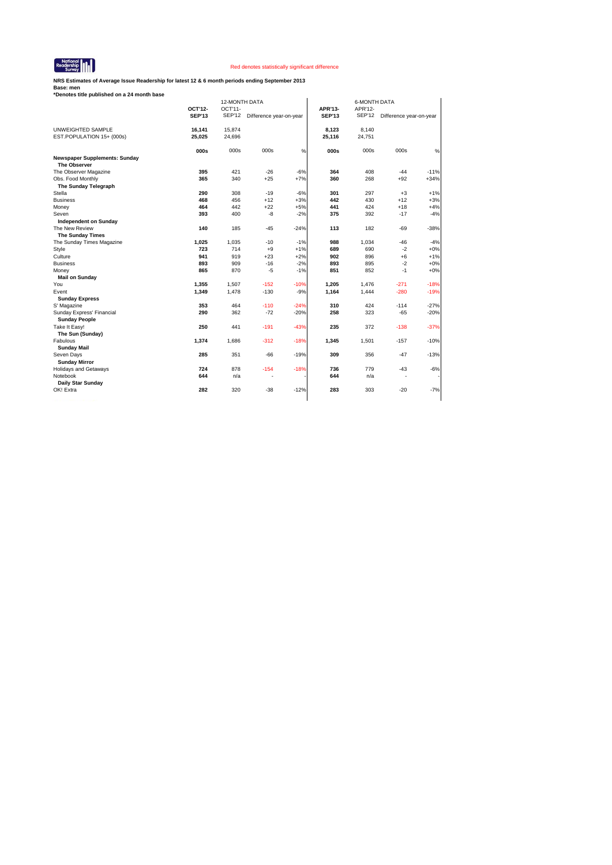

**NRS Estimates of Average Issue Readership for latest 12 & 6 month periods ending September 2013**

|                                                   |               | 12-MONTH DATA |                         |        |               | <b>6-MONTH DATA</b> |                         |        |  |  |
|---------------------------------------------------|---------------|---------------|-------------------------|--------|---------------|---------------------|-------------------------|--------|--|--|
|                                                   | OCT'12-       | OCT'11-       |                         |        | APR'13-       | APR'12-             |                         |        |  |  |
|                                                   | <b>SEP'13</b> | <b>SEP'12</b> | Difference year-on-year |        | <b>SEP'13</b> | <b>SEP'12</b>       | Difference year-on-year |        |  |  |
| UNWEIGHTED SAMPLE                                 | 16,141        | 15,874        |                         |        | 8,123         | 8,140               |                         |        |  |  |
| EST.POPULATION 15+ (000s)                         | 25,025        | 24,696        |                         |        | 25,116        | 24,751              |                         |        |  |  |
|                                                   | 000s          | 000s          | 000s                    | %      | 000s          | 000s                | 000s                    | %      |  |  |
| <b>Newspaper Supplements: Sunday</b>              |               |               |                         |        |               |                     |                         |        |  |  |
| <b>The Observer</b>                               |               |               |                         |        |               |                     |                         |        |  |  |
| The Observer Magazine                             | 395           | 421           | $-26$                   | $-6%$  | 364           | 408                 | $-44$                   | $-11%$ |  |  |
| Obs. Food Monthly                                 | 365           | 340           | $+25$                   | $+7%$  | 360           | 268                 | $+92$                   | $+34%$ |  |  |
| The Sunday Telegraph                              |               |               |                         |        |               |                     |                         |        |  |  |
| Stella                                            | 290           | 308           | $-19$                   | $-6%$  | 301           | 297                 | $+3$                    | $+1%$  |  |  |
| <b>Business</b>                                   | 468           | 456           | $+12$                   | $+3%$  | 442           | 430                 | $+12$                   | $+3%$  |  |  |
| Money                                             | 464           | 442           | $+22$                   | $+5%$  | 441           | 424                 | $+18$                   | $+4%$  |  |  |
| Seven                                             | 393           | 400           | $-8$                    | $-2%$  | 375           | 392                 | $-17$                   | $-4%$  |  |  |
| <b>Independent on Sunday</b>                      |               |               |                         |        |               |                     |                         |        |  |  |
| The New Review                                    | 140           | 185           | $-45$                   | $-24%$ | 113           | 182                 | $-69$                   | $-38%$ |  |  |
| The Sunday Times                                  |               |               |                         |        |               |                     |                         |        |  |  |
| The Sunday Times Magazine                         | 1,025         | 1,035         | $-10$                   | $-1%$  | 988           | 1.034               | $-46$                   | $-4%$  |  |  |
| Style                                             | 723           | 714           | $+9$                    | $+1%$  | 689           | 690                 | $-2$                    | $+0%$  |  |  |
| Culture                                           | 941           | 919           | $+23$                   | $+2%$  | 902           | 896                 | $+6$                    | $+1%$  |  |  |
| <b>Business</b>                                   | 893           | 909           | $-16$                   | $-2%$  | 893           | 895                 | $-2$                    | $+0%$  |  |  |
| Money                                             | 865           | 870           | $-5$                    | $-1%$  | 851           | 852                 | $-1$                    | $+0%$  |  |  |
| <b>Mail on Sunday</b>                             |               |               |                         |        |               |                     |                         |        |  |  |
| You                                               | 1,355         | 1,507         | $-152$                  | $-10%$ | 1,205         | 1,476               | $-271$                  | $-18%$ |  |  |
| Event                                             | 1,349         | 1,478         | $-130$                  | $-9%$  | 1,164         | 1,444               | $-280$                  | $-19%$ |  |  |
| <b>Sunday Express</b>                             |               |               |                         |        |               |                     |                         |        |  |  |
| S' Magazine                                       | 353           | 464           | $-110$                  | $-24%$ | 310           | 424                 | $-114$                  | $-27%$ |  |  |
| Sunday Express' Financial<br><b>Sunday People</b> | 290           | 362           | $-72$                   | $-20%$ | 258           | 323                 | $-65$                   | $-20%$ |  |  |
| Take It Easy!                                     | 250           | 441           | $-191$                  | $-43%$ | 235           | 372                 | $-138$                  | $-37%$ |  |  |
| The Sun (Sunday)                                  |               |               |                         |        |               |                     |                         |        |  |  |
| Fabulous                                          | 1,374         | 1,686         | $-312$                  | $-18%$ | 1,345         | 1,501               | $-157$                  | $-10%$ |  |  |
| <b>Sunday Mail</b>                                |               |               |                         |        |               |                     |                         |        |  |  |
| Seven Days                                        | 285           | 351           | $-66$                   | $-19%$ | 309           | 356                 | $-47$                   | $-13%$ |  |  |
| <b>Sunday Mirror</b>                              |               |               |                         |        |               |                     |                         |        |  |  |
| <b>Holidays and Getaways</b>                      | 724           | 878           | $-154$                  | $-18%$ | 736           | 779                 | $-43$                   | $-6%$  |  |  |
| Notebook                                          | 644           | n/a           | ٠                       |        | 644           | n/a                 | ٠                       |        |  |  |
| Daily Star Sunday                                 |               |               |                         |        |               |                     |                         |        |  |  |
| OK! Extra                                         | 282           | 320           | $-38$                   | $-12%$ | 283           | 303                 | $-20$                   | $-7%$  |  |  |
|                                                   |               |               |                         |        |               |                     |                         |        |  |  |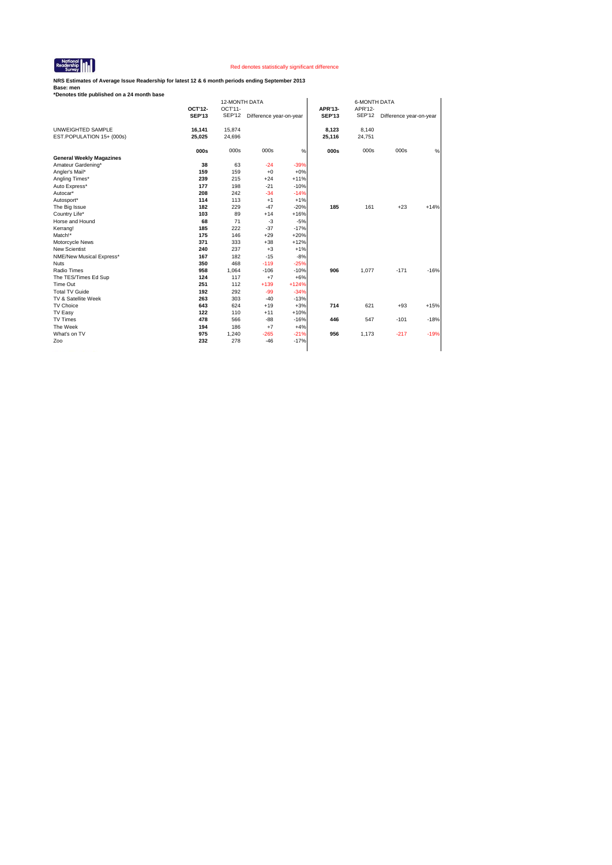

**NRS Estimates of Average Issue Readership for latest 12 & 6 month periods ending September 2013**

| *Denotes title published on a 24 month base |               |                          |                         |         |               |                                |                         |        |
|---------------------------------------------|---------------|--------------------------|-------------------------|---------|---------------|--------------------------------|-------------------------|--------|
|                                             | OCT'12-       | 12-MONTH DATA<br>OCT'11- |                         |         | APR'13-       | <b>6-MONTH DATA</b><br>APR'12- |                         |        |
|                                             | <b>SEP'13</b> | SEP'12                   |                         |         | <b>SEP'13</b> | <b>SEP'12</b>                  |                         |        |
|                                             |               |                          | Difference year-on-year |         |               |                                | Difference year-on-year |        |
| UNWEIGHTED SAMPLE                           | 16,141        | 15,874                   |                         |         | 8,123         | 8,140                          |                         |        |
| EST.POPULATION 15+ (000s)                   | 25,025        | 24,696                   |                         |         | 25,116        | 24,751                         |                         |        |
|                                             | 000s          | 000s                     | 000s                    | %       | 000s          | 000s                           | 000s                    | %      |
| <b>General Weekly Magazines</b>             |               |                          |                         |         |               |                                |                         |        |
| Amateur Gardening*                          | 38            | 63                       | $-24$                   | $-39%$  |               |                                |                         |        |
| Angler's Mail*                              | 159           | 159                      | $+0$                    | $+0%$   |               |                                |                         |        |
| Angling Times*                              | 239           | 215                      | $+24$                   | $+11%$  |               |                                |                         |        |
| Auto Express*                               | 177           | 198                      | $-21$                   | $-10%$  |               |                                |                         |        |
| Autocar*                                    | 208           | 242                      | $-34$                   | $-14%$  |               |                                |                         |        |
| Autosport*                                  | 114           | 113                      | $+1$                    | $+1%$   |               |                                |                         |        |
| The Big Issue                               | 182           | 229                      | $-47$                   | $-20%$  | 185           | 161                            | $+23$                   | $+14%$ |
| Country Life*                               | 103           | 89                       | $+14$                   | $+16%$  |               |                                |                         |        |
| Horse and Hound                             | 68            | 71                       | $-3$                    | $-5%$   |               |                                |                         |        |
| Kerrang!                                    | 185           | 222                      | $-37$                   | $-17%$  |               |                                |                         |        |
| Match!*                                     | 175           | 146                      | $+29$                   | $+20%$  |               |                                |                         |        |
| Motorcycle News                             | 371           | 333                      | $+38$                   | $+12%$  |               |                                |                         |        |
| <b>New Scientist</b>                        | 240           | 237                      | $+3$                    | $+1%$   |               |                                |                         |        |
| NME/New Musical Express*                    | 167           | 182                      | $-15$                   | $-8%$   |               |                                |                         |        |
| <b>Nuts</b>                                 | 350           | 468                      | $-119$                  | $-25%$  |               |                                |                         |        |
| Radio Times                                 | 958           | 1,064                    | $-106$                  | $-10%$  | 906           | 1,077                          | $-171$                  | $-16%$ |
| The TES/Times Ed Sup                        | 124           | 117                      | $+7$                    | $+6%$   |               |                                |                         |        |
| Time Out                                    | 251           | 112                      | $+139$                  | $+124%$ |               |                                |                         |        |
| <b>Total TV Guide</b>                       | 192           | 292                      | $-99$                   | $-34%$  |               |                                |                         |        |
| TV & Satellite Week                         | 263           | 303                      | $-40$                   | $-13%$  |               |                                |                         |        |
| TV Choice                                   | 643           | 624                      | $+19$                   | $+3%$   | 714           | 621                            | $+93$                   | $+15%$ |
| TV Easy                                     | 122           | 110                      | $+11$                   | $+10%$  |               |                                |                         |        |
| <b>TV Times</b>                             | 478           | 566                      | $-88$                   | $-16%$  | 446           | 547                            | $-101$                  | $-18%$ |
| The Week                                    | 194           | 186                      | $+7$                    | $+4%$   |               |                                |                         |        |
| What's on TV                                | 975           | 1,240                    | $-265$                  | $-21%$  | 956           | 1,173                          | $-217$                  | $-19%$ |
| Zoo                                         | 232           | 278                      | $-46$                   | $-17%$  |               |                                |                         |        |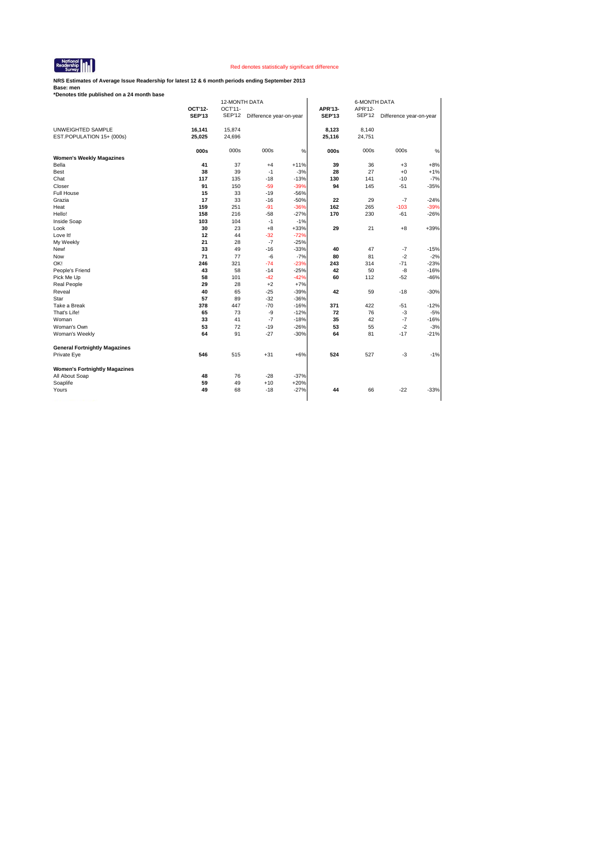

**NRS Estimates of Average Issue Readership for latest 12 & 6 month periods ending September 2013**

| *Denotes title published on a 24 month base |               |               |                                |        |               |                     |                         |        |  |  |
|---------------------------------------------|---------------|---------------|--------------------------------|--------|---------------|---------------------|-------------------------|--------|--|--|
|                                             |               | 12-MONTH DATA |                                |        |               | <b>6-MONTH DATA</b> |                         |        |  |  |
|                                             | OCT'12-       | OCT'11-       |                                |        | APR'13-       | APR'12-             |                         |        |  |  |
|                                             | <b>SEP'13</b> |               | SEP'12 Difference year-on-year |        | <b>SEP'13</b> | <b>SEP'12</b>       | Difference year-on-year |        |  |  |
|                                             |               |               |                                |        |               |                     |                         |        |  |  |
| UNWEIGHTED SAMPLE                           | 16,141        | 15,874        |                                |        | 8,123         | 8,140               |                         |        |  |  |
| EST.POPULATION 15+ (000s)                   | 25,025        | 24,696        |                                |        | 25,116        | 24,751              |                         |        |  |  |
|                                             |               |               |                                |        |               |                     |                         |        |  |  |
|                                             | 000s          | 000s          | 000s                           | %      | 000s          | 000s                | 000s                    | $\%$   |  |  |
| <b>Women's Weekly Magazines</b>             |               |               |                                |        |               |                     |                         |        |  |  |
| Bella                                       | 41            | 37            | $+4$                           | $+11%$ | 39            | 36                  | $+3$                    | $+8%$  |  |  |
| Best                                        | 38            | 39            | $-1$                           | $-3%$  | 28            | 27                  | $+0$                    | $+1%$  |  |  |
| Chat                                        | 117           | 135           | $-18$                          | $-13%$ | 130           | 141                 | $-10$                   | $-7%$  |  |  |
| Closer                                      | 91            | 150           | $-59$                          | $-39%$ | 94            | 145                 | $-51$                   | $-35%$ |  |  |
| Full House                                  | 15            | 33            | $-19$                          | $-56%$ |               |                     |                         |        |  |  |
| Grazia                                      | 17            | 33            | $-16$                          | $-50%$ | 22            | 29                  | $-7$                    | $-24%$ |  |  |
| Heat                                        | 159           | 251           | $-91$                          | $-36%$ | 162           | 265                 | $-103$                  | $-39%$ |  |  |
| Hello!                                      | 158           | 216           | $-58$                          | $-27%$ | 170           | 230                 | $-61$                   | $-26%$ |  |  |
| Inside Soap                                 | 103           | 104           | $-1$                           | $-1%$  |               |                     |                         |        |  |  |
| Look                                        | 30            | 23            | $+8$                           | $+33%$ | 29            | 21                  | $+8$                    | $+39%$ |  |  |
| Love It!                                    | 12            | 44            | $-32$                          | $-72%$ |               |                     |                         |        |  |  |
| My Weekly                                   | 21            | 28            | $-7$                           | $-25%$ |               |                     |                         |        |  |  |
| New!                                        | 33            | 49            | $-16$                          | $-33%$ | 40            | 47                  | $-7$                    | $-15%$ |  |  |
| Now                                         | 71            | 77            | -6                             | $-7%$  | 80            | 81                  | $-2$                    | $-2%$  |  |  |
| OK!                                         | 246           | 321           | $-74$                          | $-23%$ | 243           | 314                 | $-71$                   | $-23%$ |  |  |
| People's Friend                             | 43            | 58            | $-14$                          | $-25%$ | 42            | 50                  | -8                      | $-16%$ |  |  |
| Pick Me Up                                  | 58            | 101           | $-42$                          | $-42%$ | 60            | 112                 | $-52$                   | $-46%$ |  |  |
| Real People                                 | 29            | 28            | $+2$                           | $+7%$  |               |                     |                         |        |  |  |
| Reveal                                      | 40            | 65            | $-25$                          | $-39%$ | 42            | 59                  | $-18$                   | $-30%$ |  |  |
| Star                                        | 57            | 89            | $-32$                          | $-36%$ |               |                     |                         |        |  |  |
| Take a Break                                | 378           | 447           | $-70$                          | $-16%$ | 371           | 422                 | $-51$                   | $-12%$ |  |  |
| That's Life!                                | 65            | 73            | -9                             | $-12%$ | 72            | 76                  | -3                      | $-5%$  |  |  |
| Woman                                       | 33            | 41            | $-7$                           | $-18%$ | 35            | 42                  | $-7$                    | $-16%$ |  |  |
| Woman's Own                                 | 53            | 72            | $-19$                          | $-26%$ | 53            | 55                  | $-2$                    | $-3%$  |  |  |
| Woman's Weekly                              | 64            | 91            | $-27$                          | $-30%$ | 64            | 81                  | $-17$                   | $-21%$ |  |  |
| <b>General Fortnightly Magazines</b>        |               |               |                                |        |               |                     |                         |        |  |  |
| Private Eye                                 | 546           | 515           | $+31$                          | $+6%$  | 524           | 527                 | $-3$                    | $-1%$  |  |  |
|                                             |               |               |                                |        |               |                     |                         |        |  |  |
| <b>Women's Fortnightly Magazines</b>        |               |               |                                |        |               |                     |                         |        |  |  |
| All About Soap                              | 48            | 76            | $-28$                          | $-37%$ |               |                     |                         |        |  |  |
| Soaplife                                    | 59            | 49            | $+10$                          | $+20%$ |               |                     |                         |        |  |  |
| Yours                                       | 49            | 68            | $-18$                          | $-27%$ | 44            | 66                  | $-22$                   | $-33%$ |  |  |
|                                             |               |               |                                |        |               |                     |                         |        |  |  |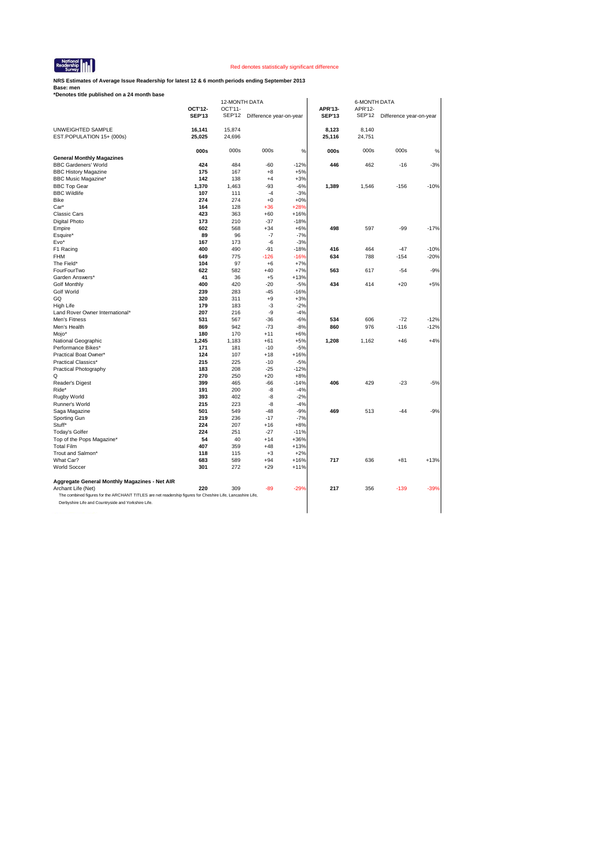

**NRS Estimates of Average Issue Readership for latest 12 & 6 month periods ending September 2013**

|                                                                                                            | OCT'12-       | OCT'11-       |                         |        | APR'13-       | APR'12-       |                         |        |
|------------------------------------------------------------------------------------------------------------|---------------|---------------|-------------------------|--------|---------------|---------------|-------------------------|--------|
|                                                                                                            | <b>SEP'13</b> | <b>SEP'12</b> | Difference year-on-year |        | <b>SEP'13</b> | <b>SEP'12</b> | Difference year-on-year |        |
|                                                                                                            |               |               |                         |        |               |               |                         |        |
| UNWEIGHTED SAMPLE                                                                                          | 16,141        | 15,874        |                         |        | 8.123         | 8,140         |                         |        |
| EST.POPULATION 15+ (000s)                                                                                  | 25,025        | 24,696        |                         |        | 25,116        | 24,751        |                         |        |
|                                                                                                            | 000s          | 000s          | 000s                    | %      | 000s          | 000s          | 000s                    | %      |
| <b>General Monthly Magazines</b>                                                                           |               |               |                         |        |               |               |                         |        |
| <b>BBC Gardeners' World</b>                                                                                | 424           | 484           | $-60$                   | $-12%$ | 446           | 462           | $-16$                   | $-3%$  |
| <b>BBC History Magazine</b>                                                                                | 175           | 167           | $+8$                    | $+5%$  |               |               |                         |        |
| <b>BBC Music Magazine*</b>                                                                                 | 142           | 138           | $+4$                    | $+3%$  |               |               |                         |        |
| <b>BBC Top Gear</b>                                                                                        | 1,370         | 1,463         | $-93$                   | $-6%$  | 1,389         | 1,546         | $-156$                  | $-10%$ |
| <b>BBC Wildlife</b>                                                                                        | 107           | 111           | $-4$                    | $-3%$  |               |               |                         |        |
| Bike                                                                                                       | 274           | 274           | $+0$                    | $+0%$  |               |               |                         |        |
| Car*                                                                                                       | 164           | 128           | $+36$                   | $+28%$ |               |               |                         |        |
| <b>Classic Cars</b>                                                                                        | 423           | 363           | $+60$                   | $+16%$ |               |               |                         |        |
| Digital Photo                                                                                              | 173           | 210           | $-37$                   | $-18%$ |               |               |                         |        |
| Empire                                                                                                     | 602           | 568           | $+34$                   | $+6%$  | 498           | 597           | $-99$                   | $-17%$ |
| Esquire*                                                                                                   | 89            | 96            | $-7$                    | $-7%$  |               |               |                         |        |
| Evo*                                                                                                       | 167           | 173           | $-6$                    | $-3%$  |               |               |                         |        |
| F1 Racing                                                                                                  | 400           | 490           | $-91$                   | $-18%$ | 416           | 464           | $-47$                   | $-10%$ |
| <b>FHM</b>                                                                                                 | 649           | 775           | $-126$                  | $-16%$ | 634           | 788           | $-154$                  | $-20%$ |
| The Field*                                                                                                 | 104           | 97            | $+6$                    | $+7%$  |               |               |                         |        |
| FourFourTwo                                                                                                | 622           | 582           | $+40$                   | $+7%$  | 563           | 617           | $-54$                   | $-9%$  |
| Garden Answers*                                                                                            | 41            | 36            | $+5$                    | $+13%$ |               |               |                         |        |
| <b>Golf Monthly</b>                                                                                        | 400           | 420           | $-20$                   | $-5%$  | 434           | 414           | $+20$                   | $+5%$  |
| <b>Golf World</b>                                                                                          | 239           | 283           | $-45$                   | $-16%$ |               |               |                         |        |
| GQ                                                                                                         | 320           | 311           | $+9$                    | $+3%$  |               |               |                         |        |
| High Life                                                                                                  | 179           | 183           | $-3$                    | $-2%$  |               |               |                         |        |
| Land Rover Owner International*                                                                            | 207           | 216           | -9                      | $-4%$  |               |               |                         |        |
| Men's Fitness                                                                                              | 531           | 567           | $-36$                   | $-6%$  | 534           | 606           | $-72$                   | $-12%$ |
| Men's Health                                                                                               | 869           | 942           | $-73$                   | $-8%$  | 860           | 976           | $-116$                  | $-12%$ |
| Mojo*                                                                                                      | 180           | 170           | $+11$                   | $+6%$  |               |               |                         |        |
| National Geographic                                                                                        | 1,245         | 1,183         | $+61$                   | $+5%$  | 1,208         | 1,162         | $+46$                   | $+4%$  |
| Performance Bikes*                                                                                         | 171           | 181           | $-10$                   | $-5%$  |               |               |                         |        |
| Practical Boat Owner*                                                                                      | 124           | 107           | $+18$                   | $+16%$ |               |               |                         |        |
| Practical Classics*                                                                                        | 215           | 225           | $-10$                   | $-5%$  |               |               |                         |        |
| Practical Photography                                                                                      | 183           | 208           | $-25$                   | $-12%$ |               |               |                         |        |
| Q                                                                                                          | 270           | 250           | $+20$                   | $+8%$  |               |               |                         |        |
| Reader's Digest                                                                                            | 399           | 465           | $-66$                   | $-14%$ | 406           | 429           | $-23$                   | $-5%$  |
| Ride*                                                                                                      | 191           | 200           | $-8$                    | $-4%$  |               |               |                         |        |
| Rugby World                                                                                                | 393           | 402           | $-8$                    | $-2%$  |               |               |                         |        |
| Runner's World                                                                                             | 215           | 223           | $-8$                    | $-4%$  |               |               |                         |        |
| Saga Magazine                                                                                              | 501           | 549           | $-48$                   | $-9%$  | 469           | 513           | $-44$                   | $-9%$  |
| Sporting Gun                                                                                               | 219           | 236           | $-17$                   | $-7%$  |               |               |                         |        |
| Stuff*                                                                                                     | 224           | 207           | $+16$                   | $+8%$  |               |               |                         |        |
| Today's Golfer                                                                                             | 224           | 251           | $-27$                   | $-11%$ |               |               |                         |        |
| Top of the Pops Magazine*                                                                                  | 54            | 40            | $+14$                   | $+36%$ |               |               |                         |        |
| <b>Total Film</b>                                                                                          | 407           | 359           | $+48$                   | $+13%$ |               |               |                         |        |
| Trout and Salmon*                                                                                          | 118           | 115           | $+3$                    | $+2%$  |               |               |                         |        |
| What Car?                                                                                                  | 683           | 589           | $+94$                   | $+16%$ | 717           | 636           | $+81$                   | $+13%$ |
| <b>World Soccer</b>                                                                                        | 301           | 272           | $+29$                   | $+11%$ |               |               |                         |        |
| Aggregate General Monthly Magazines - Net AIR                                                              |               |               |                         |        |               |               |                         |        |
| Archant Life (Net)                                                                                         | 220           | 309           | $-89$                   | -29%   | 217           | 356           | $-139$                  | $-39%$ |
|                                                                                                            |               |               |                         |        |               |               |                         |        |
| The combined figures for the ARCHANT TITLES are net readership figures for Cheshire Life, Lancashire Life, |               |               |                         |        |               |               |                         |        |
| Derbyshire Life and Countryside and Yorkshire Life.                                                        |               |               |                         |        |               |               |                         |        |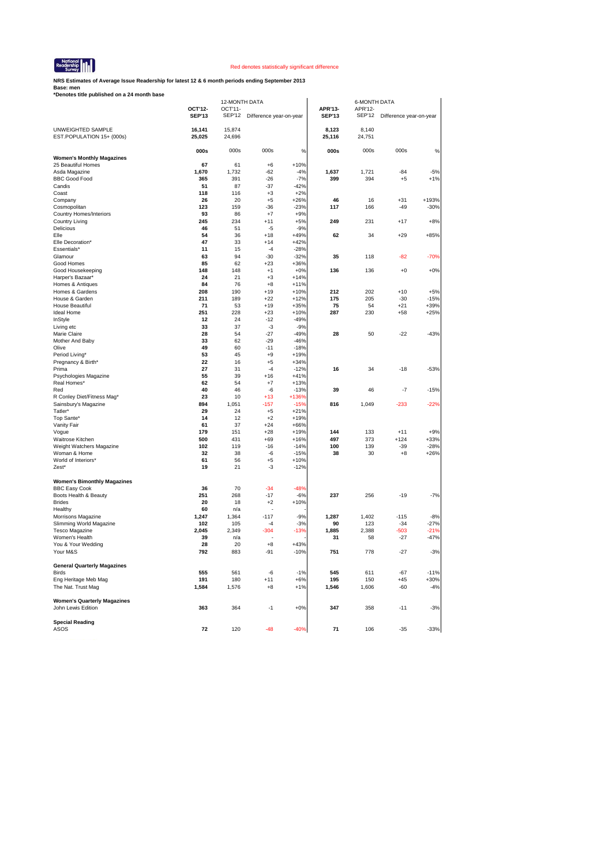

**NRS Estimates of Average Issue Readership for latest 12 & 6 month periods ending September 2013**

| *Denotes title published on a 24 month base                |                  |                  |                         |                 |                 |                 |                         |        |
|------------------------------------------------------------|------------------|------------------|-------------------------|-----------------|-----------------|-----------------|-------------------------|--------|
|                                                            |                  | 12-MONTH DATA    |                         |                 |                 | 6-MONTH DATA    |                         |        |
|                                                            | OCT'12-          | OCT'11-          |                         |                 | APR'13-         | APR'12-         |                         |        |
|                                                            | <b>SEP'13</b>    | SEP'12           | Difference year-on-year |                 | <b>SEP'13</b>   | SEP'12          | Difference year-on-year |        |
|                                                            |                  |                  |                         |                 |                 |                 |                         |        |
| UNWEIGHTED SAMPLE<br>EST.POPULATION 15+ (000s)             | 16,141<br>25,025 | 15,874<br>24,696 |                         |                 | 8,123<br>25,116 | 8,140<br>24,751 |                         |        |
|                                                            |                  |                  |                         |                 |                 |                 |                         |        |
|                                                            | 000s             | 000s             | 000s                    | %               | 000s            | 000s            | 000s                    | %      |
| <b>Women's Monthly Magazines</b>                           |                  |                  |                         |                 |                 |                 |                         |        |
| 25 Beautiful Homes                                         | 67               | 61               | $+6$                    | $+10%$          |                 |                 |                         |        |
| Asda Magazine                                              | 1,670            | 1,732            | $-62$                   | $-4%$           | 1,637           | 1,721           | $-84$                   | $-5%$  |
| <b>BBC Good Food</b>                                       | 365              | 391              | -26                     | $-7%$           | 399             | 394             | $+5$                    | $+1%$  |
| Candis                                                     | 51               | 87               | $-37$                   | $-42%$          |                 |                 |                         |        |
| Coast                                                      | 118              | 116              | $+3$                    | $+2%$           |                 |                 |                         |        |
| Company                                                    | 26               | 20               | $+5$                    | $+26%$          | 46              | 16              | $+31$                   | +193%  |
| Cosmopolitan                                               | 123              | 159              | $-36$                   | $-23%$          | 117             | 166             | $-49$                   | $-30%$ |
| <b>Country Homes/Interiors</b>                             | 93               | 86               | $+7$                    | $+9%$           |                 |                 |                         |        |
| Country Living                                             | 245              | 234              | $+11$                   | $+5%$           | 249             | 231             | $+17$                   | $+8%$  |
| Delicious                                                  | 46               | 51               | -5                      | $-9%$           |                 |                 |                         |        |
| Elle                                                       | 54               | 36               | $+18$                   | $+49%$          | 62              | 34              | $+29$                   | +85%   |
| Elle Decoration*                                           | 47               | 33               | $+14$                   | $+42%$          |                 |                 |                         |        |
| Essentials*                                                | 11               | 15               | $-4$                    | $-28%$          |                 |                 |                         |        |
| Glamour                                                    | 63               | 94               | $-30$                   | $-32%$          | 35              | 118             | -82                     | $-70%$ |
| Good Homes                                                 | 85<br>148        | 62<br>148        | $+23$<br>$+1$           | $+36%$<br>$+0%$ | 136             | 136             | $+0$                    | $+0%$  |
| Good Housekeeping<br>Harper's Bazaar*                      | 24               | 21               | $+3$                    | $+14%$          |                 |                 |                         |        |
| Homes & Antiques                                           | 84               | 76               | $+8$                    | $+11%$          |                 |                 |                         |        |
| Homes & Gardens                                            | 208              | 190              | $+19$                   | $+10%$          | 212             | 202             | $+10$                   | $+5%$  |
| House & Garden                                             | 211              | 189              | $+22$                   | $+12%$          | 175             | 205             | $-30$                   | $-15%$ |
| House Beautiful                                            | 71               | 53               | $+19$                   | $+35%$          | 75              | 54              | $+21$                   | $+39%$ |
| Ideal Home                                                 | 251              | 228              | $+23$                   | $+10%$          | 287             | 230             | $+58$                   | $+25%$ |
| InStyle                                                    | 12               | 24               | $-12$                   | $-49%$          |                 |                 |                         |        |
| Living etc                                                 | 33               | 37               | $-3$                    | $-9%$           |                 |                 |                         |        |
| Marie Claire                                               | 28               | 54               | $-27$                   | $-49%$          | 28              | 50              | $-22$                   | $-43%$ |
| Mother And Baby                                            | 33               | 62               | $-29$                   | $-46%$          |                 |                 |                         |        |
| Olive                                                      | 49               | 60               | $-11$                   | $-18%$          |                 |                 |                         |        |
| Period Living*                                             | 53               | 45               | $+9$                    | $+19%$          |                 |                 |                         |        |
| Pregnancy & Birth*                                         | 22               | 16               | $+5$                    | $+34%$          |                 |                 |                         |        |
| Prima                                                      | 27               | 31               | $-4$                    | $-12%$          | 16              | 34              | $-18$                   | $-53%$ |
| Psychologies Magazine                                      | 55               | 39               | $+16$                   | $+41%$          |                 |                 |                         |        |
| Real Homes*                                                | 62               | 54               | $+7$                    | $+13%$          |                 |                 |                         |        |
| Red                                                        | 40               | 46               | $-6$                    | $-13%$          | 39              | 46              | $-7$                    | $-15%$ |
| R Conley Diet/Fitness Mag*                                 | 23               | 10               | $+13$                   | +136%           |                 |                 |                         |        |
| Sainsbury's Magazine                                       | 894              | 1,051            | -157                    | $-15%$          | 816             | 1,049           | $-233$                  | -22%   |
| Tatler*                                                    | 29               | 24               | $+5$                    | $+21%$          |                 |                 |                         |        |
| Top Sante*                                                 | 14               | 12               | $+2$                    | $+19%$          |                 |                 |                         |        |
| Vanity Fair                                                | 61               | 37               | $+24$                   | +66%            |                 |                 |                         |        |
| Vogue                                                      | 179              | 151              | $+28$                   | $+19%$          | 144             | 133             | $+11$                   | $+9%$  |
| Waitrose Kitchen                                           | 500              | 431              | $+69$                   | $+16%$          | 497             | 373             | $+124$                  | $+33%$ |
| Weight Watchers Magazine                                   | 102              | 119              | $-16$                   | $-14%$          | 100             | 139             | $-39$                   | $-28%$ |
| Woman & Home                                               | 32               | 38               | -6                      | $-15%$          | 38              | 30              | $+8$                    | $+26%$ |
| World of Interiors*                                        | 61               | 56               | $+5$                    | $+10%$          |                 |                 |                         |        |
| Zest*                                                      | 19               | 21               | -3                      | $-12%$          |                 |                 |                         |        |
|                                                            |                  |                  |                         |                 |                 |                 |                         |        |
| <b>Women's Bimonthly Magazines</b><br><b>BBC Easy Cook</b> | 36               | 70               | $-34$                   | $-48%$          |                 |                 |                         |        |
| Boots Health & Beauty                                      | 251              | 268              | $-17$                   | $-6%$           | 237             | 256             | $-19$                   | $-7%$  |
| <b>Brides</b>                                              | 20               | 18               | $+2$                    | $+10%$          |                 |                 |                         |        |
| Healthy                                                    | 60               | n/a              |                         |                 |                 |                 |                         |        |
| Morrisons Magazine                                         | 1,247            | 1,364            | $-117$                  | $-9%$           | 1,287           | 1,402           | $-115$                  | $-8%$  |
| Slimming World Magazine                                    | 102              | 105              | -4                      | $-3%$           | 90              | 123             | $-34$                   | $-27%$ |
| <b>Tesco Magazine</b>                                      | 2,045            | 2,349            | -304                    | -13%            | 1,885           | 2,388           | -503                    | -21%   |
| Women's Health                                             | 39               | n/a              |                         |                 | 31              | 58              | -27                     | $-47%$ |
| You & Your Wedding                                         | 28               | 20               | $+8$                    | $+43%$          |                 |                 |                         |        |
| Your M&S                                                   | 792              | 883              | 91                      | 10%             | 751             | 778             | $-27$                   | $-3%$  |
|                                                            |                  |                  |                         |                 |                 |                 |                         |        |
| <b>General Quarterly Magazines</b>                         |                  |                  |                         |                 |                 |                 |                         |        |
| <b>Birds</b>                                               | 555              | 561              | -6                      | $-1%$           | 545             | 611             | $-67$                   | $-11%$ |
| Eng Heritage Meb Mag                                       | 191              | 180              | $+11$                   | $+6%$           | 195             | 150             | $+45$                   | $+30%$ |
| The Nat. Trust Mag                                         | 1,584            | 1,576            | $+8$                    | $+1%$           | 1,546           | 1,606           | -60                     | $-4%$  |
|                                                            |                  |                  |                         |                 |                 |                 |                         |        |
| <b>Women's Quarterly Magazines</b>                         |                  |                  |                         |                 |                 |                 |                         |        |
| John Lewis Edition                                         | 363              | 364              | $-1$                    | $+0\%$          | 347             | 358             | $-11$                   | $-3%$  |
|                                                            |                  |                  |                         |                 |                 |                 |                         |        |
| <b>Special Reading</b>                                     |                  |                  |                         |                 |                 |                 |                         |        |
| ASOS                                                       | 72               | 120              | $-48$                   | $-40%$          | 71              | 106             | -35                     | $-33%$ |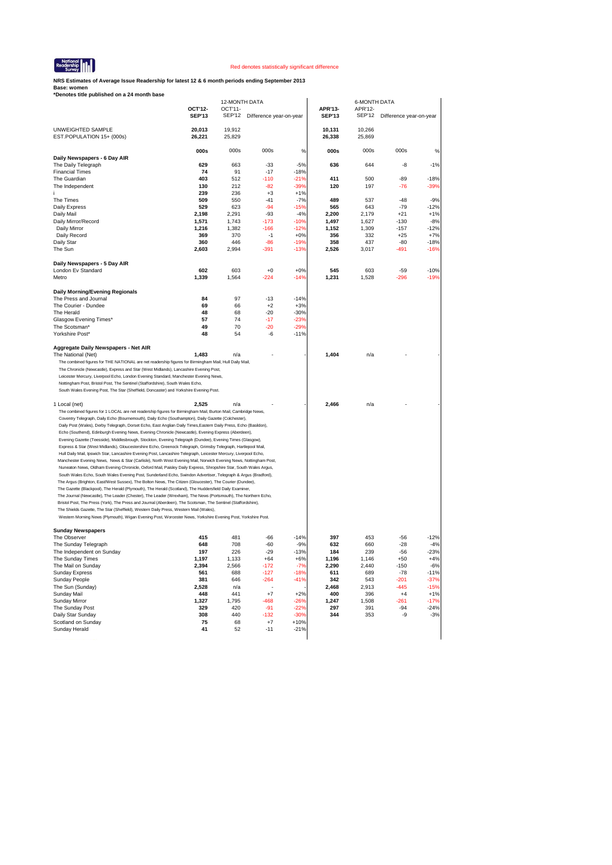

**NRS Estimates of Average Issue Readership for latest 12 & 6 month periods ending September 2013**

|                                                                                                                                                                                                                           |                          | 12-MONTH DATA     |                         |                  |                          | 6-MONTH DATA             |                         |                  |
|---------------------------------------------------------------------------------------------------------------------------------------------------------------------------------------------------------------------------|--------------------------|-------------------|-------------------------|------------------|--------------------------|--------------------------|-------------------------|------------------|
|                                                                                                                                                                                                                           | OCT'12-<br><b>SEP'13</b> | OCT'11-<br>SEP'12 | Difference year-on-year |                  | APR'13-<br><b>SEP'13</b> | APR'12-<br><b>SEP'12</b> | Difference year-on-year |                  |
|                                                                                                                                                                                                                           |                          |                   |                         |                  |                          |                          |                         |                  |
| UNWEIGHTED SAMPLE<br>EST.POPULATION 15+ (000s)                                                                                                                                                                            | 20,013<br>26,221         | 19,912<br>25,829  |                         |                  | 10,131<br>26,338         | 10,266<br>25,869         |                         |                  |
|                                                                                                                                                                                                                           | 000s                     | 000s              | 000s                    | %                | 000s                     | 000s                     | 000s                    | %                |
| Daily Newspapers - 6 Day AIR                                                                                                                                                                                              |                          |                   |                         |                  |                          |                          |                         |                  |
| The Daily Telegraph                                                                                                                                                                                                       | 629                      | 663               | $-33$                   | $-5%$            | 636                      | 644                      | -8                      | $-1%$            |
| <b>Financial Times</b><br>The Guardian                                                                                                                                                                                    | 74<br>403                | 91<br>512         | $-17$<br>$-110$         | $-18%$<br>$-21%$ | 411                      | 500                      | $-89$                   | $-18%$           |
| The Independent                                                                                                                                                                                                           | 130                      | 212               | $-82$                   | $-39%$           | 120                      | 197                      | $-76$                   | $-39%$           |
|                                                                                                                                                                                                                           | 239                      | 236               | $+3$                    | $+1%$            |                          |                          |                         |                  |
| The Times                                                                                                                                                                                                                 | 509                      | 550               | -41                     | $-7%$            | 489                      | 537                      | $-48$                   | $-9%$            |
| Daily Express                                                                                                                                                                                                             | 529                      | 623               | $-94$                   | $-15%$           | 565                      | 643                      | $-79$                   | $-12%$           |
| Daily Mail                                                                                                                                                                                                                | 2,198                    | 2,291             | $-93$                   | $-4%$            | 2,200                    | 2,179                    | $+21$                   | $+1%$            |
| Daily Mirror/Record                                                                                                                                                                                                       | 1,571                    | 1,743             | $-173$                  | $-10%$           | 1,497                    | 1,627                    | -130                    | $-8%$            |
| Daily Mirror<br>Daily Record                                                                                                                                                                                              | 1,216<br>369             | 1,382<br>370      | $-166$<br>$-1$          | $-12%$<br>$+0%$  | 1,152<br>356             | 1,309<br>332             | $-157$<br>$+25$         | $-12%$<br>$+7%$  |
| Daily Star                                                                                                                                                                                                                | 360                      | 446               | $-86$                   | $-19%$           | 358                      | 437                      | $-80$                   | $-18%$           |
| The Sun                                                                                                                                                                                                                   | 2,603                    | 2,994             | $-391$                  | $-13%$           | 2,526                    | 3,017                    | $-491$                  | $-16%$           |
|                                                                                                                                                                                                                           |                          |                   |                         |                  |                          |                          |                         |                  |
| Daily Newspapers - 5 Day AIR                                                                                                                                                                                              |                          |                   |                         |                  |                          |                          |                         |                  |
| London Ev Standard                                                                                                                                                                                                        | 602                      | 603               | $+0$                    | $+0%$            | 545                      | 603                      | $-59$                   | $-10%$           |
| Metro                                                                                                                                                                                                                     | 1,339                    | 1,564             | -224                    | $-14%$           | 1,231                    | 1,528                    | $-296$                  | $-19%$           |
| <b>Daily Morning/Evening Regionals</b>                                                                                                                                                                                    |                          |                   |                         |                  |                          |                          |                         |                  |
| The Press and Journal                                                                                                                                                                                                     | 84                       | 97                | $-13$                   | $-14%$           |                          |                          |                         |                  |
| The Courier - Dundee                                                                                                                                                                                                      | 69                       | 66                | $+2$                    | $+3%$            |                          |                          |                         |                  |
| The Herald                                                                                                                                                                                                                | 48                       | 68                | $-20$                   | $-30%$           |                          |                          |                         |                  |
| Glasgow Evening Times*                                                                                                                                                                                                    | 57                       | 74                | -17                     | $-23%$           |                          |                          |                         |                  |
| The Scotsman*                                                                                                                                                                                                             | 49                       | 70                | -20                     | $-29%$           |                          |                          |                         |                  |
| Yorkshire Post*                                                                                                                                                                                                           | 48                       | 54                | -6                      | $-11%$           |                          |                          |                         |                  |
|                                                                                                                                                                                                                           |                          |                   |                         |                  |                          |                          |                         |                  |
| Aggregate Daily Newspapers - Net AIR<br>The National (Net)                                                                                                                                                                | 1,483                    | n/a               |                         |                  | 1,404                    | n/a                      |                         |                  |
| The combined figures for THE NATIONAL are net readership figures for Birmingham Mail, Hull Daily Mail,                                                                                                                    |                          |                   |                         |                  |                          |                          |                         |                  |
| The Chronicle (Newcastle), Express and Star (West Midlands), Lancashire Evening Post,                                                                                                                                     |                          |                   |                         |                  |                          |                          |                         |                  |
| Leicester Mercury, Liverpool Echo, London Evening Standard, Manchester Evening News,                                                                                                                                      |                          |                   |                         |                  |                          |                          |                         |                  |
| Nottingham Post, Bristol Post, The Sentinel (Staffordshire), South Wales Echo,                                                                                                                                            |                          |                   |                         |                  |                          |                          |                         |                  |
| South Wales Evening Post, The Star (Sheffield, Doncaster) and Yorkshire Evening Post.                                                                                                                                     |                          |                   |                         |                  |                          |                          |                         |                  |
| 1 Local (net)                                                                                                                                                                                                             | 2,525                    | n/a               |                         |                  | 2,466                    | n/a                      |                         |                  |
| The combined figures for 1 LOCAL are net readership figures for Birmingham Mail, Burton Mail, Cambridge News,                                                                                                             |                          |                   |                         |                  |                          |                          |                         |                  |
| Coventry Telegraph, Daily Echo (Bournemouth), Daily Echo (Southampton), Daily Gazette (Colchester),                                                                                                                       |                          |                   |                         |                  |                          |                          |                         |                  |
| Daily Post (Wales), Derby Telegraph, Dorset Echo, East Anglian Daily Times, Eastern Daily Press, Echo (Basildon),                                                                                                         |                          |                   |                         |                  |                          |                          |                         |                  |
| Echo (Southend), Edinburgh Evening News, Evening Chronicle (Newcastle), Evening Express (Aberdeen),                                                                                                                       |                          |                   |                         |                  |                          |                          |                         |                  |
| Evening Gazette (Teesside), Middlesbrough, Stockton, Evening Telegraph (Dundee), Evening Times (Glasgow),                                                                                                                 |                          |                   |                         |                  |                          |                          |                         |                  |
| Express & Star (West Midlands), Gloucestershire Echo, Greenock Telegraph, Grimsby Telegraph, Hartlepool Mail,                                                                                                             |                          |                   |                         |                  |                          |                          |                         |                  |
| Hull Daily Mail, Ipswich Star, Lancashire Evening Post, Lancashire Telegraph, Leicester Mercury, Liverpool Echo,                                                                                                          |                          |                   |                         |                  |                          |                          |                         |                  |
|                                                                                                                                                                                                                           |                          |                   |                         |                  |                          |                          |                         |                  |
| Manchester Evening News, News & Star (Carlisle), North West Evening Mail, Norwich Evening News, Nottingham Post,                                                                                                          |                          |                   |                         |                  |                          |                          |                         |                  |
| Nuneaton News, Oldham Evening Chronicle, Oxford Mail, Paisley Daily Express, Shropshire Star, South Wales Argus,                                                                                                          |                          |                   |                         |                  |                          |                          |                         |                  |
| South Wales Echo, South Wales Evening Post, Sunderland Echo, Swindon Advertiser, Telegraph & Argus (Bradford),                                                                                                            |                          |                   |                         |                  |                          |                          |                         |                  |
| The Argus (Brighton, East/West Sussex), The Bolton News, The Citizen (Gloucester), The Courier (Dundee),                                                                                                                  |                          |                   |                         |                  |                          |                          |                         |                  |
| The Gazette (Blackpool), The Herald (Plymouth), The Herald (Scotland), The Huddersfield Daily Examiner,<br>The Journal (Newcastle), The Leader (Chester), The Leader (Wrexham), The News (Portsmouth), The Northern Echo, |                          |                   |                         |                  |                          |                          |                         |                  |
| Bristol Post, The Press (York), The Press and Journal (Aberdeen), The Scotsman, The Sentinel (Staffordshire),                                                                                                             |                          |                   |                         |                  |                          |                          |                         |                  |
| The Shields Gazette, The Star (Sheffield), Western Daily Press, Western Mail (Wales),                                                                                                                                     |                          |                   |                         |                  |                          |                          |                         |                  |
| Western Morning News (Plymouth), Wigan Evening Post, Worcester News, Yorkshire Evening Post, Yorkshire Post.                                                                                                              |                          |                   |                         |                  |                          |                          |                         |                  |
|                                                                                                                                                                                                                           |                          |                   |                         |                  |                          |                          |                         |                  |
| <b>Sunday Newspapers</b><br>The Observer                                                                                                                                                                                  | 415                      | 481               | -66                     | $-14%$           | 397                      | 453                      | -56                     | $-12%$           |
| The Sunday Telegraph                                                                                                                                                                                                      | 648                      | 708               | -60                     | $-9%$            | 632                      | 660                      | $-28$                   | $-4%$            |
| The Independent on Sunday                                                                                                                                                                                                 | 197                      | 226               | $-29$                   | $-13%$           | 184                      | 239                      | -56                     | $-23%$           |
| The Sunday Times                                                                                                                                                                                                          | 1,197                    | 1,133             | $+64$                   | $+6%$            | 1,196                    | 1,146                    | $+50$                   | $+4%$            |
| The Mail on Sunday                                                                                                                                                                                                        | 2,394                    | 2,566             | $-172$                  | $-7%$            | 2,290                    | 2,440                    | $-150$                  | $-6%$            |
| Sunday Express                                                                                                                                                                                                            | 561                      | 688               | $-127$                  | $-18%$           | 611                      | 689                      | $-78$                   | $-11%$           |
| Sunday People                                                                                                                                                                                                             | 381                      | 646               | $-264$                  | $-41%$           | 342                      | 543                      | -201                    | $-37%$           |
| The Sun (Sunday)                                                                                                                                                                                                          | 2,528                    | n/a               |                         |                  | 2,468                    | 2,913                    | $-445$                  | $-15%$           |
| Sunday Mail                                                                                                                                                                                                               | 448                      | 441               | $+7$                    | $+2%$            | 400                      | 396                      | $+4$                    | $+1%$            |
| Sunday Mirror                                                                                                                                                                                                             | 1,327<br>329             | 1,795<br>420      | $-468$<br>$-91$         | $-26%$<br>$-22%$ | 1,247                    | 1,508<br>391             | $-261$<br>$-94$         | $-17%$<br>$-24%$ |
| The Sunday Post<br>Daily Star Sunday                                                                                                                                                                                      | 308                      | 440               | $-132$                  | $-30%$           | 297<br>344               | 353                      | -9                      | $-3%$            |
| Scotland on Sunday                                                                                                                                                                                                        | 75                       | 68                | $+7$                    | $+10%$           |                          |                          |                         |                  |
| Sunday Herald                                                                                                                                                                                                             | 41                       | 52                | $-11$                   | $-21%$           |                          |                          |                         |                  |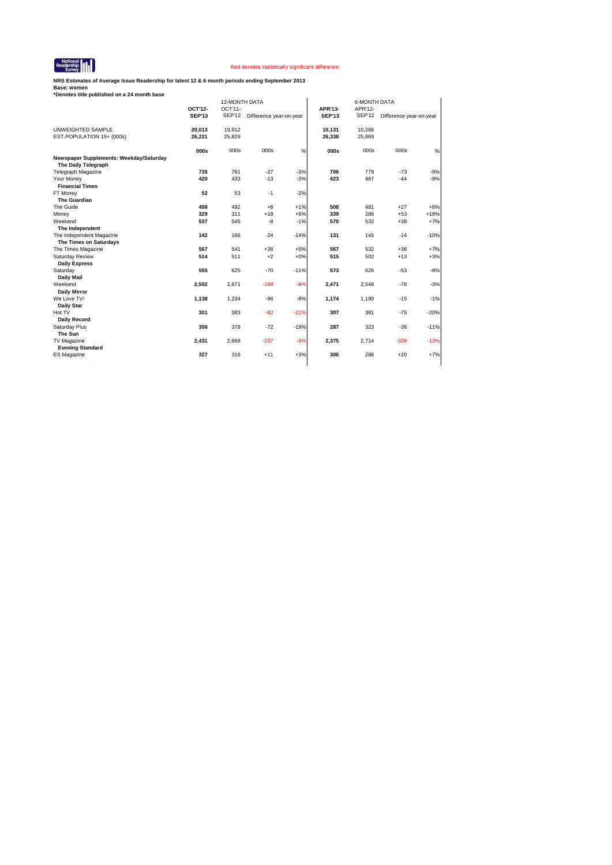

**NRS Estimates of Average Issue Readership for latest 12 & 6 month periods ending September 2013**

| *Denotes title published on a 24 month base                    |               |                          |                         |        |               |               |                         |        |  |
|----------------------------------------------------------------|---------------|--------------------------|-------------------------|--------|---------------|---------------|-------------------------|--------|--|
|                                                                | OCT'12-       | 12-MONTH DATA<br>OCT'11- |                         |        | APR'13-       | APR'12-       | <b>6-MONTH DATA</b>     |        |  |
|                                                                | <b>SEP'13</b> | <b>SEP'12</b>            | Difference year-on-year |        | <b>SEP'13</b> | <b>SEP'12</b> | Difference year-on-year |        |  |
| UNWEIGHTED SAMPLE                                              | 20,013        | 19,912                   |                         |        | 10,131        | 10,266        |                         |        |  |
| EST.POPULATION 15+ (000s)                                      | 26,221        | 25,829                   |                         |        | 26,338        | 25,869        |                         |        |  |
|                                                                | 000s          | 000s                     | 000s                    | $\%$   | 000s          | 000s          | 000s                    | %      |  |
| Newspaper Supplements: Weekday/Saturday<br>The Daily Telegraph |               |                          |                         |        |               |               |                         |        |  |
| <b>Telegraph Magazine</b>                                      | 735           | 761                      | $-27$                   | $-3%$  | 706           | 779           | $-73$                   | $-9%$  |  |
| Your Money                                                     | 420           | 433                      | $-13$                   | $-3%$  | 423           | 467           | $-44$                   | $-9%$  |  |
| <b>Financial Times</b>                                         |               |                          |                         |        |               |               |                         |        |  |
| FT Money                                                       | 52            | 53                       | $-1$                    | $-2%$  |               |               |                         |        |  |
| <b>The Guardian</b>                                            |               |                          |                         |        |               |               |                         |        |  |
| The Guide                                                      | 498           | 492                      | $+6$                    | $+1%$  | 508           | 481           | $+27$                   | $+6%$  |  |
| Money                                                          | 329           | 311                      | $+18$                   | $+6%$  | 339           | 286           | $+53$                   | $+18%$ |  |
| Weekend<br>The Independent                                     | 537           | 545                      | -8                      | $-1%$  | 570           | 532           | $+38$                   | $+7%$  |  |
| The Independent Magazine                                       | 142           | 166                      | $-24$                   | $-14%$ | 131           | 145           | $-14$                   | $-10%$ |  |
| The Times on Saturdays<br>The Times Magazine                   | 567           | 541                      | $+26$                   | $+5%$  | 567           | 532           | $+36$                   | $+7%$  |  |
| Saturday Review                                                | 514           | 511                      | $+2$                    | $+0%$  | 515           | 502           | $+13$                   | $+3%$  |  |
| <b>Daily Express</b>                                           |               |                          |                         |        |               |               |                         |        |  |
| Saturday                                                       | 555           | 625                      | $-70$                   | $-11%$ | 573           | 626           | $-53$                   | $-8%$  |  |
| <b>Daily Mail</b>                                              |               |                          |                         |        |               |               |                         |        |  |
| Weekend                                                        | 2,502         | 2,671                    | $-168$                  | $-6%$  | 2,471         | 2,548         | $-78$                   | $-3%$  |  |
| <b>Daily Mirror</b>                                            |               |                          |                         |        |               |               |                         |        |  |
| We Love TV!                                                    | 1,138         | 1,234                    | $-96$                   | $-8%$  | 1,174         | 1,190         | $-15$                   | $-1%$  |  |
| Daily Star                                                     |               |                          |                         |        |               |               |                         |        |  |
| Hot TV                                                         | 301           | 383                      | $-82$                   | $-21%$ | 307           | 381           | $-75$                   | $-20%$ |  |
| Daily Record                                                   |               |                          |                         |        |               |               |                         |        |  |
| Saturday Plus                                                  | 306           | 378                      | $-72$                   | $-19%$ | 287           | 323           | $-36$                   | $-11%$ |  |
| The Sun                                                        |               |                          |                         |        |               |               |                         |        |  |
| TV Magazine                                                    | 2,431         | 2,668                    | $-237$                  | $-9%$  | 2,375         | 2,714         | $-338$                  | $-12%$ |  |
| <b>Evening Standard</b>                                        |               |                          |                         |        |               |               |                         |        |  |
| <b>ES Magazine</b>                                             | 327           | 316                      | $+11$                   | $+3%$  | 306           | 286           | $+20$                   | $+7%$  |  |
|                                                                |               |                          |                         |        |               |               |                         |        |  |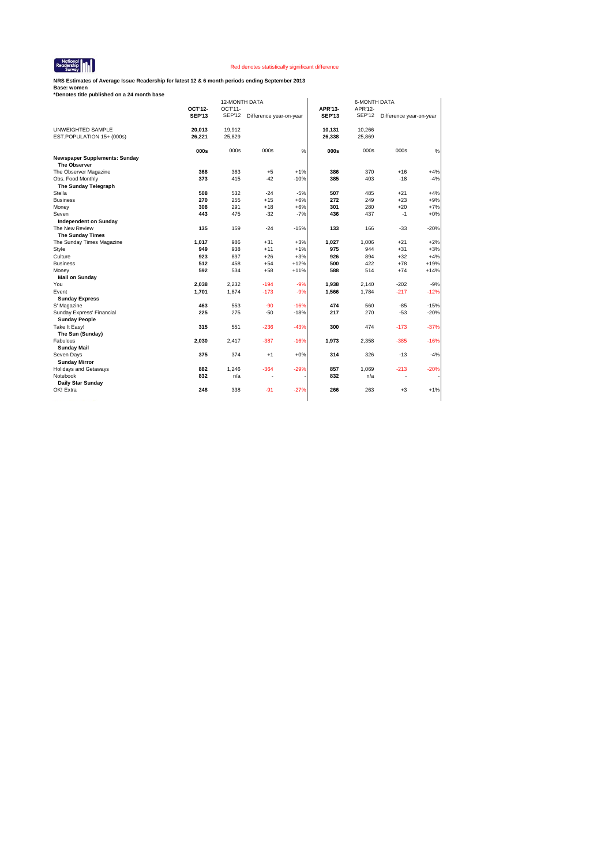

**NRS Estimates of Average Issue Readership for latest 12 & 6 month periods ending September 2013**

| *Denotes title published on a 24 month base |               |         |                                |        |               |                                |                                |        |  |
|---------------------------------------------|---------------|---------|--------------------------------|--------|---------------|--------------------------------|--------------------------------|--------|--|
|                                             | 12-MONTH DATA |         |                                |        |               | <b>6-MONTH DATA</b><br>APR'12- |                                |        |  |
|                                             | OCT'12-       | OCT'11- |                                |        | APR'13-       |                                |                                |        |  |
|                                             | <b>SEP'13</b> |         | SEP'12 Difference year-on-year |        | <b>SEP'13</b> |                                | SEP'12 Difference year-on-year |        |  |
| UNWEIGHTED SAMPLE                           | 20,013        | 19,912  |                                |        | 10,131        | 10,266                         |                                |        |  |
| EST.POPULATION 15+ (000s)                   | 26,221        | 25,829  |                                |        | 26,338        | 25,869                         |                                |        |  |
|                                             | 000s          | 000s    | 000s                           | %      | 000s          | 000s                           | 000s                           | %      |  |
| <b>Newspaper Supplements: Sunday</b>        |               |         |                                |        |               |                                |                                |        |  |
| The Observer                                |               |         |                                |        |               |                                |                                |        |  |
| The Observer Magazine                       | 368           | 363     | $+5$                           | $+1%$  | 386           | 370                            | $+16$                          | $+4%$  |  |
| Obs. Food Monthly                           | 373           | 415     | $-42$                          | $-10%$ | 385           | 403                            | $-18$                          | $-4%$  |  |
| The Sunday Telegraph                        |               |         |                                |        |               |                                |                                |        |  |
| Stella                                      | 508           | 532     | $-24$                          | $-5%$  | 507           | 485                            | $+21$                          | $+4%$  |  |
| <b>Business</b>                             | 270           | 255     | $+15$                          | $+6%$  | 272           | 249                            | $+23$                          | $+9%$  |  |
| Money                                       | 308           | 291     | $+18$                          | $+6%$  | 301           | 280                            | $+20$                          | $+7%$  |  |
| Seven                                       | 443           | 475     | $-32$                          | $-7%$  | 436           | 437                            | $-1$                           | $+0%$  |  |
| <b>Independent on Sunday</b>                |               |         |                                |        |               |                                |                                |        |  |
| The New Review                              | 135           | 159     | $-24$                          | $-15%$ | 133           | 166                            | $-33$                          | $-20%$ |  |
| <b>The Sunday Times</b>                     |               |         |                                |        |               |                                |                                |        |  |
| The Sunday Times Magazine                   | 1,017         | 986     | $+31$                          | $+3%$  | 1,027         | 1,006                          | $+21$                          | $+2%$  |  |
| Style                                       | 949           | 938     | $+11$                          | $+1%$  | 975           | 944                            | $+31$                          | $+3%$  |  |
| Culture                                     | 923           | 897     | $+26$                          | $+3%$  | 926           | 894                            | $+32$                          | $+4%$  |  |
| <b>Business</b>                             | 512           | 458     | $+54$                          | $+12%$ | 500           | 422                            | $+78$                          | $+19%$ |  |
| Money                                       | 592           | 534     | $+58$                          | $+11%$ | 588           | 514                            | $+74$                          | $+14%$ |  |
| <b>Mail on Sunday</b>                       |               |         |                                |        |               |                                |                                |        |  |
| You                                         | 2,038         | 2,232   | $-194$                         | $-9%$  | 1,938         | 2,140                          | $-202$                         | $-9%$  |  |
| Event                                       | 1,701         | 1,874   | $-173$                         | $-9%$  | 1,566         | 1,784                          | $-217$                         | $-12%$ |  |
| <b>Sunday Express</b>                       |               |         |                                |        |               |                                |                                |        |  |
| S' Magazine                                 | 463           | 553     | $-90$                          | $-16%$ | 474           | 560                            | $-85$                          | $-15%$ |  |
| Sunday Express' Financial                   | 225           | 275     | $-50$                          | $-18%$ | 217           | 270                            | $-53$                          | $-20%$ |  |
| <b>Sunday People</b>                        |               |         |                                |        |               |                                |                                |        |  |
| Take It Easy!                               | 315           | 551     | $-236$                         | $-43%$ | 300           | 474                            | $-173$                         | $-37%$ |  |
| The Sun (Sunday)                            |               |         |                                |        |               |                                |                                |        |  |
| Fabulous                                    | 2,030         | 2,417   | $-387$                         | $-16%$ | 1,973         | 2,358                          | $-385$                         | $-16%$ |  |
| <b>Sunday Mail</b>                          |               |         |                                |        |               |                                |                                |        |  |
| Seven Days                                  | 375           | 374     | $+1$                           | $+0%$  | 314           | 326                            | $-13$                          | $-4%$  |  |
| <b>Sunday Mirror</b>                        |               |         |                                |        |               |                                |                                |        |  |
| <b>Holidays and Getaways</b>                | 882           | 1,246   | $-364$                         | $-29%$ | 857           | 1.069                          | $-213$                         | $-20%$ |  |
| Notebook                                    |               |         |                                |        | 832           | n/a                            | ٠                              |        |  |
|                                             | 832           |         | $\overline{\phantom{a}}$       |        |               |                                |                                |        |  |
|                                             |               | n/a     |                                |        |               |                                |                                |        |  |
| Daily Star Sunday<br>OK! Extra              | 248           | 338     | $-91$                          | $-27%$ | 266           | 263                            | $+3$                           | $+1%$  |  |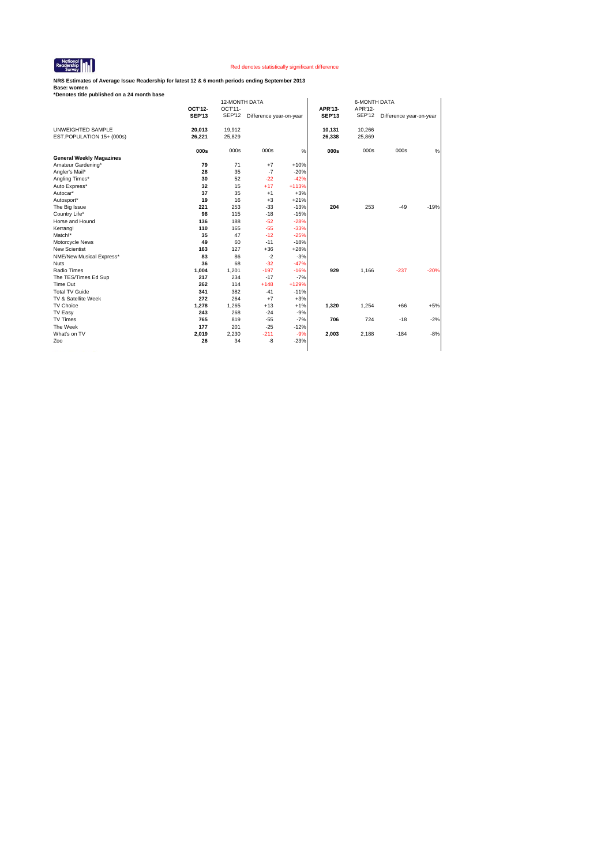

**NRS Estimates of Average Issue Readership for latest 12 & 6 month periods ending September 2013**

| *Denotes title published on a 24 month base |               |                          |                         |         |                          |                          |                         |        |  |
|---------------------------------------------|---------------|--------------------------|-------------------------|---------|--------------------------|--------------------------|-------------------------|--------|--|
|                                             | OCT'12-       | 12-MONTH DATA<br>OCT'11- |                         |         | <b>6-MONTH DATA</b>      |                          |                         |        |  |
|                                             | <b>SEP'13</b> | SEP'12                   | Difference year-on-year |         | APR'13-<br><b>SEP'13</b> | APR'12-<br><b>SEP'12</b> | Difference year-on-year |        |  |
|                                             |               |                          |                         |         |                          |                          |                         |        |  |
| UNWEIGHTED SAMPLE                           | 20,013        | 19,912                   |                         |         | 10,131                   | 10,266                   |                         |        |  |
| EST.POPULATION 15+ (000s)                   | 26,221        | 25,829                   |                         |         | 26,338                   | 25,869                   |                         |        |  |
|                                             | 000s          | 000s                     | 000s                    | $\%$    | 000s                     | 000s                     | 000s                    | %      |  |
| <b>General Weekly Magazines</b>             |               |                          |                         |         |                          |                          |                         |        |  |
| Amateur Gardening*                          | 79            | 71                       | $+7$                    | $+10%$  |                          |                          |                         |        |  |
| Angler's Mail*                              | 28            | 35                       | $-7$                    | $-20%$  |                          |                          |                         |        |  |
| Angling Times*                              | 30            | 52                       | $-22$                   | $-42%$  |                          |                          |                         |        |  |
| Auto Express*                               | 32            | 15                       | $+17$                   | $+113%$ |                          |                          |                         |        |  |
| Autocar*                                    | 37            | 35                       | $+1$                    | $+3%$   |                          |                          |                         |        |  |
| Autosport*                                  | 19            | 16                       | $+3$                    | $+21%$  |                          |                          |                         |        |  |
| The Big Issue                               | 221           | 253                      | $-33$                   | $-13%$  | 204                      | 253                      | $-49$                   | $-19%$ |  |
| Country Life*                               | 98            | 115                      | $-18$                   | $-15%$  |                          |                          |                         |        |  |
| Horse and Hound                             | 136           | 188                      | $-52$                   | $-28%$  |                          |                          |                         |        |  |
| Kerrang!                                    | 110           | 165                      | $-55$                   | $-33%$  |                          |                          |                         |        |  |
| Match!*                                     | 35            | 47                       | $-12$                   | $-25%$  |                          |                          |                         |        |  |
| Motorcycle News                             | 49            | 60                       | $-11$                   | $-18%$  |                          |                          |                         |        |  |
| <b>New Scientist</b>                        | 163           | 127                      | $+36$                   | $+28%$  |                          |                          |                         |        |  |
| NME/New Musical Express*                    | 83            | 86                       | $-2$                    | $-3%$   |                          |                          |                         |        |  |
| <b>Nuts</b>                                 | 36            | 68                       | $-32$                   | $-47%$  |                          |                          |                         |        |  |
| Radio Times                                 | 1,004         | 1,201                    | $-197$                  | $-16%$  | 929                      | 1.166                    | $-237$                  | $-20%$ |  |
| The TES/Times Ed Sup                        | 217           | 234                      | $-17$                   | $-7%$   |                          |                          |                         |        |  |
| Time Out                                    | 262           | 114                      | $+148$                  | +129%   |                          |                          |                         |        |  |
| <b>Total TV Guide</b>                       | 341           | 382                      | $-41$                   | $-11%$  |                          |                          |                         |        |  |
| TV & Satellite Week                         | 272           | 264                      | $+7$                    | $+3%$   |                          |                          |                         |        |  |
| TV Choice                                   | 1,278         | 1,265                    | $+13$                   | $+1%$   | 1,320                    | 1,254                    | $+66$                   | $+5%$  |  |
| TV Easy                                     | 243           | 268                      | $-24$                   | $-9%$   |                          |                          |                         |        |  |
| TV Times                                    | 765           | 819                      | $-55$                   | $-7%$   | 706                      | 724                      | $-18$                   | $-2%$  |  |
| The Week                                    | 177           | 201                      | $-25$                   | $-12%$  |                          |                          |                         |        |  |
| What's on TV                                | 2,019         | 2,230                    | $-211$                  | $-9%$   | 2,003                    | 2,188                    | $-184$                  | $-8%$  |  |
| Zoo                                         | 26            | 34                       | $-8$                    | $-23%$  |                          |                          |                         |        |  |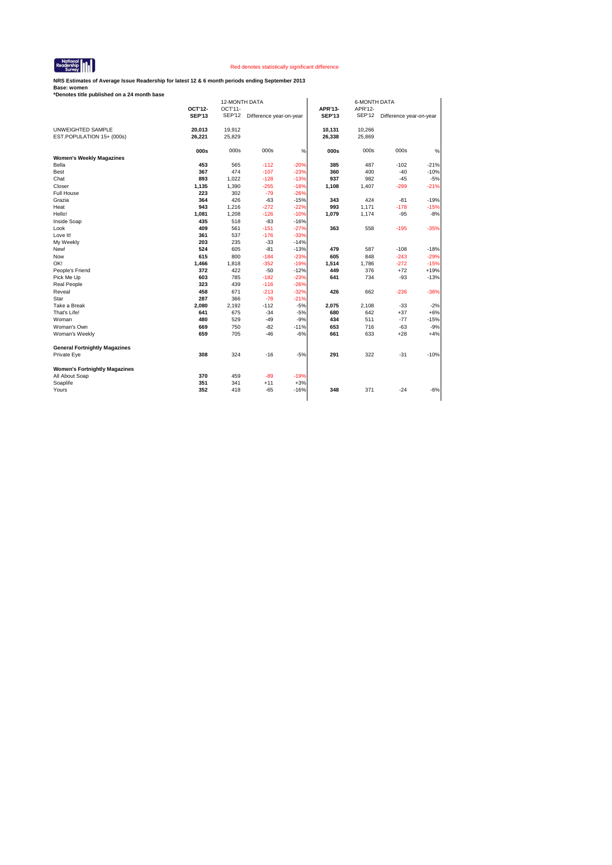

**NRS Estimates of Average Issue Readership for latest 12 & 6 month periods ending September 2013**

| *Denotes title published on a 24 month base |               |               |                         |        |               |                     |                         |        |  |
|---------------------------------------------|---------------|---------------|-------------------------|--------|---------------|---------------------|-------------------------|--------|--|
|                                             |               | 12-MONTH DATA |                         |        |               | <b>6-MONTH DATA</b> |                         |        |  |
|                                             | OCT'12-       | OCT'11-       |                         |        | APR'13-       | APR'12-             |                         |        |  |
|                                             | <b>SEP'13</b> | <b>SEP'12</b> | Difference year-on-year |        | <b>SEP'13</b> | <b>SEP'12</b>       | Difference year-on-year |        |  |
| UNWEIGHTED SAMPLE                           | 20,013        | 19,912        |                         |        | 10,131        | 10,266              |                         |        |  |
| EST.POPULATION 15+ (000s)                   | 26,221        | 25,829        |                         |        | 26,338        | 25,869              |                         |        |  |
|                                             |               |               |                         |        |               |                     |                         |        |  |
|                                             | 000s          | 000s          | 000s                    | %      | 000s          | 000s                | 000s                    | %      |  |
| <b>Women's Weekly Magazines</b>             |               |               |                         |        |               |                     |                         |        |  |
| Bella                                       | 453           | 565           | $-112$                  | $-20%$ | 385           | 487                 | $-102$                  | $-21%$ |  |
| Best                                        | 367           | 474           | $-107$                  | $-23%$ | 360           | 400                 | $-40$                   | $-10%$ |  |
| Chat                                        | 893           | 1,022         | $-128$                  | $-13%$ | 937           | 982                 | $-45$                   | $-5%$  |  |
| Closer                                      | 1,135         | 1,390         | $-255$                  | $-18%$ | 1,108         | 1,407               | -299                    | $-21%$ |  |
| Full House                                  | 223           | 302           | $-79$                   | $-26%$ |               |                     |                         |        |  |
| Grazia                                      | 364           | 426           | $-63$                   | $-15%$ | 343           | 424                 | $-81$                   | $-19%$ |  |
| Heat                                        | 943           | 1,216         | $-272$                  | $-22%$ | 993           | 1,171               | $-178$                  | $-15%$ |  |
| Hello!                                      | 1,081         | 1,208         | $-126$                  | $-10%$ | 1,079         | 1,174               | $-95$                   | $-8%$  |  |
| Inside Soap                                 | 435           | 518           | $-83$                   | $-16%$ |               |                     |                         |        |  |
| Look                                        | 409           | 561           | $-151$                  | $-27%$ | 363           | 558                 | $-195$                  | $-35%$ |  |
| Love It!                                    | 361           | 537           | $-176$                  | $-33%$ |               |                     |                         |        |  |
| My Weekly                                   | 203           | 235           | $-33$                   | $-14%$ |               |                     |                         |        |  |
| New!                                        | 524           | 605           | $-81$                   | $-13%$ | 479           | 587                 | $-108$                  | $-18%$ |  |
| Now                                         | 615           | 800           | $-184$                  | $-23%$ | 605           | 848                 | $-243$                  | $-29%$ |  |
| OK!                                         | 1,466         | 1,818         | $-352$                  | $-19%$ | 1,514         | 1,786               | $-272$                  | $-15%$ |  |
| People's Friend                             | 372           | 422           | $-50$                   | $-12%$ | 449           | 376                 | $+72$                   | $+19%$ |  |
| Pick Me Up                                  | 603           | 785           | $-182$                  | $-23%$ | 641           | 734                 | $-93$                   | $-13%$ |  |
| <b>Real People</b>                          | 323           | 439           | $-116$                  | $-26%$ |               |                     |                         |        |  |
| Reveal                                      | 458           | 671           | $-213$                  | $-32%$ | 426           | 662                 | $-236$                  | $-36%$ |  |
| Star                                        | 287           | 366           | $-78$                   | $-21%$ |               |                     |                         |        |  |
| Take a Break                                | 2,080         | 2,192         | $-112$                  | $-5%$  | 2,075         | 2,108               | $-33$                   | $-2%$  |  |
| That's Life!                                | 641           | 675           | $-34$                   | $-5%$  | 680           | 642                 | $+37$                   | $+6%$  |  |
| Woman                                       | 480           | 529           | $-49$                   | $-9%$  | 434           | 511                 | $-77$                   | $-15%$ |  |
| Woman's Own                                 | 669           | 750           | $-82$                   | $-11%$ | 653           | 716                 | $-63$                   | $-9%$  |  |
| Woman's Weekly                              | 659           | 705           | $-46$                   | $-6%$  | 661           | 633                 | $+28$                   | $+4%$  |  |
|                                             |               |               |                         |        |               |                     |                         |        |  |
| <b>General Fortnightly Magazines</b>        |               |               |                         |        |               |                     |                         |        |  |
| Private Eye                                 | 308           | 324           | $-16$                   | $-5%$  | 291           | 322                 | $-31$                   | $-10%$ |  |
| <b>Women's Fortnightly Magazines</b>        |               |               |                         |        |               |                     |                         |        |  |
| All About Soap                              | 370           | 459           | $-89$                   | $-19%$ |               |                     |                         |        |  |
| Soaplife                                    | 351           | 341           | $+11$                   | $+3%$  |               |                     |                         |        |  |
| Yours                                       | 352           | 418           | $-65$                   | $-16%$ | 348           | 371                 | $-24$                   | $-6%$  |  |
|                                             |               |               |                         |        |               |                     |                         |        |  |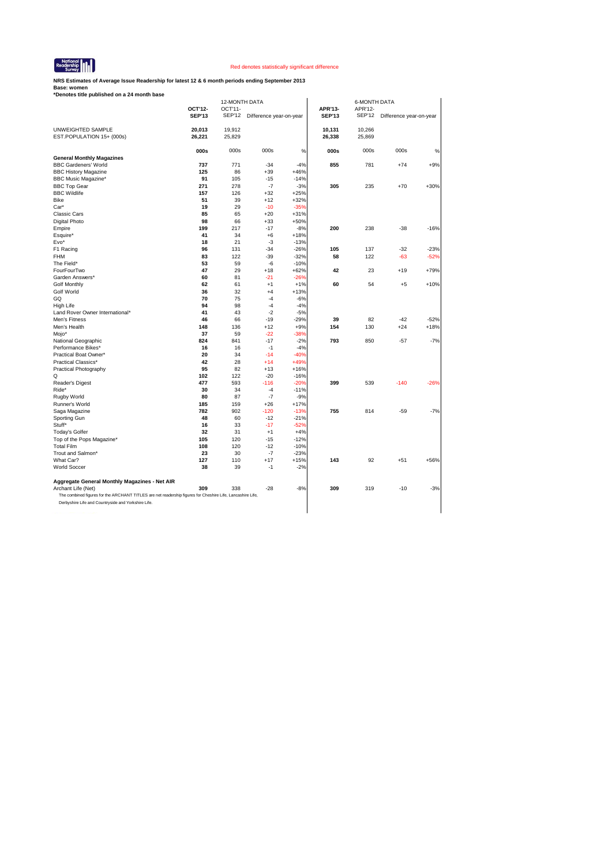

**NRS Estimates of Average Issue Readership for latest 12 & 6 month periods ending September 2013**

|                                                                                                            |               | 12-MONTH DATA |                         |        |               | <b>6-MONTH DATA</b> |                         |        |
|------------------------------------------------------------------------------------------------------------|---------------|---------------|-------------------------|--------|---------------|---------------------|-------------------------|--------|
|                                                                                                            | OCT'12-       | OCT'11-       |                         |        | APR'13-       | APR'12-             |                         |        |
|                                                                                                            | <b>SEP'13</b> | <b>SEP'12</b> | Difference year-on-year |        | <b>SEP'13</b> | <b>SEP'12</b>       | Difference year-on-year |        |
|                                                                                                            |               |               |                         |        |               |                     |                         |        |
| UNWEIGHTED SAMPLE                                                                                          | 20,013        | 19,912        |                         |        | 10,131        | 10,266              |                         |        |
| EST.POPULATION 15+ (000s)                                                                                  | 26,221        | 25,829        |                         |        | 26,338        | 25,869              |                         |        |
|                                                                                                            | 000s          | 000s          | 000s                    | %      | 000s          | 000s                | 000s                    | %      |
| <b>General Monthly Magazines</b>                                                                           |               |               |                         |        |               |                     |                         |        |
| <b>BBC Gardeners' World</b>                                                                                | 737           | 771           | $-34$                   | $-4%$  | 855           | 781                 | $+74$                   | $+9%$  |
| <b>BBC History Magazine</b>                                                                                | 125           | 86            | $+39$                   | $+46%$ |               |                     |                         |        |
| <b>BBC Music Magazine*</b>                                                                                 | 91            | 105           | $-15$                   | $-14%$ |               |                     |                         |        |
| <b>BBC Top Gear</b>                                                                                        | 271           | 278           | $-7$                    | $-3%$  | 305           | 235                 | $+70$                   | $+30%$ |
| <b>BBC Wildlife</b>                                                                                        | 157           | 126           | $+32$                   | $+25%$ |               |                     |                         |        |
| <b>Bike</b>                                                                                                | 51            | 39            | $+12$                   | $+32%$ |               |                     |                         |        |
| Car*                                                                                                       | 19            | 29            | $-10$                   | $-35%$ |               |                     |                         |        |
| <b>Classic Cars</b>                                                                                        | 85            | 65            | $+20$                   | $+31%$ |               |                     |                         |        |
| Digital Photo                                                                                              | 98            | 66            | $+33$                   | $+50%$ |               |                     |                         |        |
| Empire                                                                                                     | 199           | 217           | $-17$                   | $-8%$  | 200           | 238                 | $-38$                   | $-16%$ |
| Esquire*                                                                                                   | 41            | 34            | $+6$                    | $+18%$ |               |                     |                         |        |
| Evo*                                                                                                       | 18            | 21            | $-3$                    | $-13%$ |               |                     |                         |        |
| F1 Racing                                                                                                  | 96            | 131           | $-34$                   | $-26%$ | 105           | 137                 | $-32$                   | $-23%$ |
| <b>FHM</b>                                                                                                 | 83            | 122           | $-39$                   | $-32%$ | 58            | 122                 | -63                     | $-52%$ |
| The Field*                                                                                                 | 53            | 59            | $-6$                    | $-10%$ |               |                     |                         |        |
| FourFourTwo                                                                                                | 47            | 29            | $+18$                   | $+62%$ | 42            | 23                  | $+19$                   | $+79%$ |
| Garden Answers*                                                                                            | 60            | 81            | $-21$                   | $-26%$ |               |                     |                         |        |
| <b>Golf Monthly</b>                                                                                        | 62            | 61            | $+1$                    | $+1%$  | 60            | 54                  | $+5$                    | $+10%$ |
| Golf World                                                                                                 | 36            | 32            | $+4$                    | $+13%$ |               |                     |                         |        |
| GQ                                                                                                         | 70            | 75            | $-4$                    | $-6%$  |               |                     |                         |        |
| High Life                                                                                                  | 94            | 98            | $-4$                    | $-4%$  |               |                     |                         |        |
| Land Rover Owner International*                                                                            | 41            | 43            | $-2$                    | $-5%$  |               |                     |                         |        |
| Men's Fitness                                                                                              | 46            | 66            | $-19$                   | $-29%$ | 39            | 82                  | $-42$                   | $-52%$ |
| Men's Health                                                                                               | 148           | 136           | $+12$                   | $+9%$  | 154           | 130                 | +24                     | $+18%$ |
| Mojo*                                                                                                      | 37            | 59            | $-22$                   | $-38%$ |               |                     |                         |        |
| National Geographic                                                                                        | 824           | 841           | $-17$                   | $-2%$  | 793           | 850                 | $-57$                   | $-7%$  |
| Performance Bikes*                                                                                         | 16            | 16            | $-1$                    | $-4%$  |               |                     |                         |        |
| Practical Boat Owner*                                                                                      | 20            | 34            | $-14$                   | $-40%$ |               |                     |                         |        |
| Practical Classics*                                                                                        | 42            | 28            | $+14$                   | $+49%$ |               |                     |                         |        |
| Practical Photography                                                                                      | 95            | 82            | $+13$                   | $+16%$ |               |                     |                         |        |
| Q                                                                                                          | 102           | 122           | $-20$                   | $-16%$ |               |                     |                         |        |
| Reader's Digest                                                                                            | 477           | 593           | $-116$                  | $-20%$ | 399           | 539                 | $-140$                  | $-26%$ |
| Ride*                                                                                                      | 30            | 34            | $-4$                    | $-11%$ |               |                     |                         |        |
| Rugby World                                                                                                | 80            | 87            | $-7$                    | $-9%$  |               |                     |                         |        |
| Runner's World                                                                                             | 185           | 159           | $+26$                   | $+17%$ |               |                     |                         |        |
| Saga Magazine                                                                                              | 782           | 902           | $-120$                  | $-13%$ | 755           | 814                 | $-59$                   | $-7%$  |
| Sporting Gun                                                                                               | 48            | 60            | $-12$                   | $-21%$ |               |                     |                         |        |
| Stuff*                                                                                                     | 16            | 33            | $-17$                   | $-52%$ |               |                     |                         |        |
| <b>Today's Golfer</b>                                                                                      | 32            | 31            | $+1$                    | $+4%$  |               |                     |                         |        |
| Top of the Pops Magazine*                                                                                  | 105           | 120           | $-15$                   | $-12%$ |               |                     |                         |        |
| <b>Total Film</b>                                                                                          | 108           | 120           | $-12$                   | $-10%$ |               |                     |                         |        |
| Trout and Salmon*                                                                                          | 23            | 30            | $-7$                    | $-23%$ |               |                     |                         |        |
| What Car?                                                                                                  | 127           | 110           | $+17$                   | $+15%$ | 143           | 92                  | $+51$                   | +56%   |
| <b>World Soccer</b>                                                                                        | 38            | 39            | $-1$                    | $-2%$  |               |                     |                         |        |
| Aggregate General Monthly Magazines - Net AIR                                                              |               |               |                         |        |               |                     |                         |        |
| Archant Life (Net)                                                                                         | 309           | 338           | $-28$                   | $-8%$  | 309           | 319                 | $-10$                   | $-3%$  |
| The combined figures for the ARCHANT TITLES are net readership figures for Cheshire Life, Lancashire Life, |               |               |                         |        |               |                     |                         |        |
| Derbyshire Life and Countryside and Yorkshire Life.                                                        |               |               |                         |        |               |                     |                         |        |
|                                                                                                            |               |               |                         |        |               |                     |                         |        |
|                                                                                                            |               |               |                         |        |               |                     |                         |        |